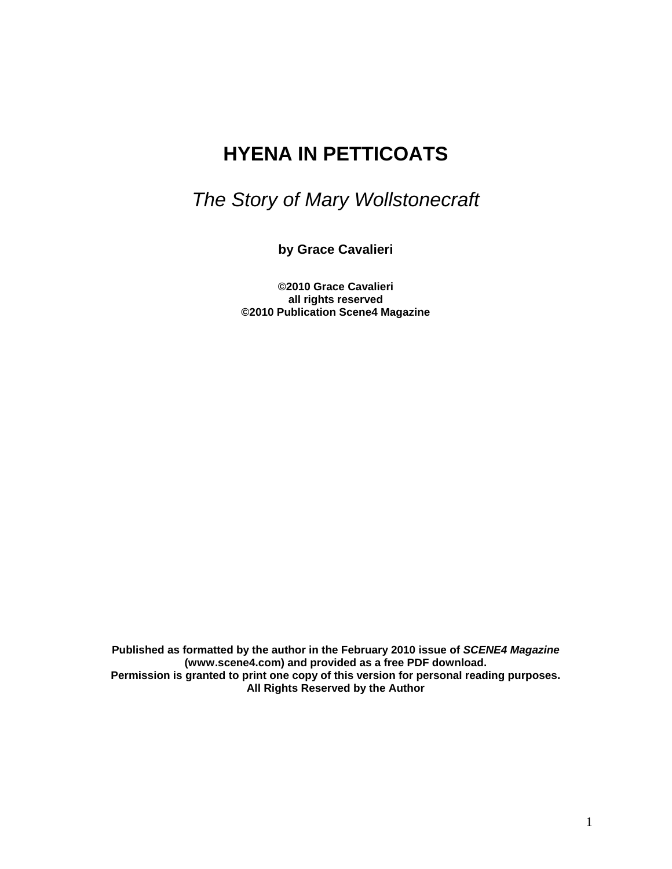# **HYENA IN PETTICOATS**

*The Story of Mary Wollstonecraft*

**by Grace Cavalieri** 

**©2010 Grace Cavalieri all rights reserved ©2010 Publication Scene4 Magazine** 

**Published as formatted by the author in the February 2010 issue of** *SCENE4 Magazine* **(www.scene4.com) and provided as a free PDF download. Permission is granted to print one copy of this version for personal reading purposes. All Rights Reserved by the Author**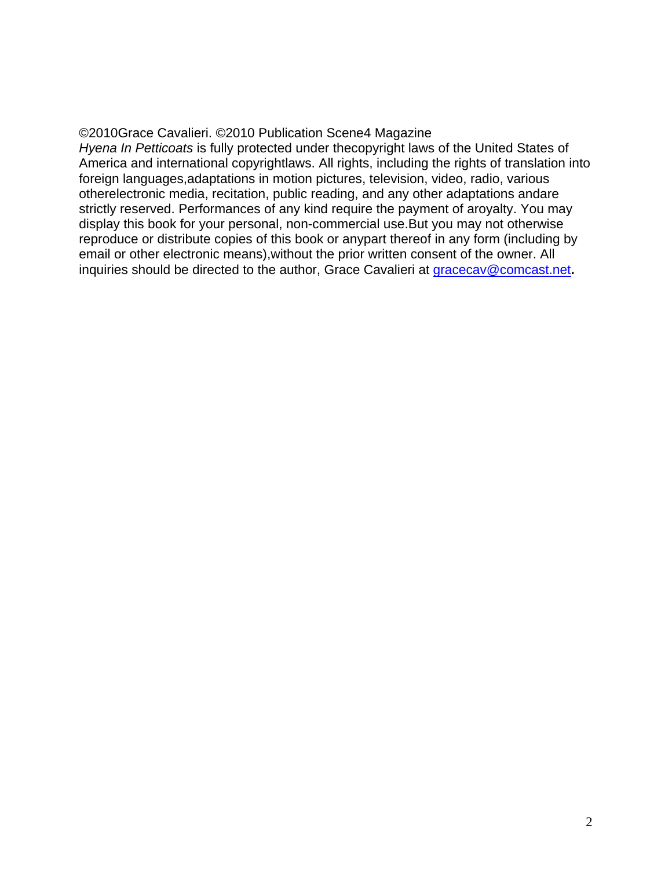## ©2010Grace Cavalieri. ©2010 Publication Scene4 Magazine

*Hyena In Petticoats* is fully protected under thecopyright laws of the United States of America and international copyrightlaws. All rights, including the rights of translation into foreign languages,adaptations in motion pictures, television, video, radio, various otherelectronic media, recitation, public reading, and any other adaptations andare strictly reserved. Performances of any kind require the payment of aroyalty. You may display this book for your personal, non-commercial use.But you may not otherwise reproduce or distribute copies of this book or anypart thereof in any form (including by email or other electronic means),without the prior written consent of the owner. All inquiries should be directed to the author, Grace Cavalieri at gracecav@comcast.net**.**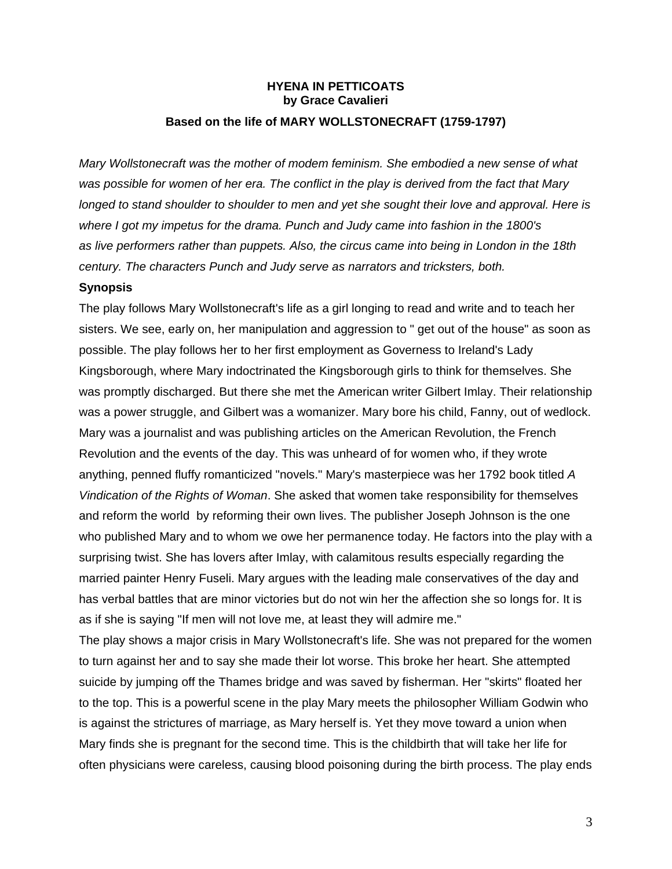## **HYENA IN PETTICOATS by Grace Cavalieri Based on the life of MARY WOLLSTONECRAFT (1759-1797)**

*Mary Wollstonecraft was the mother of modem feminism. She embodied a new sense of what was possible for women of her era. The conflict in the play is derived from the fact that Mary longed to stand shoulder to shoulder to men and yet she sought their love and approval. Here is where I got my impetus for the drama. Punch and Judy came into fashion in the 1800's as live performers rather than puppets. Also, the circus came into being in London in the 18th century. The characters Punch and Judy serve as narrators and tricksters, both.*

#### **Synopsis**

The play follows Mary Wollstonecraft's life as a girl longing to read and write and to teach her sisters. We see, early on, her manipulation and aggression to " get out of the house" as soon as possible. The play follows her to her first employment as Governess to Ireland's Lady Kingsborough, where Mary indoctrinated the Kingsborough girls to think for themselves. She was promptly discharged. But there she met the American writer Gilbert Imlay. Their relationship was a power struggle, and Gilbert was a womanizer. Mary bore his child, Fanny, out of wedlock. Mary was a journalist and was publishing articles on the American Revolution, the French Revolution and the events of the day. This was unheard of for women who, if they wrote anything, penned fluffy romanticized "novels." Mary's masterpiece was her 1792 book titled *A Vindication of the Rights of Woman*. She asked that women take responsibility for themselves and reform the world by reforming their own lives. The publisher Joseph Johnson is the one who published Mary and to whom we owe her permanence today. He factors into the play with a surprising twist. She has lovers after Imlay, with calamitous results especially regarding the married painter Henry Fuseli. Mary argues with the leading male conservatives of the day and has verbal battles that are minor victories but do not win her the affection she so longs for. It is as if she is saying "If men will not love me, at least they will admire me."

The play shows a major crisis in Mary Wollstonecraft's life. She was not prepared for the women to turn against her and to say she made their lot worse. This broke her heart. She attempted suicide by jumping off the Thames bridge and was saved by fisherman. Her "skirts" floated her to the top. This is a powerful scene in the play Mary meets the philosopher William Godwin who is against the strictures of marriage, as Mary herself is. Yet they move toward a union when Mary finds she is pregnant for the second time. This is the childbirth that will take her life for often physicians were careless, causing blood poisoning during the birth process. The play ends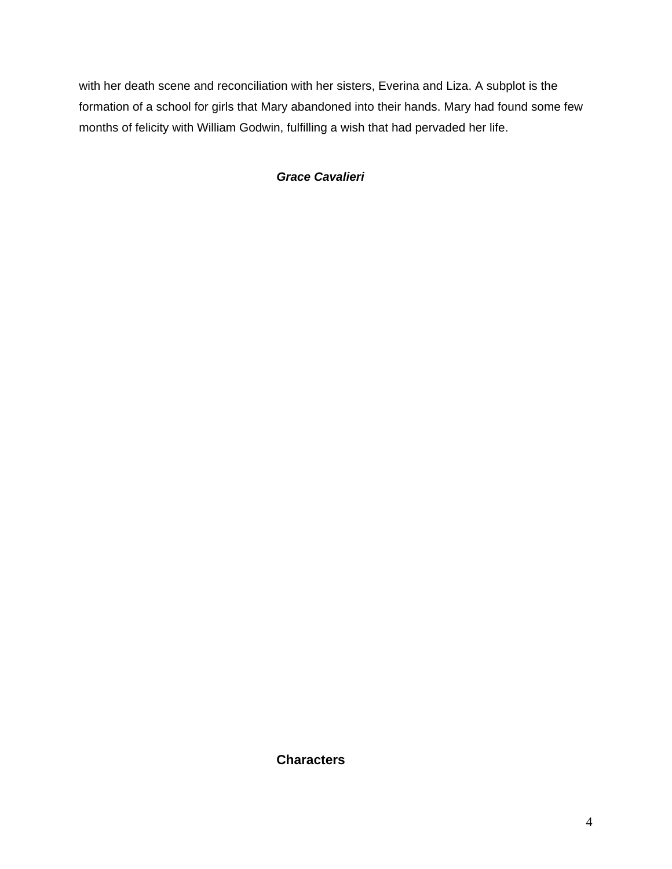with her death scene and reconciliation with her sisters, Everina and Liza. A subplot is the formation of a school for girls that Mary abandoned into their hands. Mary had found some few months of felicity with William Godwin, fulfilling a wish that had pervaded her life.

*Grace Cavalieri* 

**Characters**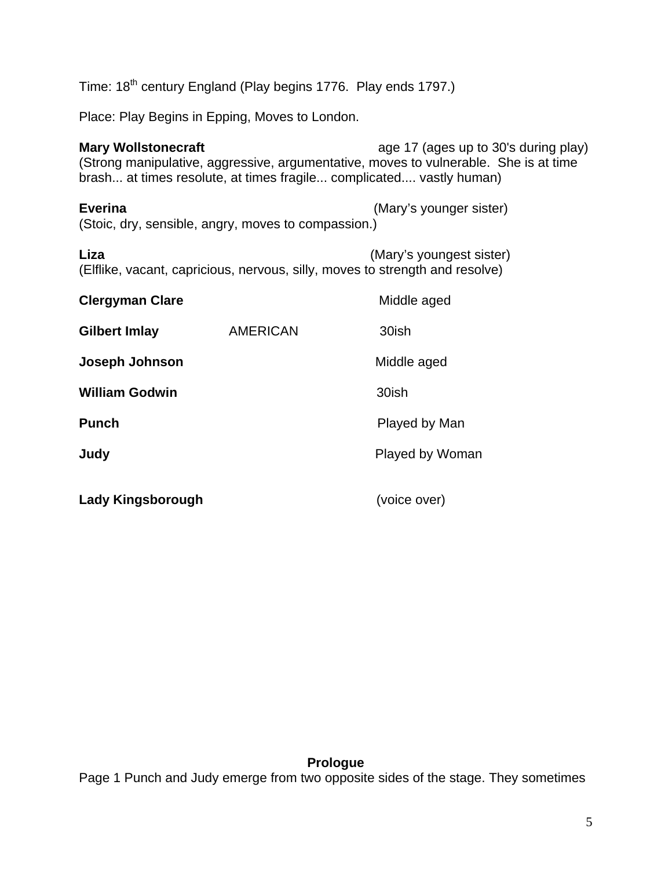| Place: Play Begins in Epping, Moves to London.                                                                                                                                                                                    |                 |                         |  |
|-----------------------------------------------------------------------------------------------------------------------------------------------------------------------------------------------------------------------------------|-----------------|-------------------------|--|
| <b>Mary Wollstonecraft</b><br>age 17 (ages up to 30's during play)<br>(Strong manipulative, aggressive, argumentative, moves to vulnerable. She is at time<br>brash at times resolute, at times fragile complicated vastly human) |                 |                         |  |
| <b>Everina</b><br>(Stoic, dry, sensible, angry, moves to compassion.)                                                                                                                                                             |                 | (Mary's younger sister) |  |
| Liza<br>(Mary's youngest sister)<br>(Elflike, vacant, capricious, nervous, silly, moves to strength and resolve)                                                                                                                  |                 |                         |  |
| <b>Clergyman Clare</b>                                                                                                                                                                                                            |                 | Middle aged             |  |
| <b>Gilbert Imlay</b>                                                                                                                                                                                                              | <b>AMERICAN</b> | 30ish                   |  |
| Joseph Johnson                                                                                                                                                                                                                    |                 | Middle aged             |  |
| <b>William Godwin</b>                                                                                                                                                                                                             |                 | 30ish                   |  |
| <b>Punch</b>                                                                                                                                                                                                                      |                 | Played by Man           |  |
| Judy                                                                                                                                                                                                                              |                 | Played by Woman         |  |
| Lady Kingsborough                                                                                                                                                                                                                 |                 | (voice over)            |  |

Time: 18<sup>th</sup> century England (Play begins 1776. Play ends 1797.)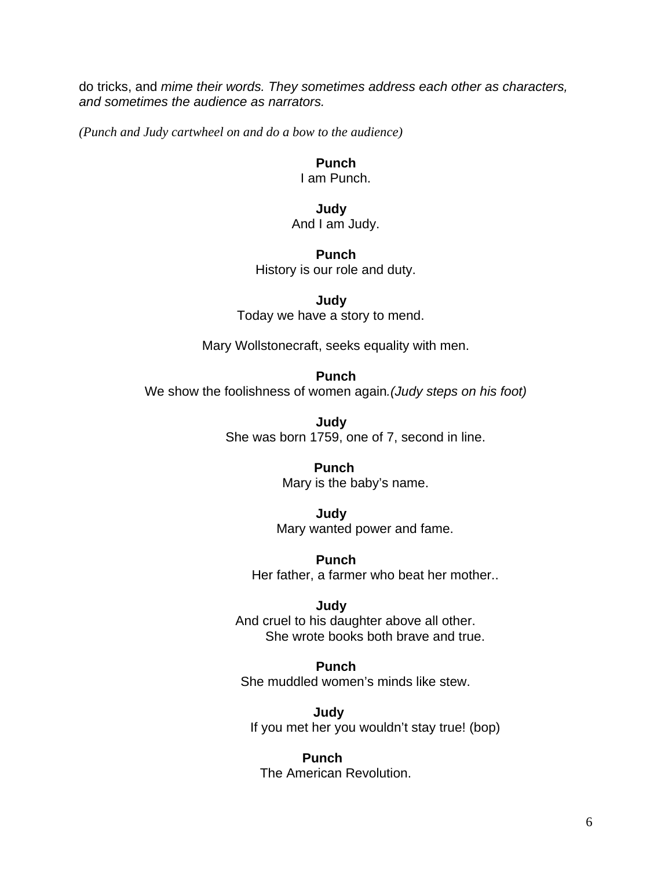do tricks, and *mime their words. They sometimes address each other as characters, and sometimes the audience as narrators.* 

*(Punch and Judy cartwheel on and do a bow to the audience)*

## **Punch**

I am Punch.

## **Judy**

And I am Judy.

## **Punch**

History is our role and duty.

## **Judy**

Today we have a story to mend.

Mary Wollstonecraft, seeks equality with men.

## **Punch**

We show the foolishness of women again*.(Judy steps on his foot)* 

**Judy**  She was born 1759, one of 7, second in line.

## **Punch**

Mary is the baby's name.

 **Judy**  Mary wanted power and fame.

**Punch** Her father, a farmer who beat her mother..

## **Judy**  And cruel to his daughter above all other. She wrote books both brave and true.

 **Punch**  She muddled women's minds like stew.

 **Judy**  If you met her you wouldn't stay true! (bop)

 **Punch**  The American Revolution.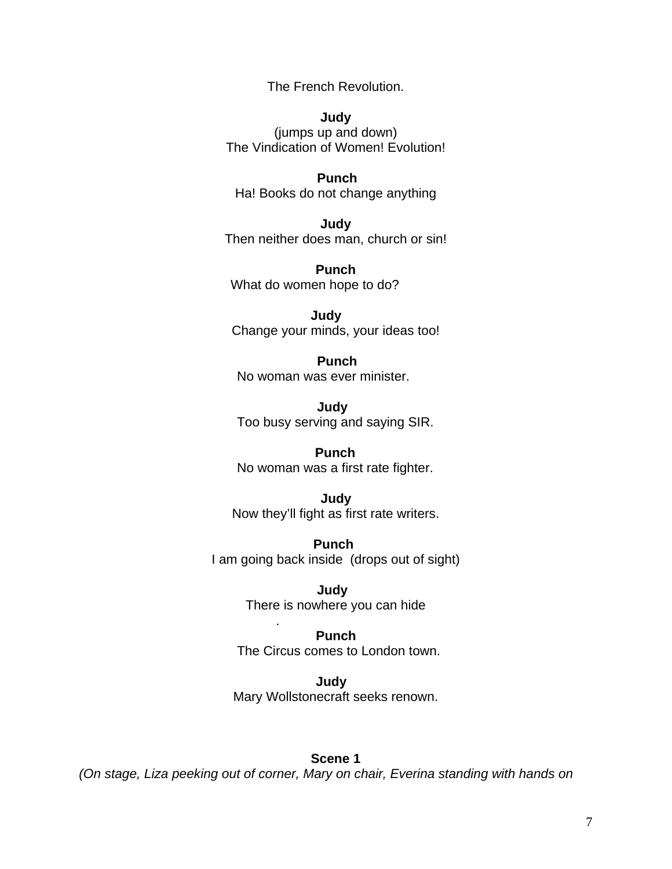The French Revolution.

**Judy**  (jumps up and down) The Vindication of Women! Evolution!

 **Punch**  Ha! Books do not change anything

**Judy** Then neither does man, church or sin!

**Punch** What do women hope to do?

 **Judy** Change your minds, your ideas too!

 **Punch**  No woman was ever minister.

 **Judy**  Too busy serving and saying SIR.

 **Punch**  No woman was a first rate fighter.

 **Judy**  Now they'll fight as first rate writers.

 **Punch** I am going back inside (drops out of sight)

> **Judy**  There is nowhere you can hide

> > *.*

 **Punch** The Circus comes to London town.

**Judy**  Mary Wollstonecraft seeks renown.

**Scene 1** *(On stage, Liza peeking out of corner, Mary on chair, Everina standing with hands on*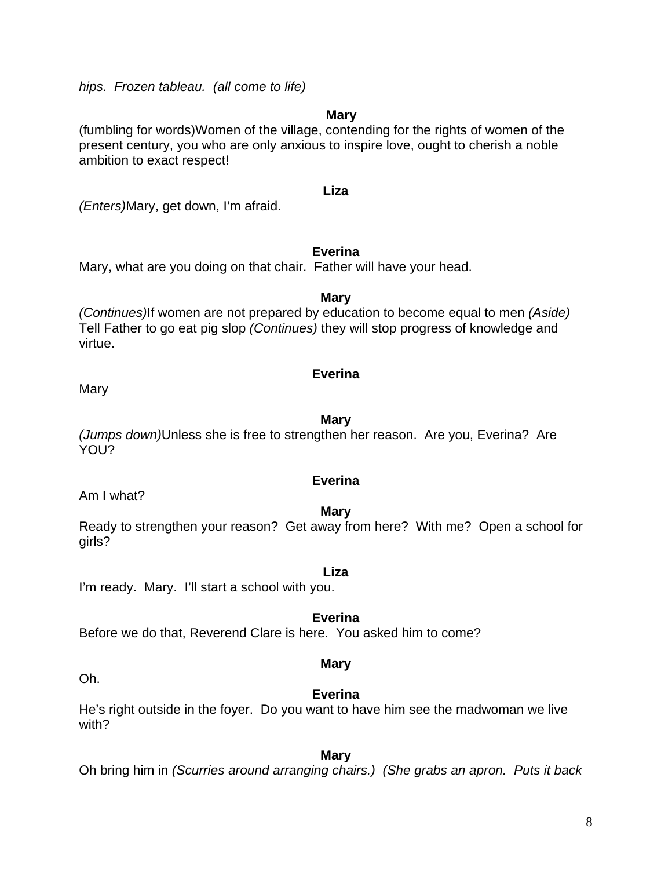*hips. Frozen tableau. (all come to life)* 

## **Mary**

(fumbling for words)Women of the village, contending for the rights of women of the present century, you who are only anxious to inspire love, ought to cherish a noble ambition to exact respect!

#### **Liza**

*(Enters)*Mary, get down, I'm afraid.

## **Everina**

Mary, what are you doing on that chair. Father will have your head.

**Mary** *(Continues)*If women are not prepared by education to become equal to men *(Aside)* Tell Father to go eat pig slop *(Continues)* they will stop progress of knowledge and virtue.

## **Everina**

Mary

## **Mary**

*(Jumps down)*Unless she is free to strengthen her reason. Are you, Everina? Are YOU?

## **Everina**

Am I what?

**Mary**  Ready to strengthen your reason? Get away from here? With me? Open a school for girls?

**Liza**  I'm ready. Mary. I'll start a school with you.

**Everina**  Before we do that, Reverend Clare is here. You asked him to come?

Oh.

# **Mary**

**Everina**  He's right outside in the foyer. Do you want to have him see the madwoman we live with?

## **Mary**

Oh bring him in *(Scurries around arranging chairs.) (She grabs an apron. Puts it back* 

8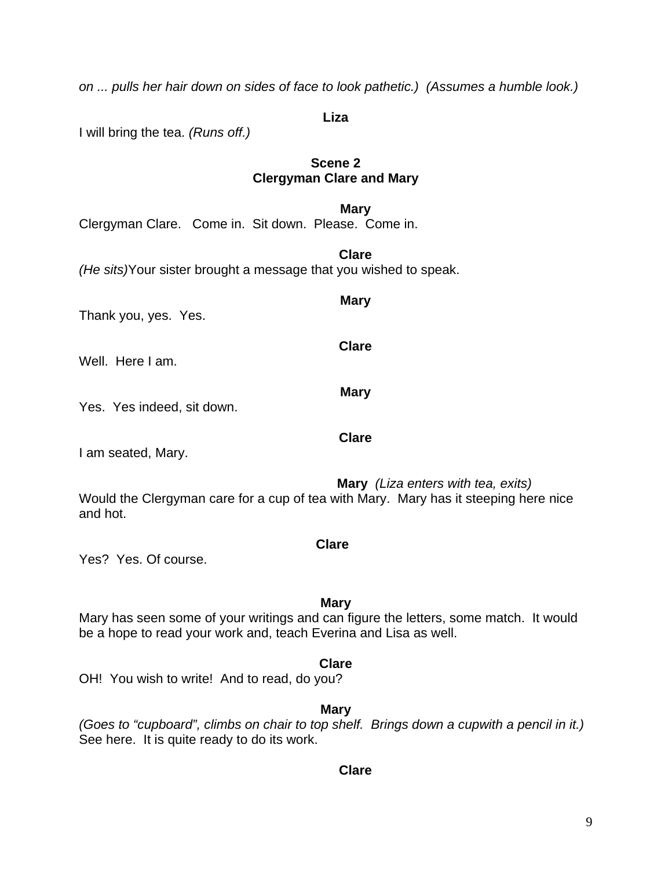*on ... pulls her hair down on sides of face to look pathetic.) (Assumes a humble look.)* 

**Liza** 

I will bring the tea. *(Runs off.)* 

## **Scene 2 Clergyman Clare and Mary**

#### **Mary**

**Mary** 

**Clare** 

**Mary** 

**Clare** 

Clergyman Clare. Come in. Sit down. Please. Come in.

**Clare**  *(He sits)*Your sister brought a message that you wished to speak.

Thank you, yes. Yes.

Well. Here I am.

Yes. Yes indeed, sit down.

I am seated, Mary.

 **Mary** *(Liza enters with tea, exits)* Would the Clergyman care for a cup of tea with Mary. Mary has it steeping here nice and hot.

Yes? Yes. Of course.

**Mary** 

**Clare** 

Mary has seen some of your writings and can figure the letters, some match. It would be a hope to read your work and, teach Everina and Lisa as well.

**Clare** 

OH! You wish to write! And to read, do you?

**Mary** 

*(Goes to "cupboard", climbs on chair to top shelf. Brings down a cupwith a pencil in it.)*  See here. It is quite ready to do its work.

## **Clare**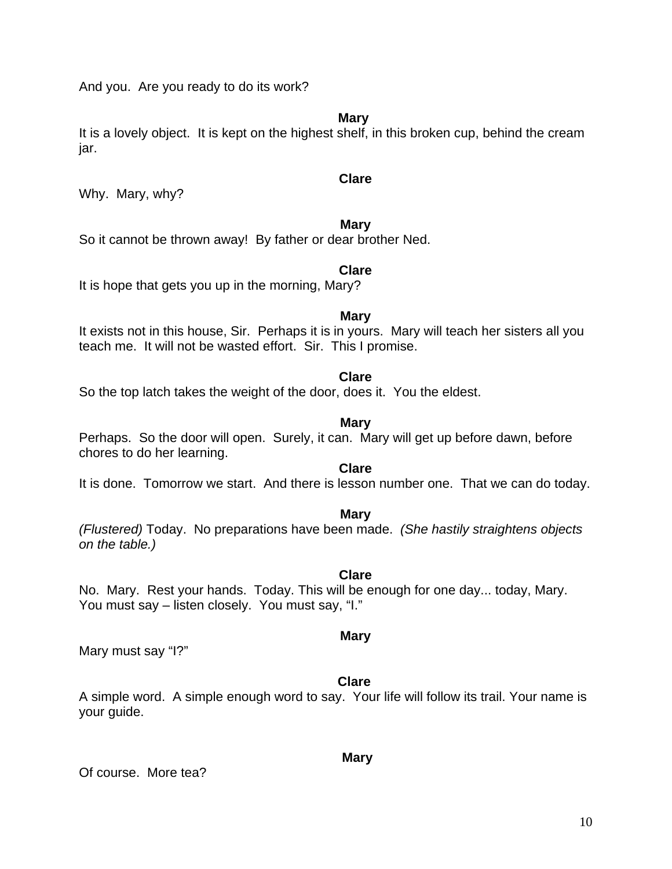And you. Are you ready to do its work?

#### **Clare**

 **Mary** 

It is a lovely object. It is kept on the highest shelf, in this broken cup, behind the cream

Why. Mary, why?

jar.

#### **Mary**

So it cannot be thrown away! By father or dear brother Ned.

#### **Clare**

It is hope that gets you up in the morning, Mary?

#### **Mary**

It exists not in this house, Sir. Perhaps it is in yours. Mary will teach her sisters all you teach me. It will not be wasted effort. Sir. This I promise.

#### **Clare**

So the top latch takes the weight of the door, does it. You the eldest.

#### **Mary**

Perhaps. So the door will open. Surely, it can. Mary will get up before dawn, before chores to do her learning.

#### **Clare**

It is done. Tomorrow we start. And there is lesson number one. That we can do today.

#### **Mary**

*(Flustered)* Today. No preparations have been made. *(She hastily straightens objects on the table.)* 

#### **Clare**

No. Mary. Rest your hands. Today. This will be enough for one day... today, Mary. You must say – listen closely. You must say, "I."

Mary must say "I?"

#### **Clare**

**Mary** 

**Mary** 

A simple word. A simple enough word to say. Your life will follow its trail. Your name is your guide.

Of course. More tea?

10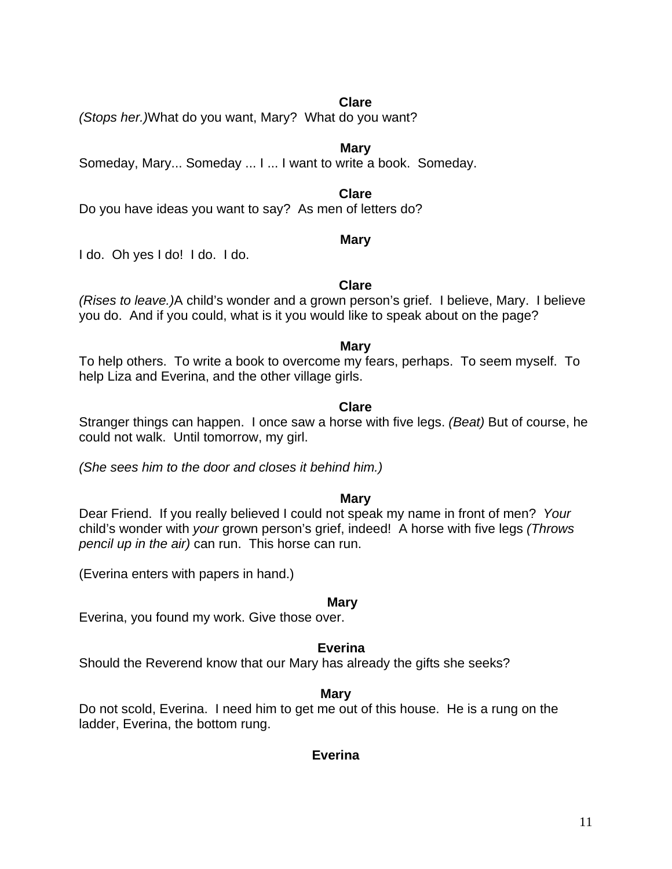## **Clare**

*(Stops her.)*What do you want, Mary? What do you want?

## **Mary**

Someday, Mary... Someday ... I ... I want to write a book. Someday.

## **Clare**

Do you have ideas you want to say? As men of letters do?

## **Mary**

I do. Oh yes I do! I do. I do.

## **Clare**

*(Rises to leave.)*A child's wonder and a grown person's grief. I believe, Mary. I believe you do. And if you could, what is it you would like to speak about on the page?

## **Mary**

To help others. To write a book to overcome my fears, perhaps. To seem myself. To help Liza and Everina, and the other village girls.

## **Clare**

Stranger things can happen. I once saw a horse with five legs. *(Beat)* But of course, he could not walk. Until tomorrow, my girl.

*(She sees him to the door and closes it behind him.)* 

## **Mary**

Dear Friend. If you really believed I could not speak my name in front of men? *Your* child's wonder with *your* grown person's grief, indeed! A horse with five legs *(Throws pencil up in the air)* can run. This horse can run.

(Everina enters with papers in hand.)

## **Mary**

Everina, you found my work. Give those over.

## **Everina**

Should the Reverend know that our Mary has already the gifts she seeks?

## **Mary**

Do not scold, Everina. I need him to get me out of this house. He is a rung on the ladder, Everina, the bottom rung.

## **Everina**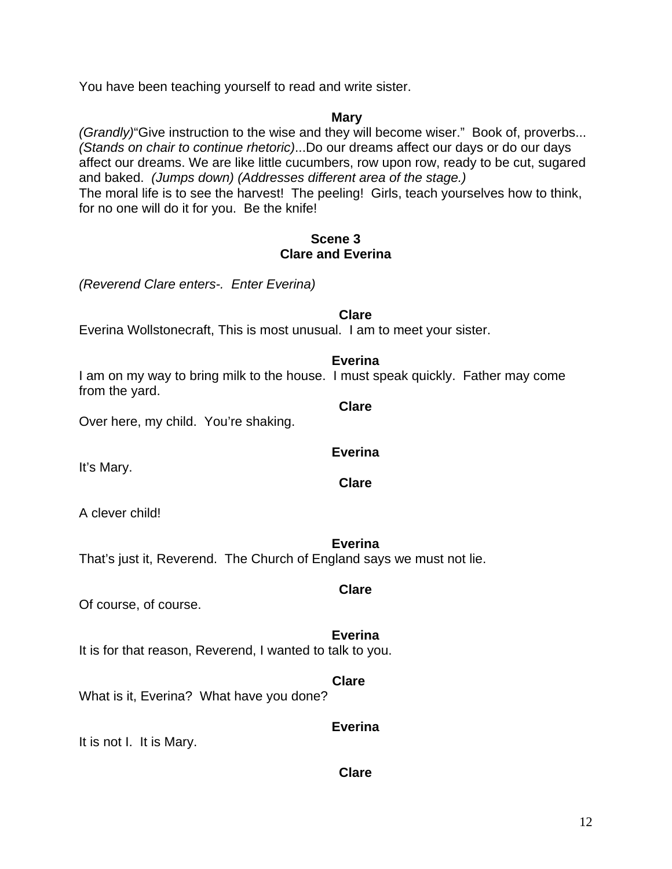## **Mary**

*(Grandly)*"Give instruction to the wise and they will become wiser." Book of, proverbs... *(Stands on chair to continue rhetoric)*...Do our dreams affect our days or do our days affect our dreams. We are like little cucumbers, row upon row, ready to be cut, sugared and baked. *(Jumps down) (Addresses different area of the stage.)* The moral life is to see the harvest! The peeling! Girls, teach yourselves how to think, for no one will do it for you. Be the knife!

### **Scene 3 Clare and Everina**

*(Reverend Clare enters-. Enter Everina)* 

| <b>Clare</b><br>Everina Wollstonecraft, This is most unusual. I am to meet your sister.                            |  |  |  |
|--------------------------------------------------------------------------------------------------------------------|--|--|--|
| <b>Everina</b><br>I am on my way to bring milk to the house. I must speak quickly. Father may come<br><b>Clare</b> |  |  |  |
|                                                                                                                    |  |  |  |
| <b>Everina</b>                                                                                                     |  |  |  |
| <b>Clare</b>                                                                                                       |  |  |  |
|                                                                                                                    |  |  |  |
| <b>Everina</b><br>That's just it, Reverend. The Church of England says we must not lie.                            |  |  |  |
| <b>Clare</b>                                                                                                       |  |  |  |
| <b>Everina</b><br>It is for that reason, Reverend, I wanted to talk to you.                                        |  |  |  |
| <b>Clare</b>                                                                                                       |  |  |  |
| <b>Everina</b>                                                                                                     |  |  |  |
|                                                                                                                    |  |  |  |

**Clare**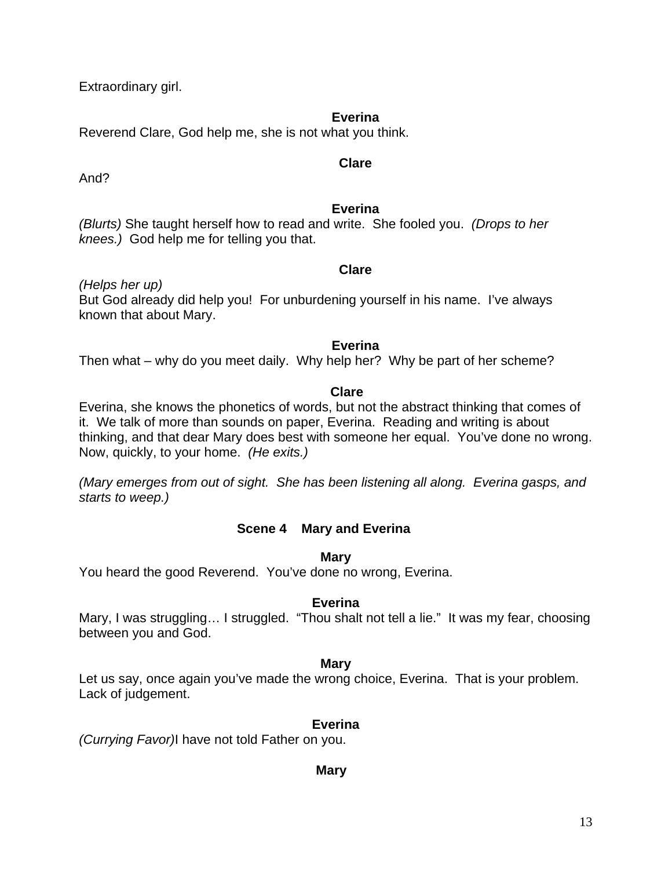Extraordinary girl.

## **Everina**

Reverend Clare, God help me, she is not what you think.

## **Clare**

And?

## **Everina**

*(Blurts)* She taught herself how to read and write. She fooled you. *(Drops to her knees.)* God help me for telling you that.

## **Clare**

*(Helps her up)*  But God already did help you! For unburdening yourself in his name. I've always known that about Mary.

## **Everina**

Then what – why do you meet daily. Why help her? Why be part of her scheme?

## **Clare**

Everina, she knows the phonetics of words, but not the abstract thinking that comes of it. We talk of more than sounds on paper, Everina. Reading and writing is about thinking, and that dear Mary does best with someone her equal. You've done no wrong. Now, quickly, to your home. *(He exits.)* 

*(Mary emerges from out of sight. She has been listening all along. Everina gasps, and starts to weep.)*

## **Scene 4 Mary and Everina**

**Mary** 

You heard the good Reverend. You've done no wrong, Everina.

## **Everina**

Mary, I was struggling... I struggled. "Thou shalt not tell a lie." It was my fear, choosing between you and God.

## **Mary**

Let us say, once again you've made the wrong choice, Everina. That is your problem. Lack of judgement.

## **Everina**

*(Currying Favor)*I have not told Father on you.

## **Mary**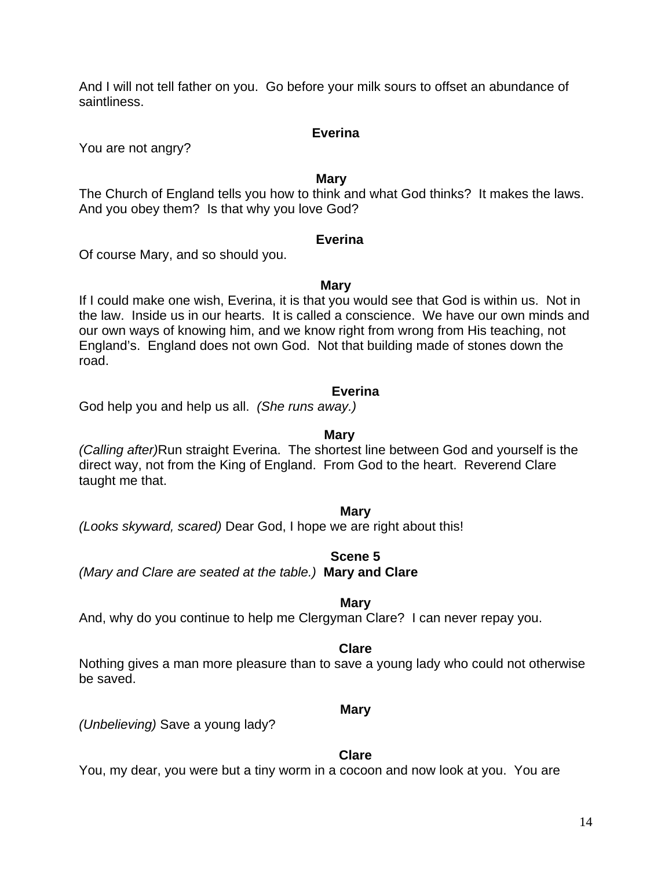And I will not tell father on you. Go before your milk sours to offset an abundance of saintliness.

## **Everina**

You are not angry?

### *Mary* Mary

The Church of England tells you how to think and what God thinks? It makes the laws. And you obey them? Is that why you love God?

#### **Everina**

Of course Mary, and so should you.

## **Mary**

If I could make one wish, Everina, it is that you would see that God is within us. Not in the law. Inside us in our hearts. It is called a conscience. We have our own minds and our own ways of knowing him, and we know right from wrong from His teaching, not England's. England does not own God. Not that building made of stones down the road.

## **Everina**

God help you and help us all. *(She runs away.)* 

## **Mary**

*(Calling after)*Run straight Everina. The shortest line between God and yourself is the direct way, not from the King of England. From God to the heart. Reverend Clare taught me that.

#### **Mary**

*(Looks skyward, scared)* Dear God, I hope we are right about this!

## **Scene 5**

*(Mary and Clare are seated at the table.)* **Mary and Clare** 

#### **Mary**

And, why do you continue to help me Clergyman Clare? I can never repay you.

#### **Clare**

Nothing gives a man more pleasure than to save a young lady who could not otherwise be saved.

#### **Mary**

*(Unbelieving)* Save a young lady?

## **Clare**

You, my dear, you were but a tiny worm in a cocoon and now look at you. You are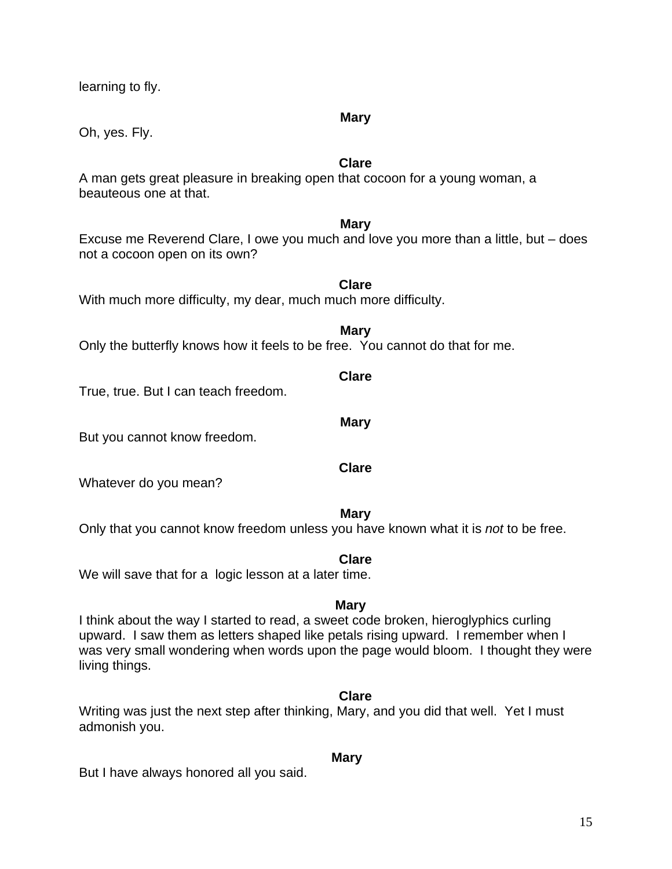15

learning to fly.

Oh, yes. Fly.

## **Clare**

**Mary** 

A man gets great pleasure in breaking open that cocoon for a young woman, a beauteous one at that.

**Mary**  Excuse me Reverend Clare, I owe you much and love you more than a little, but – does not a cocoon open on its own?

With much more difficulty, my dear, much much more difficulty.

Only the butterfly knows how it feels to be free. You cannot do that for me.

True, true. But I can teach freedom.

But you cannot know freedom.

Whatever do you mean?

**Mary** 

Only that you cannot know freedom unless you have known what it is *not* to be free.

**Clare** 

We will save that for a logic lesson at a later time.

## **Mary**

I think about the way I started to read, a sweet code broken, hieroglyphics curling upward. I saw them as letters shaped like petals rising upward. I remember when I was very small wondering when words upon the page would bloom. I thought they were living things.

## **Clare**

Writing was just the next step after thinking, Mary, and you did that well. Yet I must admonish you.

**Mary** 

But I have always honored all you said.

**Clare** 

# **Mary**

**Clare** 

**Mary** 

**Clare**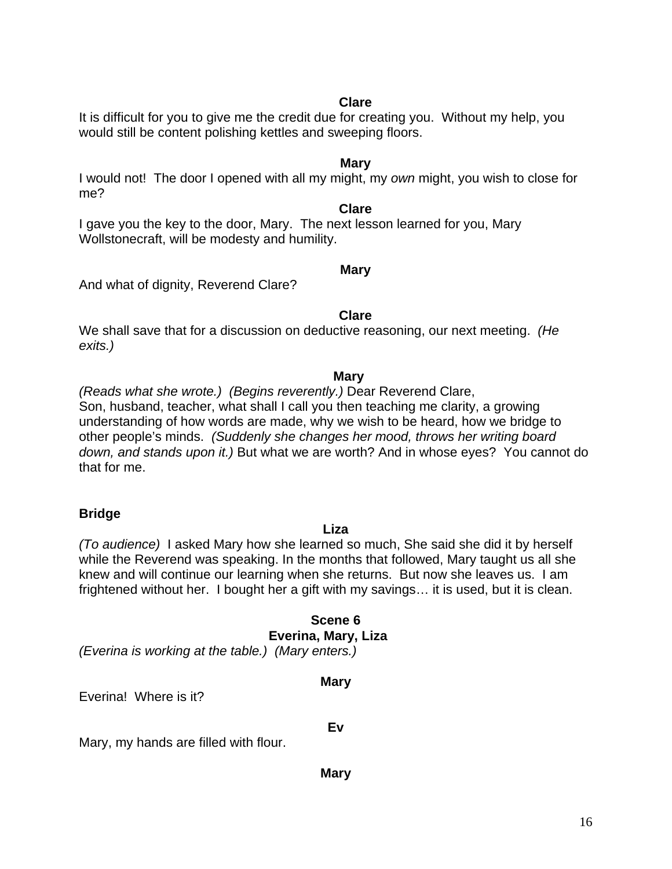## **Clare**

It is difficult for you to give me the credit due for creating you. Without my help, you would still be content polishing kettles and sweeping floors.

## **Mary**

I would not! The door I opened with all my might, my *own* might, you wish to close for me?

## **Clare**

I gave you the key to the door, Mary. The next lesson learned for you, Mary Wollstonecraft, will be modesty and humility.

#### **Mary**

And what of dignity, Reverend Clare?

## **Clare**

We shall save that for a discussion on deductive reasoning, our next meeting. *(He exits.)*

## **Mary**

*(Reads what she wrote.) (Begins reverently.)* Dear Reverend Clare, Son, husband, teacher, what shall I call you then teaching me clarity, a growing understanding of how words are made, why we wish to be heard, how we bridge to other people's minds. *(Suddenly she changes her mood, throws her writing board down, and stands upon it.)* But what we are worth? And in whose eyes? You cannot do that for me.

## **Bridge**

## **Liza**

*(To audience)* I asked Mary how she learned so much, She said she did it by herself while the Reverend was speaking. In the months that followed, Mary taught us all she knew and will continue our learning when she returns. But now she leaves us. I am frightened without her. I bought her a gift with my savings… it is used, but it is clean.

#### **Scene 6 Everina, Mary, Liza**

*(Everina is working at the table.) (Mary enters.)* 

## **Mary**

Everina! Where is it?

**Ev**

Mary, my hands are filled with flour.

**Mary**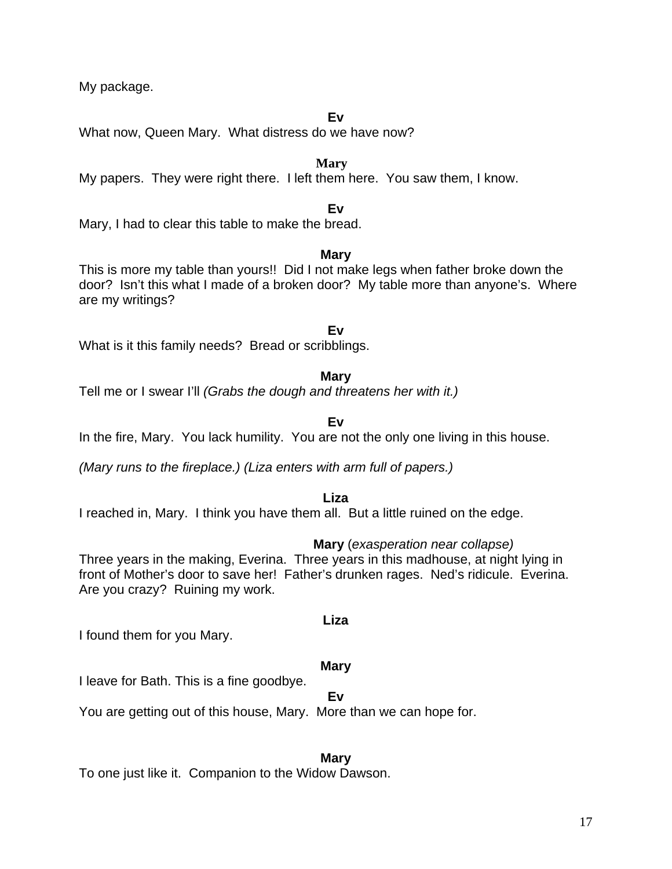My package.

#### **Ev**

What now, Queen Mary. What distress do we have now?

**Mary** 

My papers. They were right there. I left them here. You saw them, I know.

### **Ev**

Mary, I had to clear this table to make the bread.

## **Mary**

This is more my table than yours!! Did I not make legs when father broke down the door? Isn't this what I made of a broken door? My table more than anyone's. Where are my writings?

#### **Ev**

What is it this family needs? Bread or scribblings.

#### **Mary**

Tell me or I swear I'll *(Grabs the dough and threatens her with it.)* 

## **Ev**

In the fire, Mary. You lack humility. You are not the only one living in this house.

*(Mary runs to the fireplace.) (Liza enters with arm full of papers.)* 

#### **Liza**

I reached in, Mary. I think you have them all. But a little ruined on the edge.

## **Mary** (*exasperation near collapse)*

Three years in the making, Everina. Three years in this madhouse, at night lying in front of Mother's door to save her! Father's drunken rages. Ned's ridicule. Everina. Are you crazy? Ruining my work.

I found them for you Mary.

## **Mary**

**Liza**

I leave for Bath. This is a fine goodbye.

**Ev**

You are getting out of this house, Mary. More than we can hope for.

## **Mary**

To one just like it. Companion to the Widow Dawson.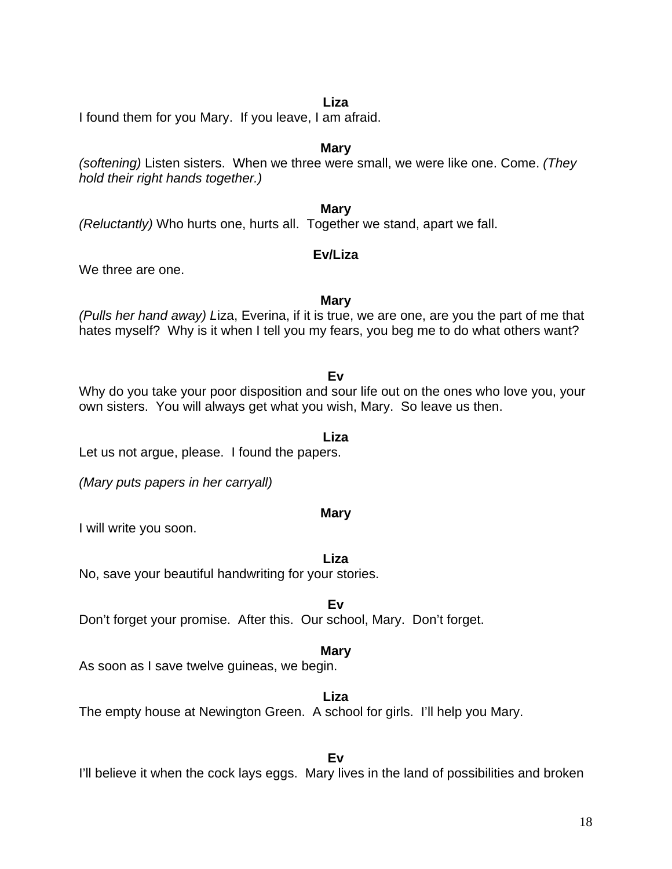## **Liza**

I found them for you Mary. If you leave, I am afraid.

## **Mary**

*(softening)* Listen sisters. When we three were small, we were like one. Come. *(They hold their right hands together.)* 

#### **Mary**

*(Reluctantly)* Who hurts one, hurts all. Together we stand, apart we fall.

## **Ev/Liza**

We three are one.

**Mary** *(Pulls her hand away) L*iza, Everina, if it is true, we are one, are you the part of me that hates myself? Why is it when I tell you my fears, you beg me to do what others want?

## **Ev**

Why do you take your poor disposition and sour life out on the ones who love you, your own sisters. You will always get what you wish, Mary. So leave us then.

**Liza** 

Let us not argue, please. I found the papers.

*(Mary puts papers in her carryall)* 

#### **Mary**

I will write you soon.

**Liza**

No, save your beautiful handwriting for your stories.

**Ev** 

Don't forget your promise. After this. Our school, Mary. Don't forget.

## **Mary**

As soon as I save twelve guineas, we begin.

**Liza** 

The empty house at Newington Green. A school for girls. I'll help you Mary.

## **Ev**

I'll believe it when the cock lays eggs. Mary lives in the land of possibilities and broken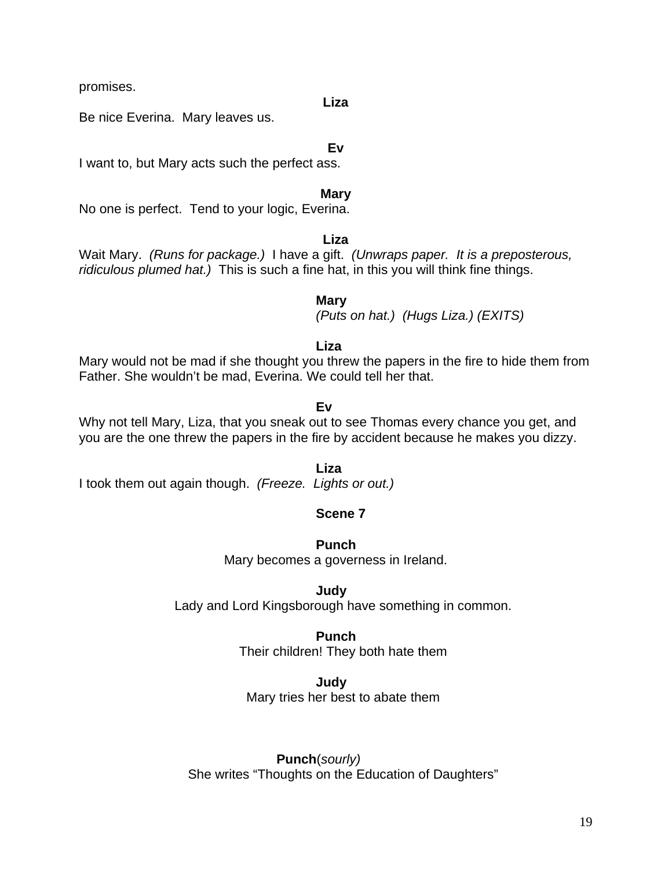promises.

### **Liza**

Be nice Everina. Mary leaves us.

#### **Ev**

I want to, but Mary acts such the perfect ass.

#### **Mary**

No one is perfect. Tend to your logic, Everina.

#### **Liza**

Wait Mary. *(Runs for package.)* I have a gift. *(Unwraps paper. It is a preposterous, ridiculous plumed hat.)* This is such a fine hat, in this you will think fine things.

## **Mary**

*(Puts on hat.) (Hugs Liza.) (EXITS)* 

## *Liza* (1999) - André de la Caracción de la Caracción de la Caracción de la Caracción de la Caracción de la Ca

Mary would not be mad if she thought you threw the papers in the fire to hide them from Father. She wouldn't be mad, Everina. We could tell her that.

#### **Ev**

Why not tell Mary, Liza, that you sneak out to see Thomas every chance you get, and you are the one threw the papers in the fire by accident because he makes you dizzy.

#### ا با المساوت المساوت المساوت المساوت المساوت المساوت المساوت المساوت المساوت المساوت المساوت المساوت المساوت<br>المساوت المساوت المساوت المساوت المساوت المساوت المساوت المساوت المساوت المساوت المساوت المساوت المساوت المسا

I took them out again though. *(Freeze. Lights or out.)* 

## **Scene 7**

**Punch** Mary becomes a governess in Ireland.

#### **Judy**

Lady and Lord Kingsborough have something in common.

## **Punch**

Their children! They both hate them

## **Judy**

Mary tries her best to abate them

## **Punch**(*sourly)*  She writes "Thoughts on the Education of Daughters"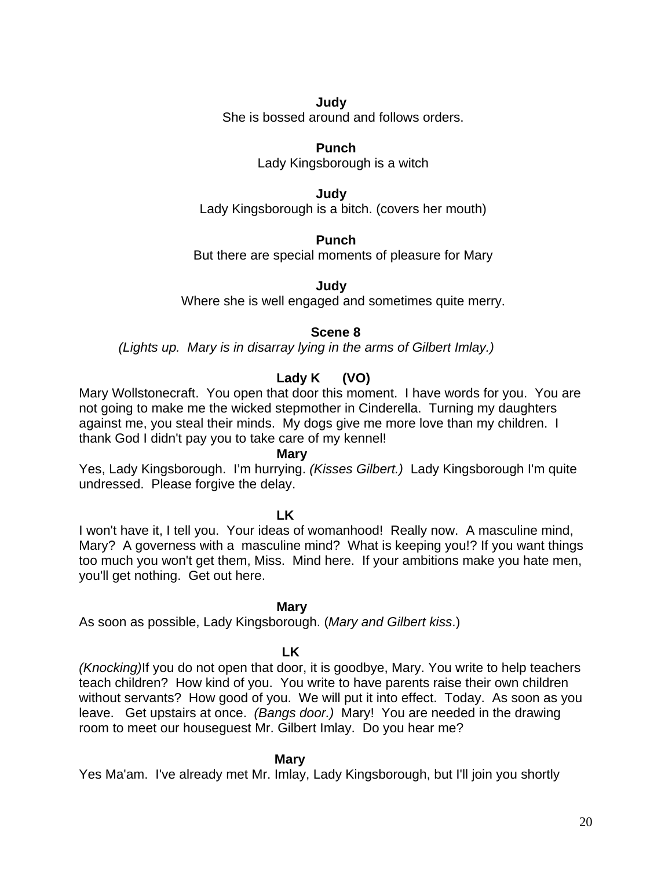## **Judy**

She is bossed around and follows orders.

## **Punch**

Lady Kingsborough is a witch

## **Judy**

Lady Kingsborough is a bitch. (covers her mouth)

## **Punch**

But there are special moments of pleasure for Mary

#### **Judy**

Where she is well engaged and sometimes quite merry.

## **Scene 8**

*(Lights up. Mary is in disarray lying in the arms of Gilbert Imlay.)* 

## **Lady K (VO)**

Mary Wollstonecraft. You open that door this moment. I have words for you. You are not going to make me the wicked stepmother in Cinderella. Turning my daughters against me, you steal their minds. My dogs give me more love than my children. I thank God I didn't pay you to take care of my kennel!

#### **Mary**

Yes, Lady Kingsborough. I'm hurrying. *(Kisses Gilbert.)* Lady Kingsborough I'm quite undressed. Please forgive the delay.

#### **LK**

I won't have it, I tell you. Your ideas of womanhood! Really now. A masculine mind, Mary? A governess with a masculine mind? What is keeping you!? If you want things too much you won't get them, Miss. Mind here. If your ambitions make you hate men, you'll get nothing. Get out here.

#### **Mary**

As soon as possible, Lady Kingsborough. (*Mary and Gilbert kiss*.)

#### **LK**

*(Knocking)*If you do not open that door, it is goodbye, Mary. You write to help teachers teach children? How kind of you. You write to have parents raise their own children without servants? How good of you. We will put it into effect. Today. As soon as you leave. Get upstairs at once. *(Bangs door.)* Mary! You are needed in the drawing room to meet our houseguest Mr. Gilbert Imlay. Do you hear me?

#### **Mary**

Yes Ma'am. I've already met Mr. Imlay, Lady Kingsborough, but I'll join you shortly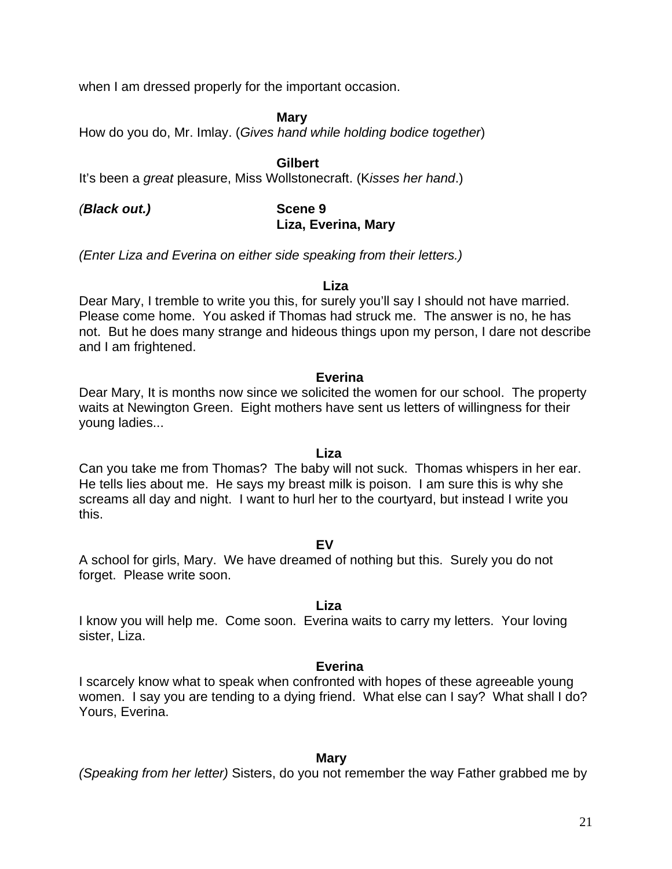when I am dressed properly for the important occasion.

 **Mary** 

How do you do, Mr. Imlay. (*Gives hand while holding bodice together*)

**Gilbert**

It's been a *great* pleasure, Miss Wollstonecraft. (K*isses her hand*.)

*(Black out.)* Scene 9

 **Liza, Everina, Mary** 

*(Enter Liza and Everina on either side speaking from their letters.)* 

#### **Liza**

Dear Mary, I tremble to write you this, for surely you'll say I should not have married. Please come home. You asked if Thomas had struck me. The answer is no, he has not. But he does many strange and hideous things upon my person, I dare not describe and I am frightened.

## **Everina**

Dear Mary, It is months now since we solicited the women for our school. The property waits at Newington Green. Eight mothers have sent us letters of willingness for their young ladies...

## *Liza* **Liza**

Can you take me from Thomas? The baby will not suck. Thomas whispers in her ear. He tells lies about me. He says my breast milk is poison. I am sure this is why she screams all day and night. I want to hurl her to the courtyard, but instead I write you this.

#### **EV**

A school for girls, Mary. We have dreamed of nothing but this. Surely you do not forget. Please write soon.

#### *Liza* (1999) - André de la Caracción de la Caracción de la Caracción de la Caracción de la Caracción de la Ca

I know you will help me. Come soon. Everina waits to carry my letters. Your loving sister, Liza.

## **Everina**

I scarcely know what to speak when confronted with hopes of these agreeable young women. I say you are tending to a dying friend. What else can I say? What shall I do? Yours, Everina.

## **Mary**

*(Speaking from her letter)* Sisters, do you not remember the way Father grabbed me by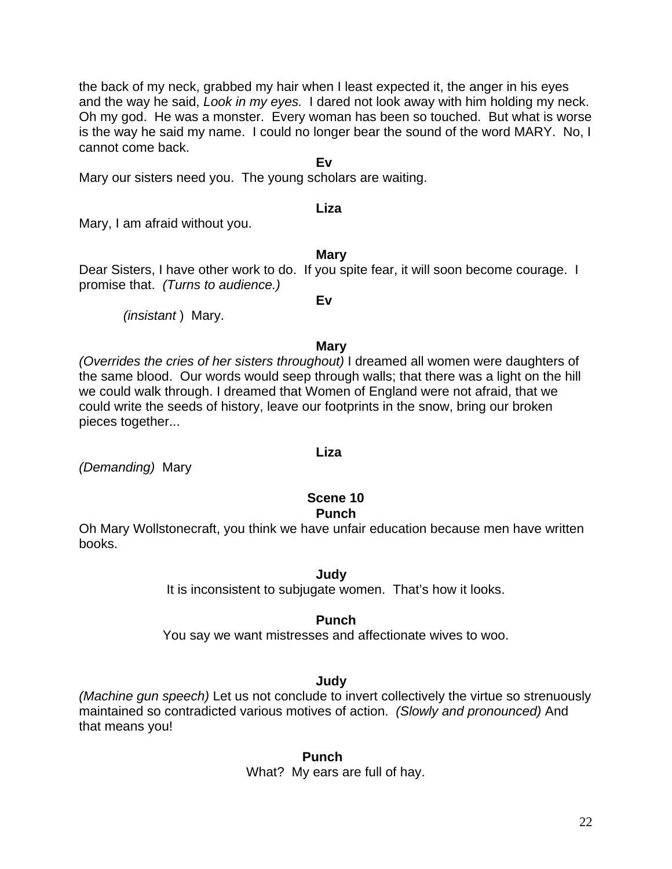the back of my neck, grabbed my hair when I least expected it, the anger in his eyes and the way he said, *Look in my eyes.* I dared not look away with him holding my neck. Oh my god. He was a monster. Every woman has been so touched. But what is worse is the way he said my name. I could no longer bear the sound of the word MARY. No, I cannot come back.

## **Event Contract Contract Contract Contract Contract Contract Contract Contract Contract Contract Contract Contra**

Mary our sisters need you. The young scholars are waiting.

#### *Liza* **Liza**

Mary, I am afraid without you.

#### **Mary**

Dear Sisters, I have other work to do. If you spite fear, it will soon become courage. I promise that. *(Turns to audience.)*

**Ev and the contract of the Ev**  *(insistant* ) Mary.

## **Mary**

*(Overrides the cries of her sisters throughout)* I dreamed all women were daughters of the same blood. Our words would seep through walls; that there was a light on the hill we could walk through. I dreamed that Women of England were not afraid, that we could write the seeds of history, leave our footprints in the snow, bring our broken pieces together...

#### **Liza**

*(Demanding)* Mary

## **Scene 10**

## **Punch**

Oh Mary Wollstonecraft, you think we have unfair education because men have written books.

#### المستخدم المستخدم المستخدم المستخدم المستخدم المستخدم المستخدم المستخدم المستخدم المستخدم المستخدم المستخدم ال

It is inconsistent to subjugate women. That's how it looks.

## **Punch**

You say we want mistresses and affectionate wives to woo.

## **Judy**

*(Machine gun speech)* Let us not conclude to invert collectively the virtue so strenuously maintained so contradicted various motives of action. *(Slowly and pronounced)* And that means you!

> **Punch**  What? My ears are full of hay.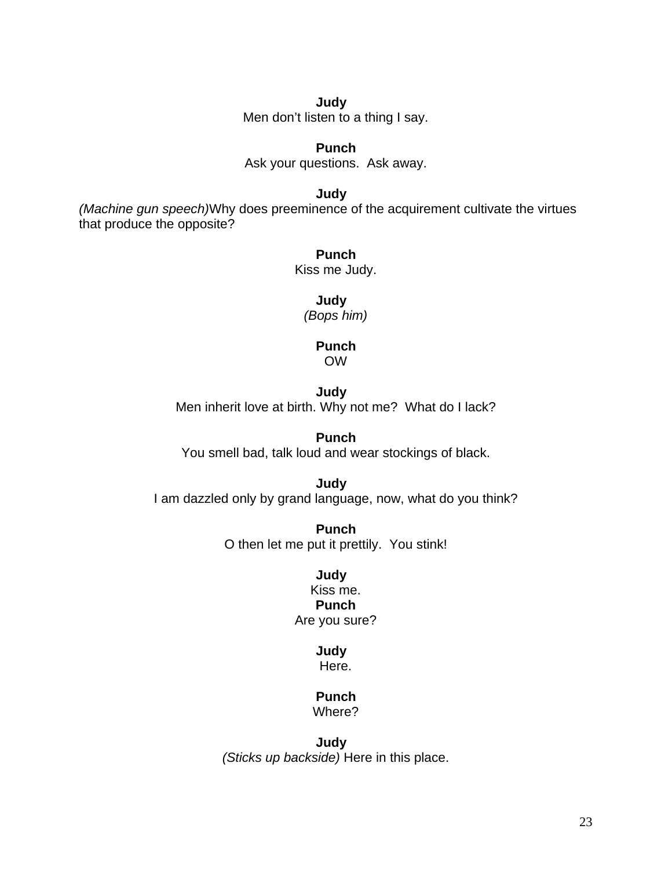#### **Judy**

Men don't listen to a thing I say.

## **Punch**

Ask your questions. Ask away.

#### *<u> Judy Business Community States (International States )</u>*

*(Machine gun speech)*Why does preeminence of the acquirement cultivate the virtues that produce the opposite?

#### **Punch**

Kiss me Judy.

## **Judy**

*(Bops him)* 

#### **Punch**  OW

## **Judy**

Men inherit love at birth. Why not me? What do I lack?

### **Punch**

You smell bad, talk loud and wear stockings of black.

#### **Judy**

I am dazzled only by grand language, now, what do you think?

 **Punch** O then let me put it prettily. You stink!

#### **Judy**

Kiss me. **Punch** Are you sure?

## **Judy**

Here.

## **Punch**

Where?

#### **Judy**

*(Sticks up backside)* Here in this place.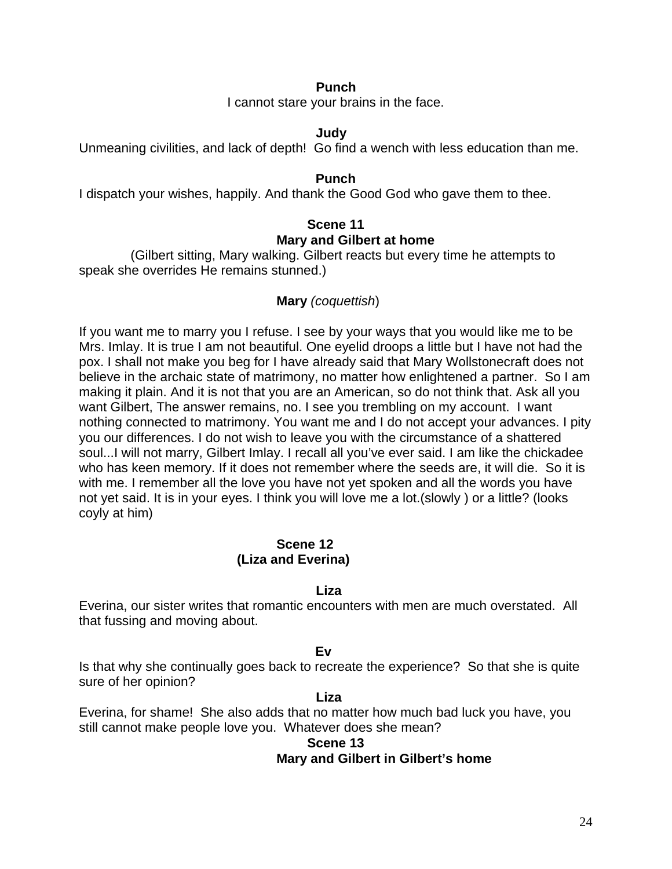### **Punch**

I cannot stare your brains in the face.

## المستخدم المستخدم المستخدم المستخدم المستخدم المستخدم المستخدم المستخدم المستخدم المستخدم المستخدم المستخدم ال

Unmeaning civilities, and lack of depth! Go find a wench with less education than me.

## **Punch**

I dispatch your wishes, happily. And thank the Good God who gave them to thee.

## **Scene 11 Mary and Gilbert at home**

(Gilbert sitting, Mary walking. Gilbert reacts but every time he attempts to speak she overrides He remains stunned.)

## **Mary** *(coquettish*)

If you want me to marry you I refuse. I see by your ways that you would like me to be Mrs. Imlay. It is true I am not beautiful. One eyelid droops a little but I have not had the pox. I shall not make you beg for I have already said that Mary Wollstonecraft does not believe in the archaic state of matrimony, no matter how enlightened a partner. So I am making it plain. And it is not that you are an American, so do not think that. Ask all you want Gilbert, The answer remains, no. I see you trembling on my account. I want nothing connected to matrimony. You want me and I do not accept your advances. I pity you our differences. I do not wish to leave you with the circumstance of a shattered soul...I will not marry, Gilbert Imlay. I recall all you've ever said. I am like the chickadee who has keen memory. If it does not remember where the seeds are, it will die. So it is with me. I remember all the love you have not yet spoken and all the words you have not yet said. It is in your eyes. I think you will love me a lot.(slowly ) or a little? (looks coyly at him)

## **Scene 12 (Liza and Everina)**

#### **Liza**

Everina, our sister writes that romantic encounters with men are much overstated. All that fussing and moving about.

## **Ev**

Is that why she continually goes back to recreate the experience? So that she is quite sure of her opinion?

#### **Liza**

Everina, for shame! She also adds that no matter how much bad luck you have, you still cannot make people love you. Whatever does she mean?

## **Scene 13**  **Mary and Gilbert in Gilbert's home**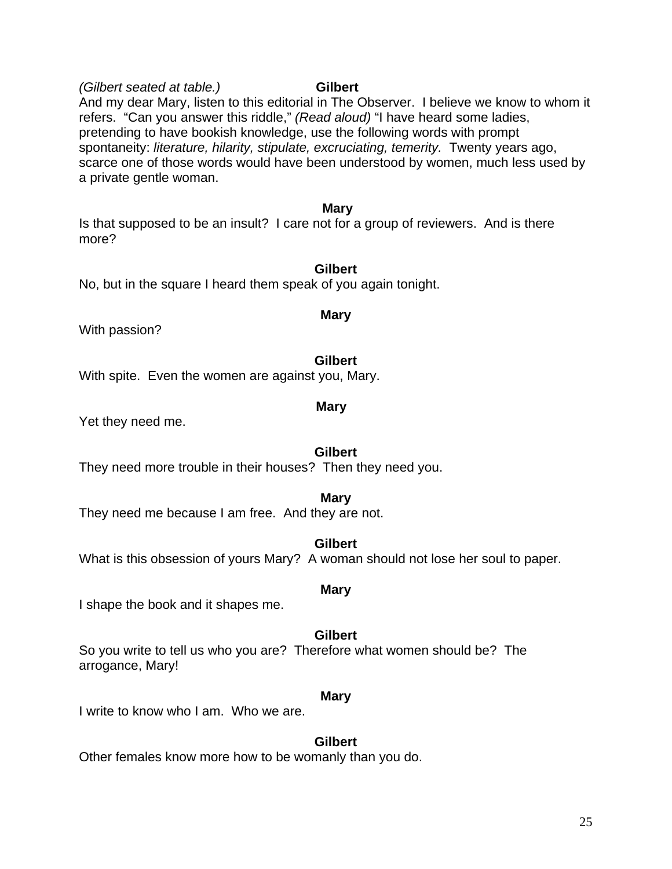## 25

## And my dear Mary, listen to this editorial in The Observer. I believe we know to whom it refers. "Can you answer this riddle," *(Read aloud)* "I have heard some ladies, pretending to have bookish knowledge, use the following words with prompt spontaneity: *literature, hilarity, stipulate, excruciating, temerity.* Twenty years ago, scarce one of those words would have been understood by women, much less used by a private gentle woman.

## **Mary**

Is that supposed to be an insult? I care not for a group of reviewers. And is there more?

## **Gilbert**

No, but in the square I heard them speak of you again tonight.

## **Mary**

With passion?

## **Gilbert**

With spite. Even the women are against you, Mary.

## **Mary**

Yet they need me.

## **Gilbert**

They need more trouble in their houses? Then they need you.

**Mary**

They need me because I am free. And they are not.

**Gilbert**

What is this obsession of yours Mary? A woman should not lose her soul to paper.

## **Mary**

I shape the book and it shapes me.

## **Gilbert**

So you write to tell us who you are? Therefore what women should be? The arrogance, Mary!

## **Mary**

I write to know who I am. Who we are.

## **Gilbert**

Other females know more how to be womanly than you do.

### *(Gilbert seated at table.)* **Gilbert**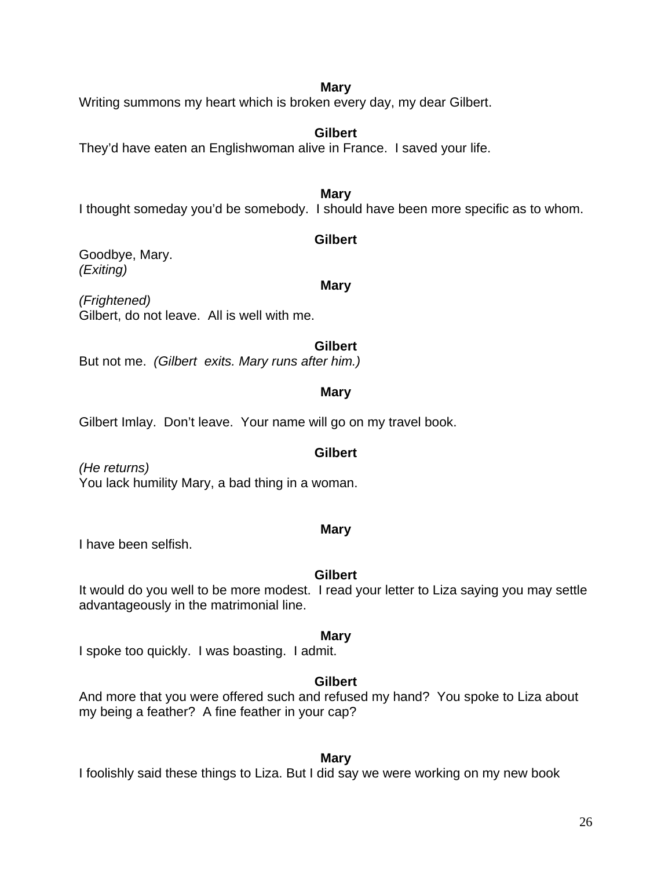# **Mary**

Writing summons my heart which is broken every day, my dear Gilbert.

#### **Gilbert**

They'd have eaten an Englishwoman alive in France. I saved your life.

#### **Mary**

I thought someday you'd be somebody. I should have been more specific as to whom.

#### **Gilbert**

**Mary**

Goodbye, Mary. *(Exiting)* 

*(Frightened)*  Gilbert, do not leave. All is well with me.

### **Gilbert**

But not me. *(Gilbert exits. Mary runs after him.)*

#### **Mary**

Gilbert Imlay. Don't leave. Your name will go on my travel book.

#### **Gilbert**

*(He returns)* You lack humility Mary, a bad thing in a woman.

#### **Mary**

I have been selfish.

#### **Gilbert**

It would do you well to be more modest. I read your letter to Liza saying you may settle advantageously in the matrimonial line.

#### **Mary**

I spoke too quickly. I was boasting. I admit.

#### **Gilbert**

And more that you were offered such and refused my hand? You spoke to Liza about my being a feather? A fine feather in your cap?

#### **Mary**

I foolishly said these things to Liza. But I did say we were working on my new book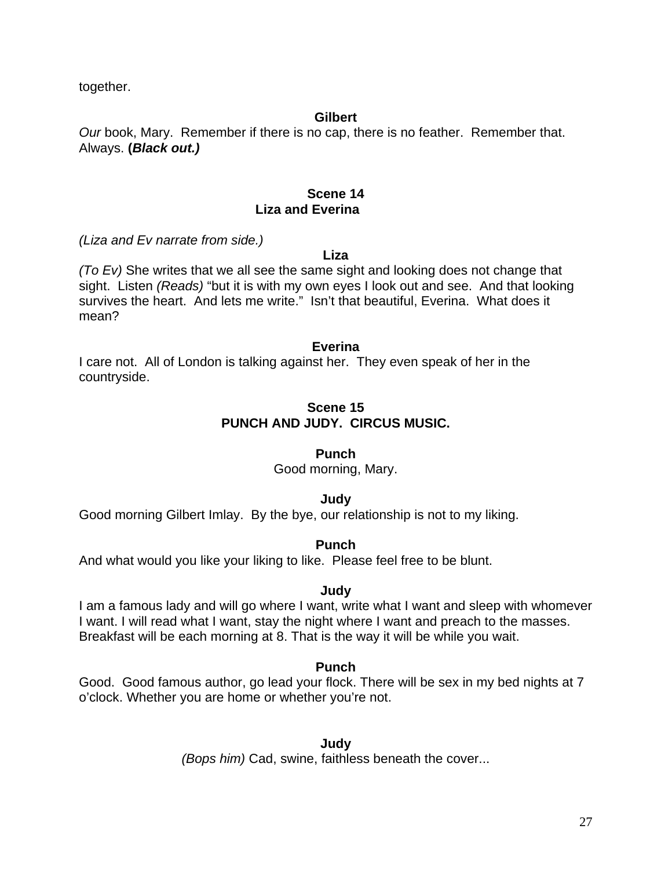together.

## **Gilbert**

*Our* book, Mary. Remember if there is no cap, there is no feather. Remember that. Always. **(***Black out.)*

## **Scene 14**  **Liza and Everina**

*(Liza and Ev narrate from side.)* 

**Liza**

*(To Ev)* She writes that we all see the same sight and looking does not change that sight. Listen *(Reads)* "but it is with my own eyes I look out and see. And that looking survives the heart. And lets me write." Isn't that beautiful, Everina. What does it mean?

## **Everina**

I care not. All of London is talking against her. They even speak of her in the countryside.

## **Scene 15 PUNCH AND JUDY. CIRCUS MUSIC.**

## **Punch**

Good morning, Mary.

## **Judy**

Good morning Gilbert Imlay. By the bye, our relationship is not to my liking.

#### **Punch**

And what would you like your liking to like. Please feel free to be blunt.

## **Judy**

I am a famous lady and will go where I want, write what I want and sleep with whomever I want. I will read what I want, stay the night where I want and preach to the masses. Breakfast will be each morning at 8. That is the way it will be while you wait.

## **Punch**

Good. Good famous author, go lead your flock. There will be sex in my bed nights at 7 o'clock. Whether you are home or whether you're not.

## **Judy**

*(Bops him)* Cad, swine, faithless beneath the cover...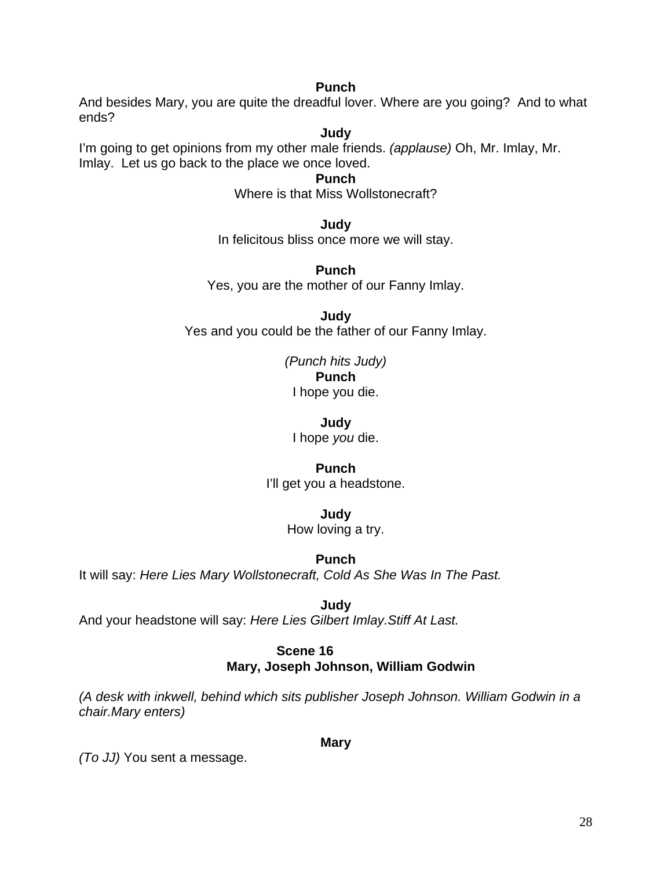## **Punch**

And besides Mary, you are quite the dreadful lover. Where are you going? And to what ends?

#### **Judy**

I'm going to get opinions from my other male friends. *(applause)* Oh, Mr. Imlay, Mr. Imlay. Let us go back to the place we once loved.

#### **Punch**

Where is that Miss Wollstonecraft?

**Judy**

In felicitous bliss once more we will stay.

**Punch**

Yes, you are the mother of our Fanny Imlay.

**Judy** Yes and you could be the father of our Fanny Imlay.

> *(Punch hits Judy)* **Punch** I hope you die.

**Judy** I hope *you* die.

#### **Punch**

I'll get you a headstone.

## **Judy**

How loving a try.

**Punch** 

It will say: *Here Lies Mary Wollstonecraft, Cold As She Was In The Past.* 

**Judy**

And your headstone will say: *Here Lies Gilbert Imlay.Stiff At Last.*

# **Scene 16**

 **Mary, Joseph Johnson, William Godwin** 

*(A desk with inkwell, behind which sits publisher Joseph Johnson. William Godwin in a chair.Mary enters)* 

#### **Mary**

*(To JJ)* You sent a message.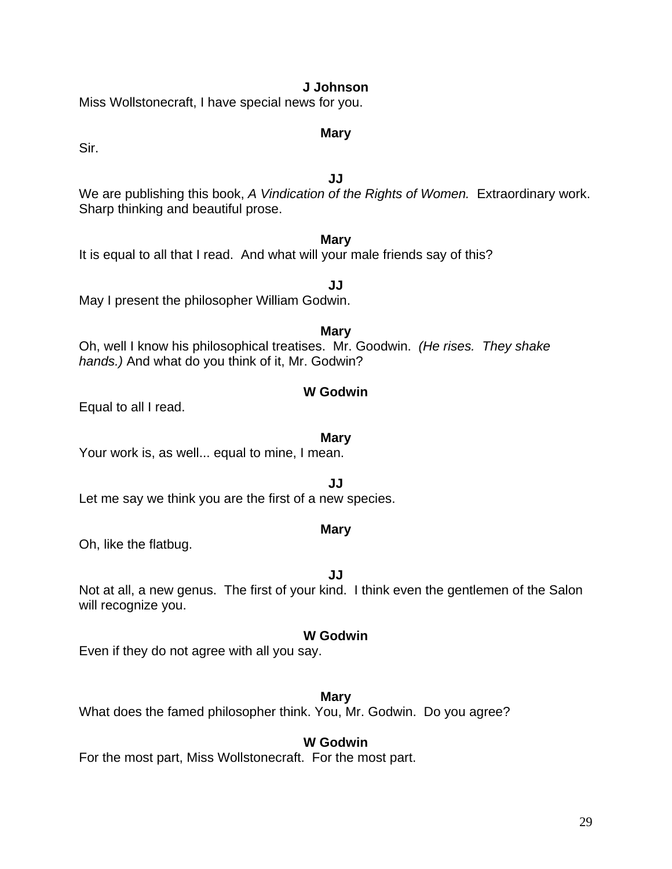#### **J Johnson**

**Mary**

Miss Wollstonecraft, I have special news for you.

Sir.

## **JJ**

We are publishing this book, *A Vindication of the Rights of Women.* Extraordinary work. Sharp thinking and beautiful prose.

#### **Mary**

It is equal to all that I read. And what will your male friends say of this?

May I present the philosopher William Godwin.

#### **Mary** Oh, well I know his philosophical treatises. Mr. Goodwin. *(He rises. They shake hands.)* And what do you think of it, Mr. Godwin?

#### **W Godwin**

Equal to all I read.

#### **Mary**

Your work is, as well... equal to mine, I mean.

**JJ** Let me say we think you are the first of a new species.

#### **Mary**

Oh, like the flatbug.

#### **JJ**

Not at all, a new genus. The first of your kind. I think even the gentlemen of the Salon will recognize you.

#### **W Godwin**

Even if they do not agree with all you say.

## **Mary**

What does the famed philosopher think. You, Mr. Godwin. Do you agree?

## **W Godwin**

For the most part, Miss Wollstonecraft. For the most part.

**JJ**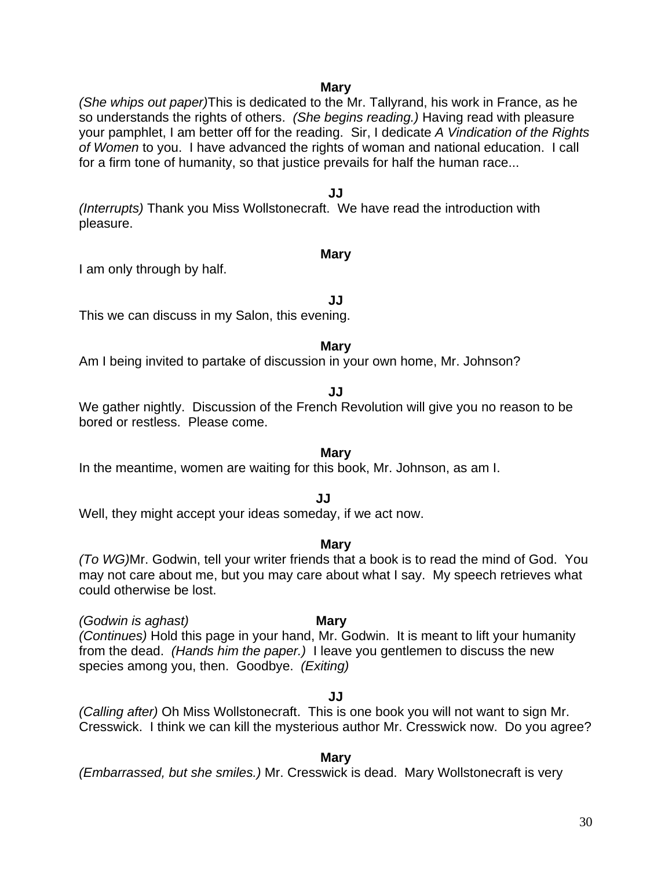### **Mary**

*(She whips out paper)*This is dedicated to the Mr. Tallyrand, his work in France, as he so understands the rights of others. *(She begins reading.)* Having read with pleasure your pamphlet, I am better off for the reading. Sir, I dedicate *A Vindication of the Rights of Women* to you. I have advanced the rights of woman and national education. I call for a firm tone of humanity, so that justice prevails for half the human race...

## **JJ**

*(Interrupts)* Thank you Miss Wollstonecraft. We have read the introduction with pleasure.

I am only through by half.

#### **JJ**

**Mary**

This we can discuss in my Salon, this evening.

#### **Mary**

Am I being invited to partake of discussion in your own home, Mr. Johnson?

#### **JJ**

We gather nightly. Discussion of the French Revolution will give you no reason to be bored or restless. Please come.

#### **Mary**

In the meantime, women are waiting for this book, Mr. Johnson, as am I.

#### **JJ**

Well, they might accept your ideas someday, if we act now.

#### **Mary**

*(To WG)*Mr. Godwin, tell your writer friends that a book is to read the mind of God. You may not care about me, but you may care about what I say. My speech retrieves what could otherwise be lost.

*(Godwin is aghast)* **Mary**

*(Continues)* Hold this page in your hand, Mr. Godwin. It is meant to lift your humanity from the dead. *(Hands him the paper.)* I leave you gentlemen to discuss the new species among you, then. Goodbye. *(Exiting)*

#### **JJ**

*(Calling after)* Oh Miss Wollstonecraft. This is one book you will not want to sign Mr. Cresswick. I think we can kill the mysterious author Mr. Cresswick now. Do you agree?

#### **Mary**

*(Embarrassed, but she smiles.)* Mr. Cresswick is dead. Mary Wollstonecraft is very

#### 30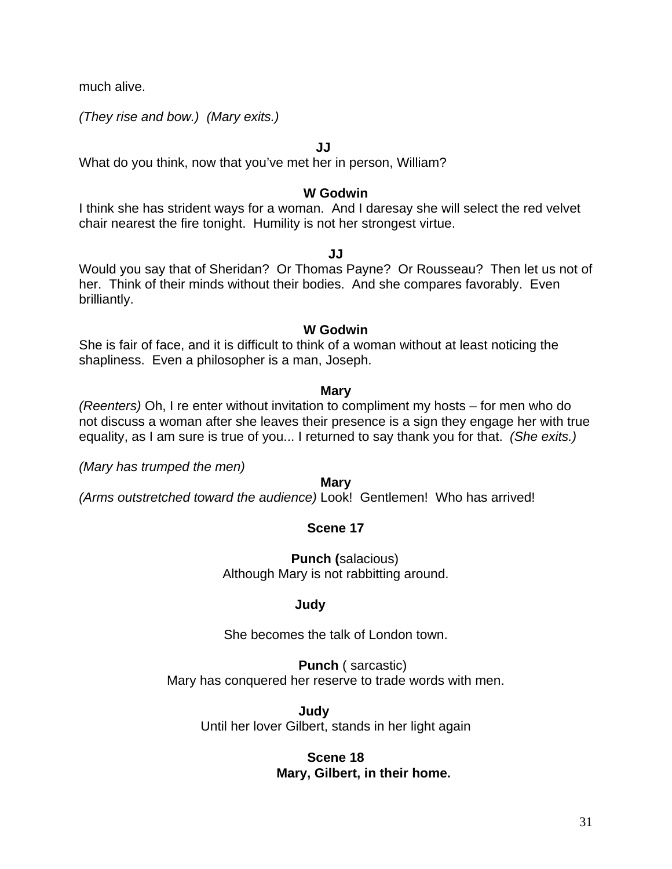much alive.

*(They rise and bow.) (Mary exits.)* 

**JJ**

What do you think, now that you've met her in person, William?

## **W Godwin**

I think she has strident ways for a woman. And I daresay she will select the red velvet chair nearest the fire tonight. Humility is not her strongest virtue.

#### **JJ**

Would you say that of Sheridan? Or Thomas Payne? Or Rousseau? Then let us not of her. Think of their minds without their bodies. And she compares favorably. Even brilliantly.

#### **W Godwin**

She is fair of face, and it is difficult to think of a woman without at least noticing the shapliness. Even a philosopher is a man, Joseph.

## **Mary**

*(Reenters)* Oh, I re enter without invitation to compliment my hosts – for men who do not discuss a woman after she leaves their presence is a sign they engage her with true equality, as I am sure is true of you... I returned to say thank you for that. *(She exits.)* 

*(Mary has trumped the men)* 

**Mary**

*(Arms outstretched toward the audience)* Look! Gentlemen! Who has arrived!

## **Scene 17**

## **Punch (**salacious) Although Mary is not rabbitting around.

## **Judy**

She becomes the talk of London town.

 **Punch** ( sarcastic) Mary has conquered her reserve to trade words with men.

> **Judy**  Until her lover Gilbert, stands in her light again

## **Scene 18 Mary, Gilbert, in their home.**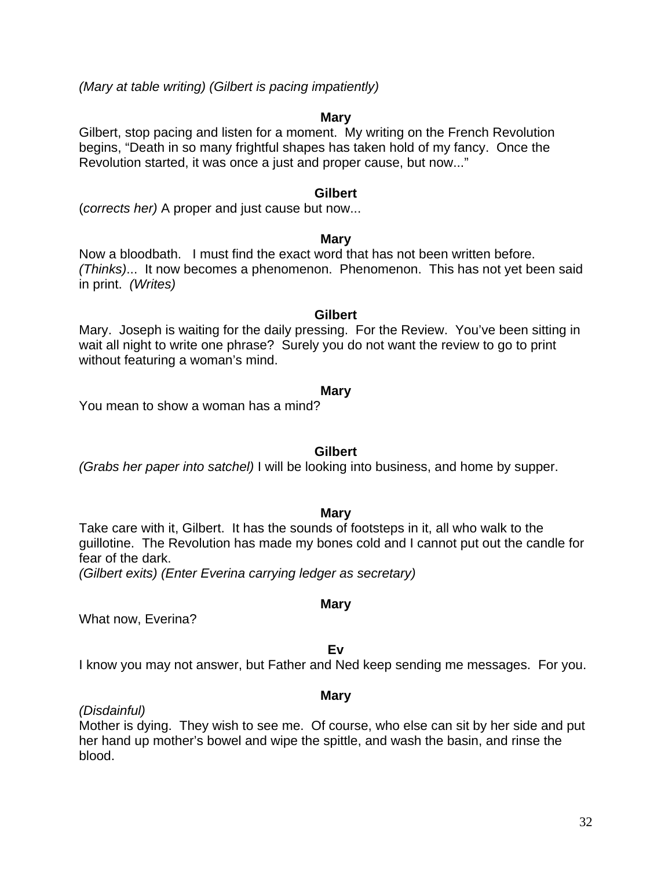*(Mary at table writing) (Gilbert is pacing impatiently)* 

## **Mary**

Gilbert, stop pacing and listen for a moment. My writing on the French Revolution begins, "Death in so many frightful shapes has taken hold of my fancy. Once the Revolution started, it was once a just and proper cause, but now..."

### **Gilbert**

(*corrects her)* A proper and just cause but now...

## **Mary**

Now a bloodbath. I must find the exact word that has not been written before. *(Thinks)*... It now becomes a phenomenon. Phenomenon. This has not yet been said in print. *(Writes)* 

## **Gilbert**

Mary. Joseph is waiting for the daily pressing. For the Review. You've been sitting in wait all night to write one phrase? Surely you do not want the review to go to print without featuring a woman's mind.

## **Mary**

You mean to show a woman has a mind?

## **Gilbert**

*(Grabs her paper into satchel)* I will be looking into business, and home by supper.

## **Mary**

Take care with it, Gilbert. It has the sounds of footsteps in it, all who walk to the guillotine. The Revolution has made my bones cold and I cannot put out the candle for fear of the dark.

*(Gilbert exits) (Enter Everina carrying ledger as secretary)*

## **Mary**

What now, Everina?

## **Ev**

I know you may not answer, but Father and Ned keep sending me messages. For you.

## **Mary**

*(Disdainful)*

Mother is dying. They wish to see me. Of course, who else can sit by her side and put her hand up mother's bowel and wipe the spittle, and wash the basin, and rinse the blood.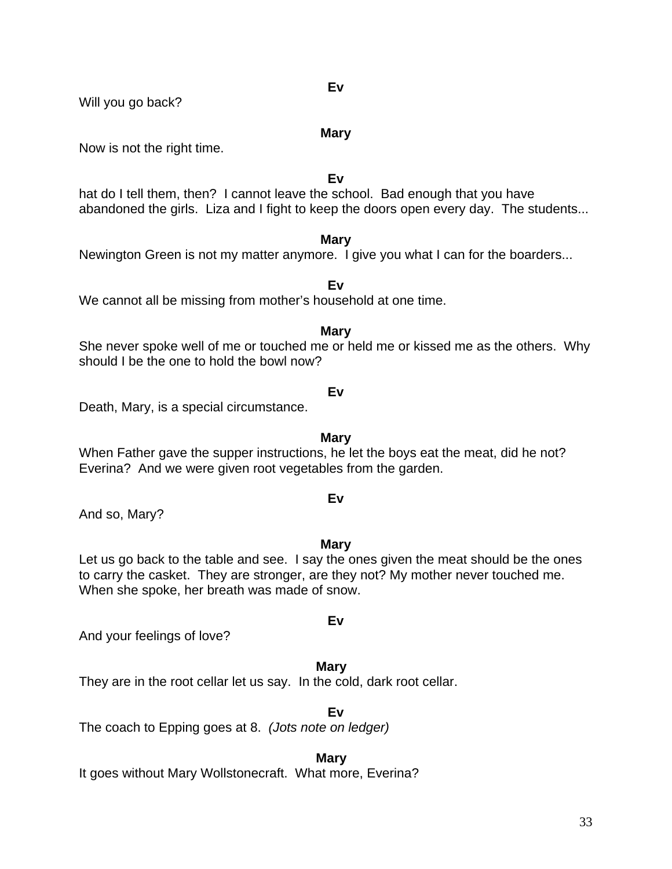Will you go back?

**Mary**

Now is not the right time.

#### **Ev**

hat do I tell them, then? I cannot leave the school. Bad enough that you have abandoned the girls. Liza and I fight to keep the doors open every day. The students...

#### **Mary**

Newington Green is not my matter anymore. I give you what I can for the boarders...

### **Ev**

We cannot all be missing from mother's household at one time.

#### **Mary**

She never spoke well of me or touched me or held me or kissed me as the others. Why should I be the one to hold the bowl now?

#### **Ev**

Death, Mary, is a special circumstance.

**Mary** When Father gave the supper instructions, he let the boys eat the meat, did he not? Everina? And we were given root vegetables from the garden.

And so, Mary?

**Mary** Let us go back to the table and see. I say the ones given the meat should be the ones to carry the casket. They are stronger, are they not? My mother never touched me. When she spoke, her breath was made of snow.

**Ev**

**Ev**

And your feelings of love?

#### **Mary Mary** *Mary Mary*

They are in the root cellar let us say. In the cold, dark root cellar.

#### **Ev**

The coach to Epping goes at 8. *(Jots note on ledger)*

#### **Mary**

It goes without Mary Wollstonecraft. What more, Everina?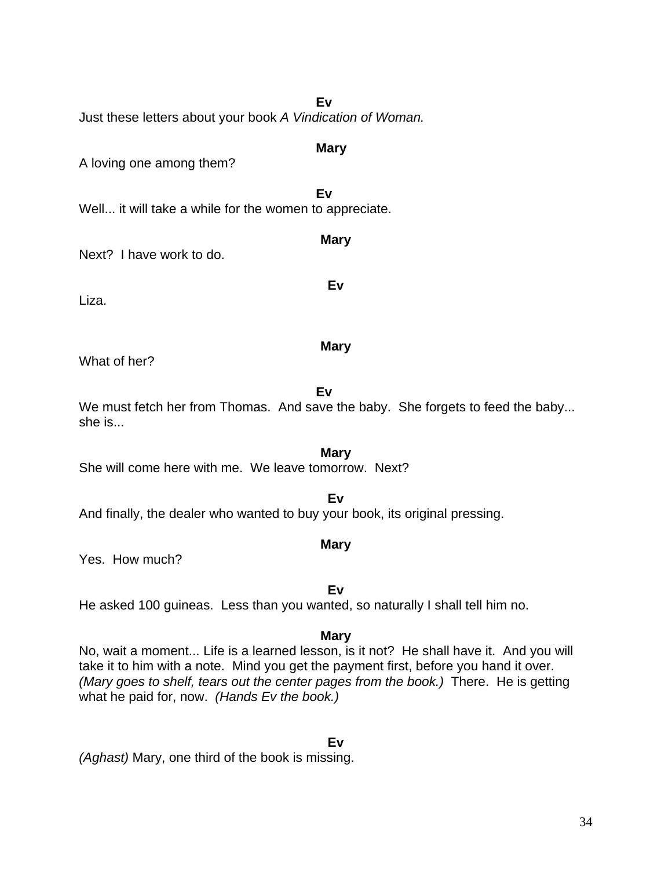**Event Contract Contract Contract Contract Contract Contract Contract Contract Contract Contract Contract Contra** Just these letters about your book *A Vindication of Woman.* 

A loving one among them?

**Event Contract Contract Contract Contract Contract Contract Contract Contract Contract Contract Contract Contra** Well... it will take a while for the women to appreciate.

Next? I have work to do.

Liza.

What of her?

**Event All Andrew Brown Eve** We must fetch her from Thomas. And save the baby. She forgets to feed the baby... she is...

**Mary** She will come here with me. We leave tomorrow. Next?

And finally, the dealer who wanted to buy your book, its original pressing.

Yes. How much?

He asked 100 guineas. Less than you wanted, so naturally I shall tell him no.

**Mary**

**Ev**

No, wait a moment... Life is a learned lesson, is it not? He shall have it. And you will take it to him with a note. Mind you get the payment first, before you hand it over. *(Mary goes to shelf, tears out the center pages from the book.)* There. He is getting what he paid for, now. *(Hands Ev the book.)*

*(Aghast)* Mary, one third of the book is missing.

# **Ev**

## **Ev**

# **Mary**

# **Ev**

**Mary**

**Mary**

**Mary**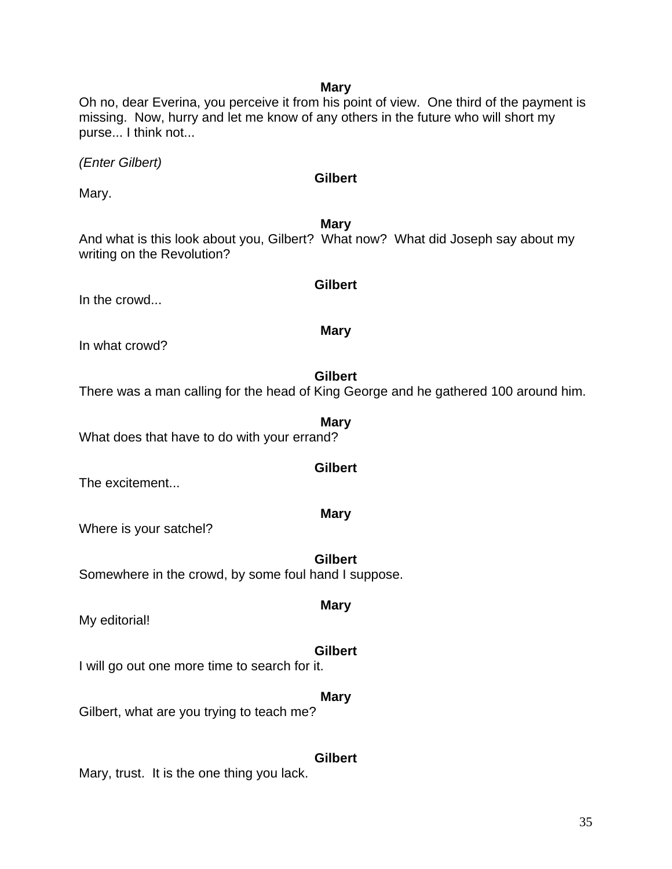#### **Mary**

Oh no, dear Everina, you perceive it from his point of view. One third of the payment is missing. Now, hurry and let me know of any others in the future who will short my purse... I think not...

*(Enter Gilbert)* 

**Gilbert**

Mary.

**Mary** And what is this look about you, Gilbert? What now? What did Joseph say about my writing on the Revolution?

In the crowd...

### **Mary**

**Gilbert** 

In what crowd?

**Gilbert** There was a man calling for the head of King George and he gathered 100 around him.

**Gilbert**

**Mary**

**Mary** What does that have to do with your errand?

The excitement...

Where is your satchel?

**Gilbert** Somewhere in the crowd, by some foul hand I suppose.

My editorial!

## **Gilbert**

**Mary**

I will go out one more time to search for it.

#### **Mary**

Gilbert, what are you trying to teach me?

#### **Gilbert**

Mary, trust. It is the one thing you lack.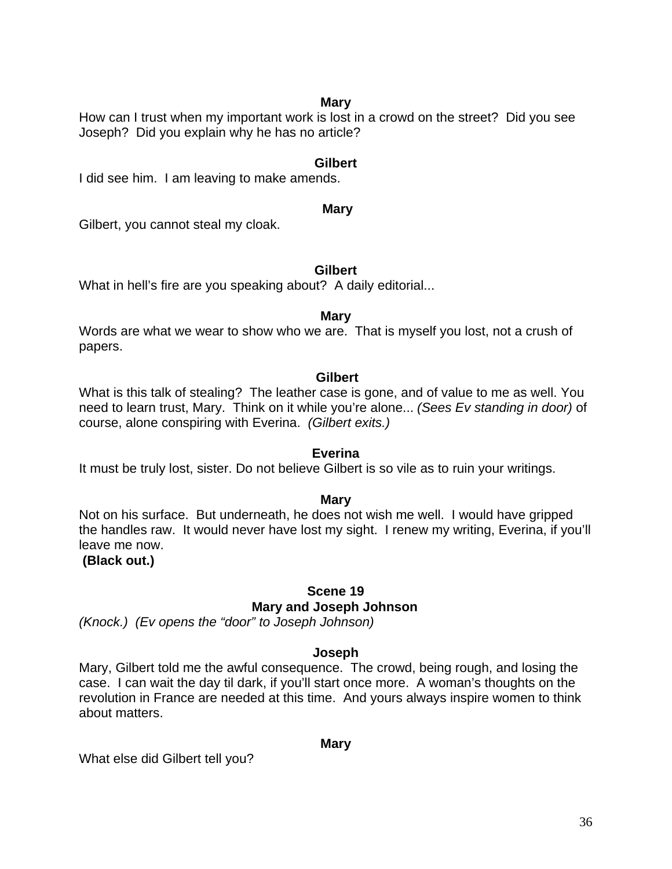## **Mary**

How can I trust when my important work is lost in a crowd on the street? Did you see Joseph? Did you explain why he has no article?

## **Gilbert**

I did see him. I am leaving to make amends.

### **Mary**

Gilbert, you cannot steal my cloak.

#### **Gilbert**

What in hell's fire are you speaking about? A daily editorial...

## **Mary**

Words are what we wear to show who we are. That is myself you lost, not a crush of papers.

#### **Gilbert**

What is this talk of stealing? The leather case is gone, and of value to me as well. You need to learn trust, Mary. Think on it while you're alone... *(Sees Ev standing in door)* of course, alone conspiring with Everina. *(Gilbert exits.)*

#### **Everina**

It must be truly lost, sister. Do not believe Gilbert is so vile as to ruin your writings.

#### **Mary**

Not on his surface. But underneath, he does not wish me well. I would have gripped the handles raw. It would never have lost my sight. I renew my writing, Everina, if you'll leave me now.

 **(Black out.)** 

## **Scene 19**

## **Mary and Joseph Johnson**

*(Knock.) (Ev opens the "door" to Joseph Johnson)*

## **Joseph**

Mary, Gilbert told me the awful consequence. The crowd, being rough, and losing the case. I can wait the day til dark, if you'll start once more. A woman's thoughts on the revolution in France are needed at this time. And yours always inspire women to think about matters.

#### **Mary**

What else did Gilbert tell you?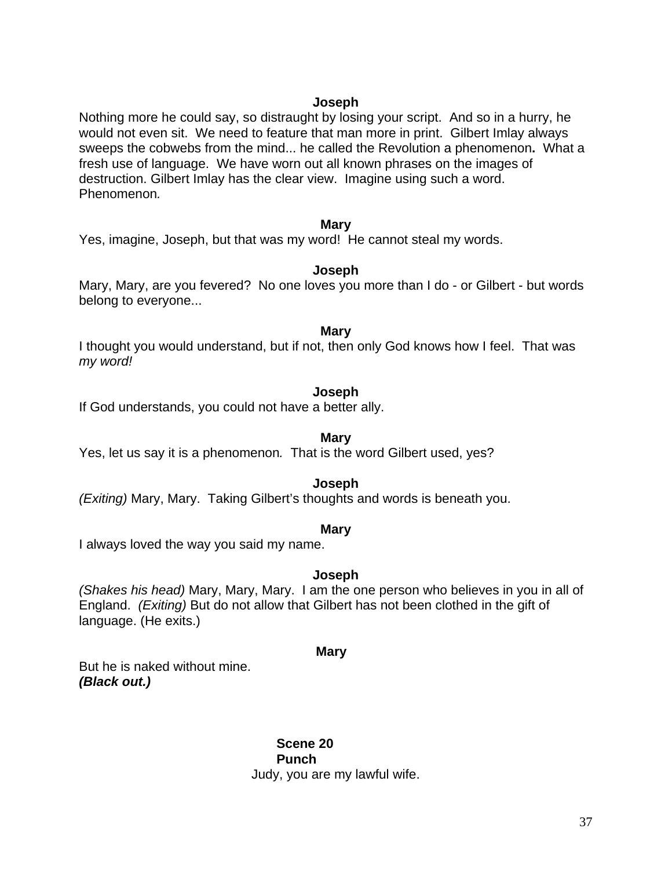#### **Joseph**

Nothing more he could say, so distraught by losing your script. And so in a hurry, he would not even sit. We need to feature that man more in print. Gilbert Imlay always sweeps the cobwebs from the mind... he called the Revolution a phenomenon**.**What a fresh use of language. We have worn out all known phrases on the images of destruction. Gilbert Imlay has the clear view. Imagine using such a word. Phenomenon*.*

## **Mary**

Yes, imagine, Joseph, but that was my word! He cannot steal my words.

## **Joseph**

Mary, Mary, are you fevered? No one loves you more than I do - or Gilbert - but words belong to everyone...

#### **Mary**

I thought you would understand, but if not, then only God knows how I feel. That was *my word!*

## **Joseph**

If God understands, you could not have a better ally.

## **Mary**

Yes, let us say it is a phenomenon*.* That is the word Gilbert used, yes?

## **Joseph**

*(Exiting)* Mary, Mary. Taking Gilbert's thoughts and words is beneath you.

## **Mary**

I always loved the way you said my name.

#### **Joseph**

*(Shakes his head)* Mary, Mary, Mary. I am the one person who believes in you in all of England. *(Exiting)* But do not allow that Gilbert has not been clothed in the gift of language. (He exits.)

#### **Mary**

But he is naked without mine. *(Black out.)*

> **Scene 20 Punch**  Judy, you are my lawful wife.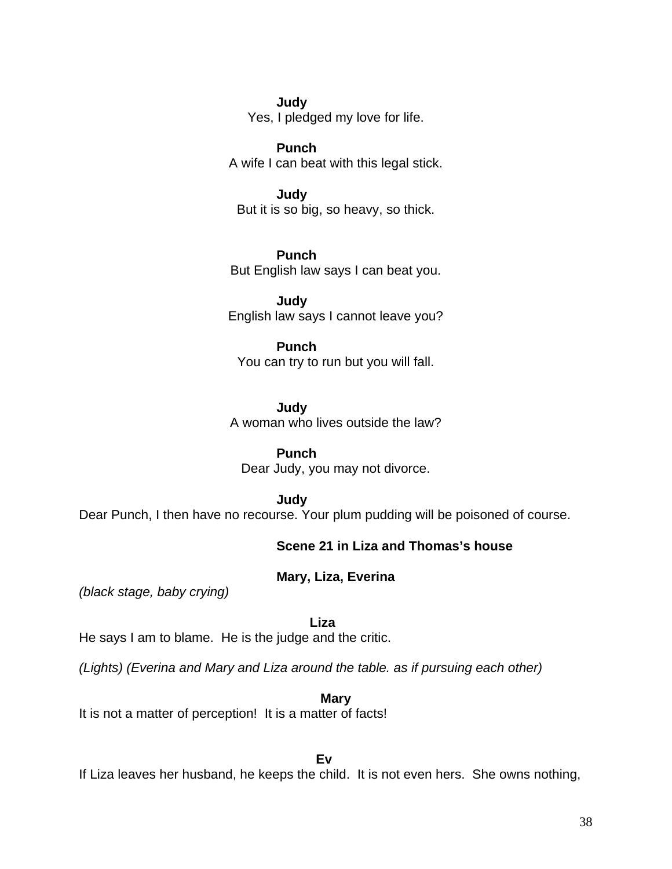**Judy** Yes, I pledged my love for life.

 **Punch**  A wife I can beat with this legal stick.

 **Judy**  But it is so big, so heavy, so thick.

 **Punch**  But English law says I can beat you.

 **Judy**  English law says I cannot leave you?

 **Punch**  You can try to run but you will fall.

**Judy**  A woman who lives outside the law?

**Punch** Dear Judy, you may not divorce.

**Judy**  Dear Punch, I then have no recourse. Your plum pudding will be poisoned of course.

**Scene 21 in Liza and Thomas's house**

## **Mary, Liza, Everina**

*(black stage, baby crying)* 

 **Liza**

He says I am to blame. He is the judge and the critic.

*(Lights) (Everina and Mary and Liza around the table. as if pursuing each other)* 

**Mary**

It is not a matter of perception! It is a matter of facts!

**Ev**

If Liza leaves her husband, he keeps the child. It is not even hers. She owns nothing,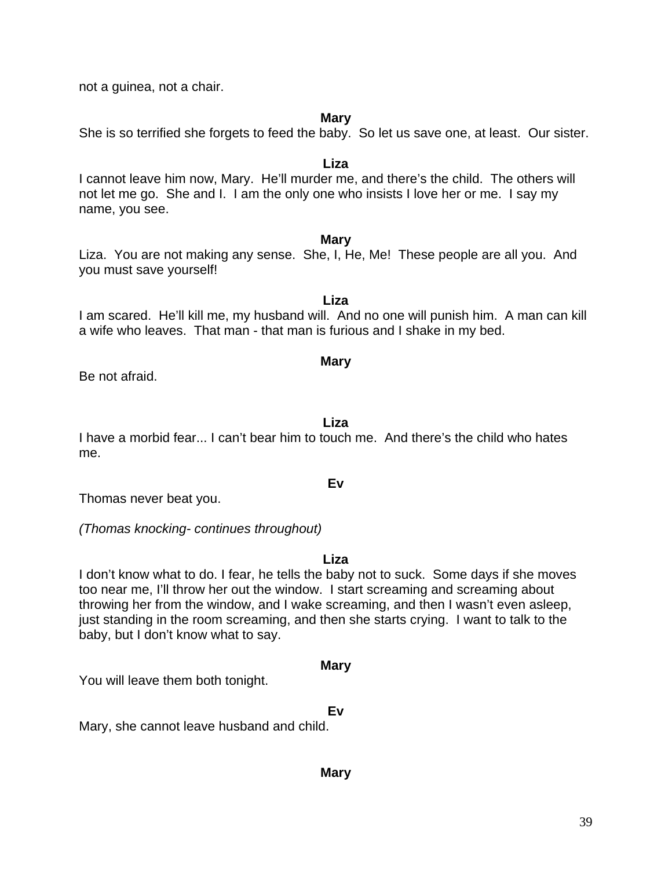not a guinea, not a chair.

## **Mary**

She is so terrified she forgets to feed the baby. So let us save one, at least. Our sister.

## **Liza**

I cannot leave him now, Mary. He'll murder me, and there's the child. The others will not let me go. She and I. I am the only one who insists I love her or me. I say my name, you see.

## **Mary**

Liza. You are not making any sense. She, I, He, Me! These people are all you. And you must save yourself!

**Liza** I am scared. He'll kill me, my husband will. And no one will punish him. A man can kill a wife who leaves. That man - that man is furious and I shake in my bed.

#### **Mary**

Be not afraid.

## **Liza**

**Ev**

I have a morbid fear... I can't bear him to touch me. And there's the child who hates me.

Thomas never beat you.

*(Thomas knocking- continues throughout)*

## **Liza**

I don't know what to do. I fear, he tells the baby not to suck. Some days if she moves too near me, I'll throw her out the window. I start screaming and screaming about throwing her from the window, and I wake screaming, and then I wasn't even asleep, just standing in the room screaming, and then she starts crying. I want to talk to the baby, but I don't know what to say.

## **Mary**

You will leave them both tonight.

## **Ev**

Mary, she cannot leave husband and child.

## **Mary**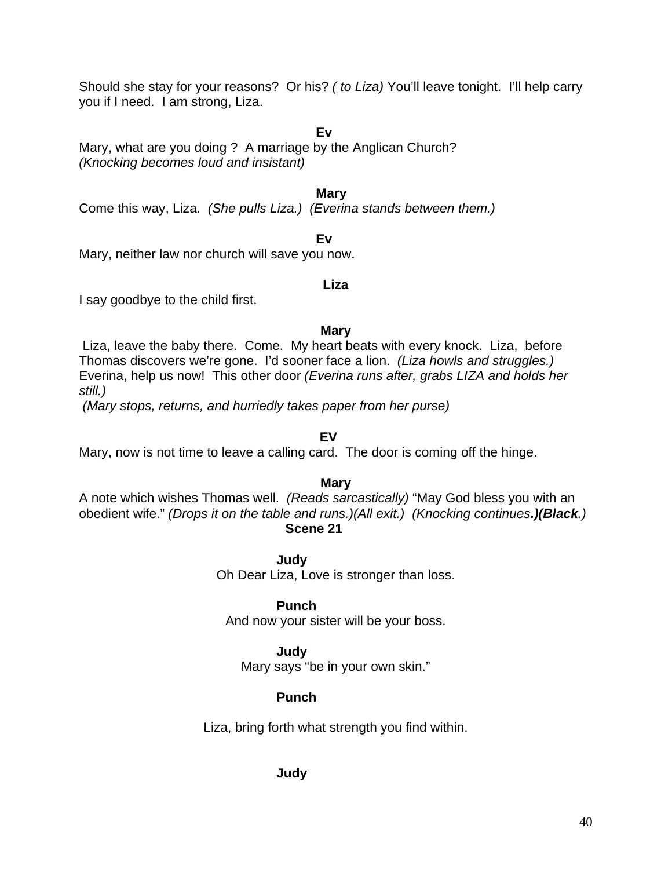Should she stay for your reasons? Or his? *( to Liza)* You'll leave tonight. I'll help carry you if I need. I am strong, Liza.

**Event All Andrew Brown Eve** 

Mary, what are you doing ? A marriage by the Anglican Church? *(Knocking becomes loud and insistant)*

## **Mary**

Come this way, Liza. *(She pulls Liza.) (Everina stands between them.)* 

*Event All the Second All the Event All the Ev* 

Mary, neither law nor church will save you now.

## **Liza**

I say goodbye to the child first.

## **Mary**

 Liza, leave the baby there. Come. My heart beats with every knock. Liza, before Thomas discovers we're gone. I'd sooner face a lion. *(Liza howls and struggles.)* Everina, help us now! This other door *(Everina runs after, grabs LIZA and holds her still.)* 

 *(Mary stops, returns, and hurriedly takes paper from her purse)* 

**EV** 

Mary, now is not time to leave a calling card. The door is coming off the hinge.

## **Mary**

A note which wishes Thomas well. *(Reads sarcastically)* "May God bless you with an obedient wife." *(Drops it on the table and runs.)(All exit.) (Knocking continues.)(Black.)*  **Scene 21** 

> **Judy**  Oh Dear Liza, Love is stronger than loss.

## **Punch**

And now your sister will be your boss.

## **Judy**

Mary says "be in your own skin."

## **Punch**

Liza, bring forth what strength you find within.

**Judy**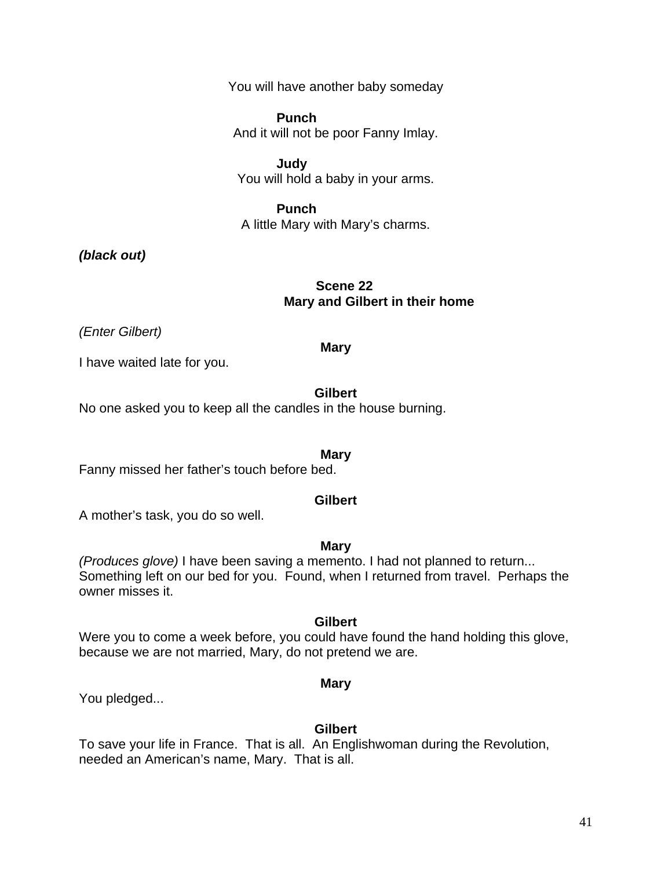You will have another baby someday

 **Punch**  And it will not be poor Fanny Imlay.

 **Judy**  You will hold a baby in your arms.

**Punch** 

A little Mary with Mary's charms.

*(black out)* 

## **Scene 22 Mary and Gilbert in their home**

*(Enter Gilbert)*

**Mary**

I have waited late for you.

## **Gilbert**

No one asked you to keep all the candles in the house burning.

## **Mary**

Fanny missed her father's touch before bed.

#### **Gilbert**

A mother's task, you do so well.

#### **Mary**

*(Produces glove)* I have been saving a memento. I had not planned to return... Something left on our bed for you. Found, when I returned from travel. Perhaps the owner misses it.

## **Gilbert**

Were you to come a week before, you could have found the hand holding this glove, because we are not married, Mary, do not pretend we are.

## **Mary**

You pledged...

## **Gilbert**

To save your life in France. That is all. An Englishwoman during the Revolution, needed an American's name, Mary. That is all.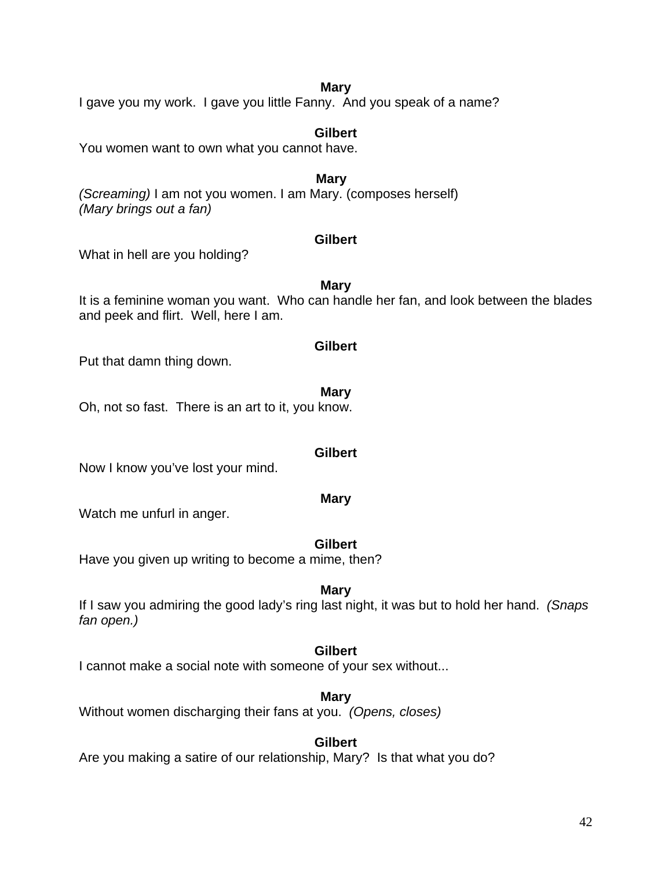#### **Mary**

I gave you my work. I gave you little Fanny. And you speak of a name?

## **Gilbert**

You women want to own what you cannot have.

#### **Mary**

*(Screaming)* I am not you women. I am Mary. (composes herself) *(Mary brings out a fan)*

## **Gilbert**

What in hell are you holding?

## **Mary**

It is a feminine woman you want. Who can handle her fan, and look between the blades and peek and flirt. Well, here I am.

#### **Gilbert**

Put that damn thing down.

#### **Mary**

Oh, not so fast. There is an art to it, you know.

## **Gilbert**

Now I know you've lost your mind.

#### **Mary**

Watch me unfurl in anger.

**Gilbert**

Have you given up writing to become a mime, then?

## **Mary**

If I saw you admiring the good lady's ring last night, it was but to hold her hand. *(Snaps fan open.)* 

## **Gilbert**

I cannot make a social note with someone of your sex without...

#### **Mary**

Without women discharging their fans at you. *(Opens, closes)*

## **Gilbert**

Are you making a satire of our relationship, Mary? Is that what you do?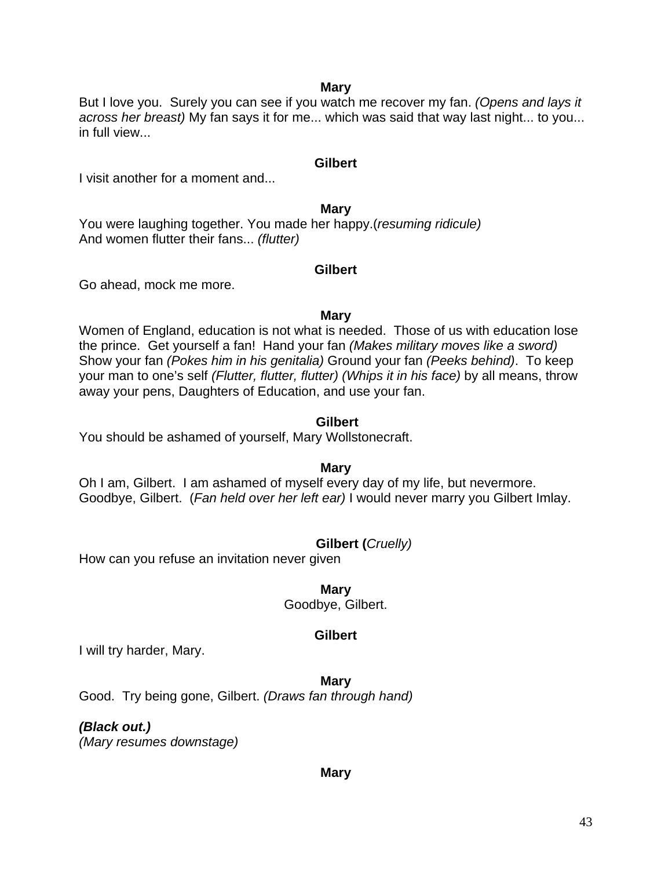## **Mary**

But I love you. Surely you can see if you watch me recover my fan. *(Opens and lays it across her breast)* My fan says it for me... which was said that way last night... to you... in full view...

#### **Gilbert**

I visit another for a moment and...

#### **Mary**

You were laughing together. You made her happy.(*resuming ridicule)*  And women flutter their fans... *(flutter)*

#### **Gilbert**

Go ahead, mock me more.

#### **Mary**

Women of England, education is not what is needed. Those of us with education lose the prince. Get yourself a fan! Hand your fan *(Makes military moves like a sword)* Show your fan *(Pokes him in his genitalia)* Ground your fan *(Peeks behind)*. To keep your man to one's self *(Flutter, flutter, flutter) (Whips it in his face)* by all means, throw away your pens, Daughters of Education, and use your fan.

#### **Gilbert**

You should be ashamed of yourself, Mary Wollstonecraft.

#### **Mary**

Oh I am, Gilbert. I am ashamed of myself every day of my life, but nevermore. Goodbye, Gilbert. (*Fan held over her left ear)* I would never marry you Gilbert Imlay.

#### **Gilbert (***Cruelly)*

How can you refuse an invitation never given

#### **Mary**

Goodbye, Gilbert.

#### **Gilbert**

I will try harder, Mary.

**Mary**  Good. Try being gone, Gilbert. *(Draws fan through hand)* 

#### *(Black out.)*

*(Mary resumes downstage)*

#### **Mary**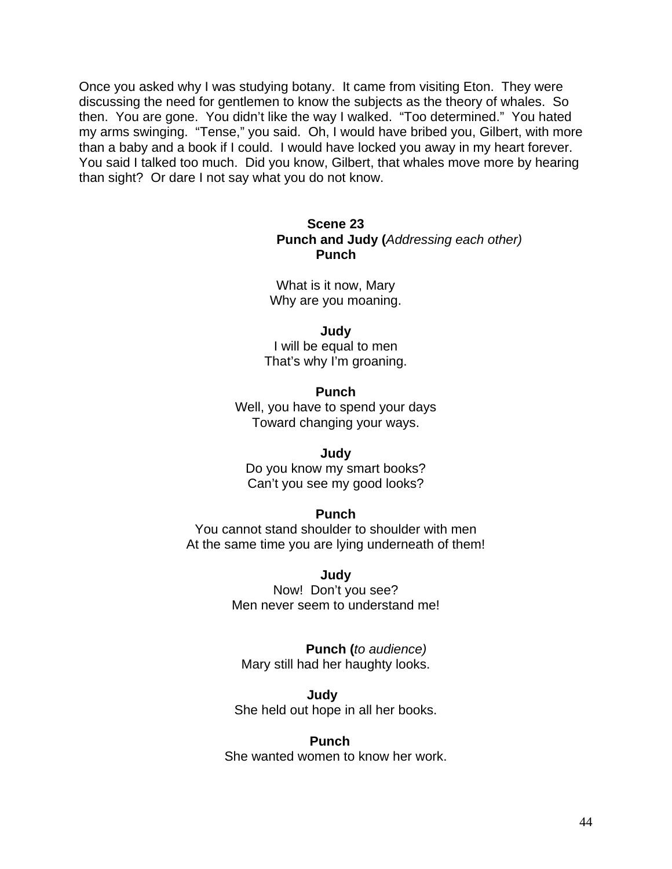Once you asked why I was studying botany. It came from visiting Eton. They were discussing the need for gentlemen to know the subjects as the theory of whales. So then. You are gone. You didn't like the way I walked. "Too determined." You hated my arms swinging. "Tense," you said. Oh, I would have bribed you, Gilbert, with more than a baby and a book if I could. I would have locked you away in my heart forever. You said I talked too much. Did you know, Gilbert, that whales move more by hearing than sight? Or dare I not say what you do not know.

## **Scene 23** **Punch and Judy (***Addressing each other)*  **Punch**

What is it now, Mary Why are you moaning.

**Judy**  I will be equal to men That's why I'm groaning.

**Punch** Well, you have to spend your days Toward changing your ways.

## **Judy**

Do you know my smart books? Can't you see my good looks?

## **Punch**

You cannot stand shoulder to shoulder with men At the same time you are lying underneath of them!

> **Judy** Now! Don't you see? Men never seem to understand me!

#### **Punch (***to audience)*  Mary still had her haughty looks.

 **Judy**  She held out hope in all her books.

## **Punch**

She wanted women to know her work.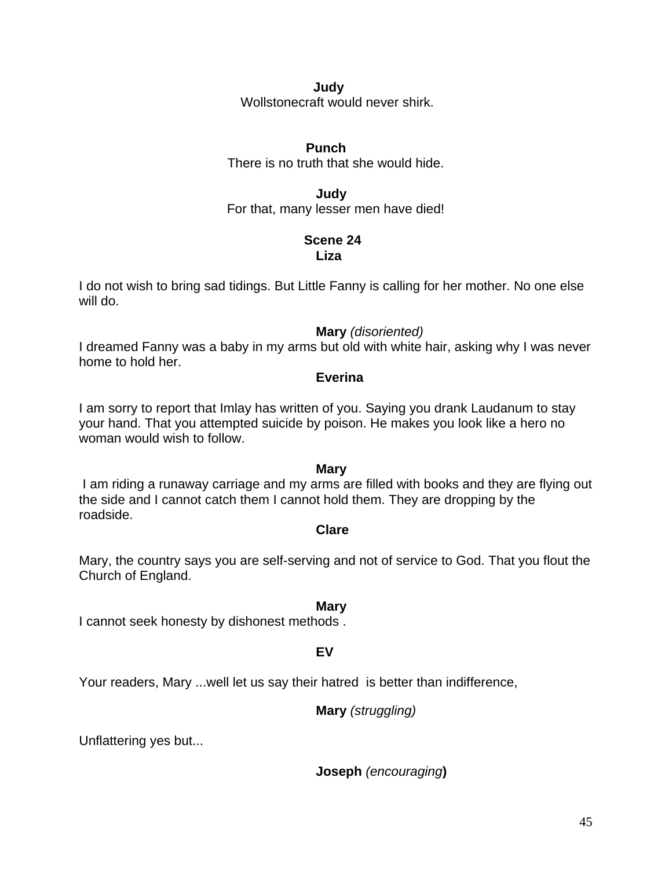**Judy** 

Wollstonecraft would never shirk.

## **Punch**

There is no truth that she would hide.

 **Judy** 

For that, many lesser men have died!

#### **Scene 24 Liza**

I do not wish to bring sad tidings. But Little Fanny is calling for her mother. No one else will do.

## **Mary** *(disoriented)*

I dreamed Fanny was a baby in my arms but old with white hair, asking why I was never home to hold her.

## **Everina**

I am sorry to report that Imlay has written of you. Saying you drank Laudanum to stay your hand. That you attempted suicide by poison. He makes you look like a hero no woman would wish to follow.

## **Mary**

 I am riding a runaway carriage and my arms are filled with books and they are flying out the side and I cannot catch them I cannot hold them. They are dropping by the roadside.

## **Clare**

Mary, the country says you are self-serving and not of service to God. That you flout the Church of England.

## **Mary**

I cannot seek honesty by dishonest methods .

## **EV**

Your readers, Mary ...well let us say their hatred is better than indifference,

**Mary** *(struggling)* 

Unflattering yes but...

**Joseph** *(encouraging***)**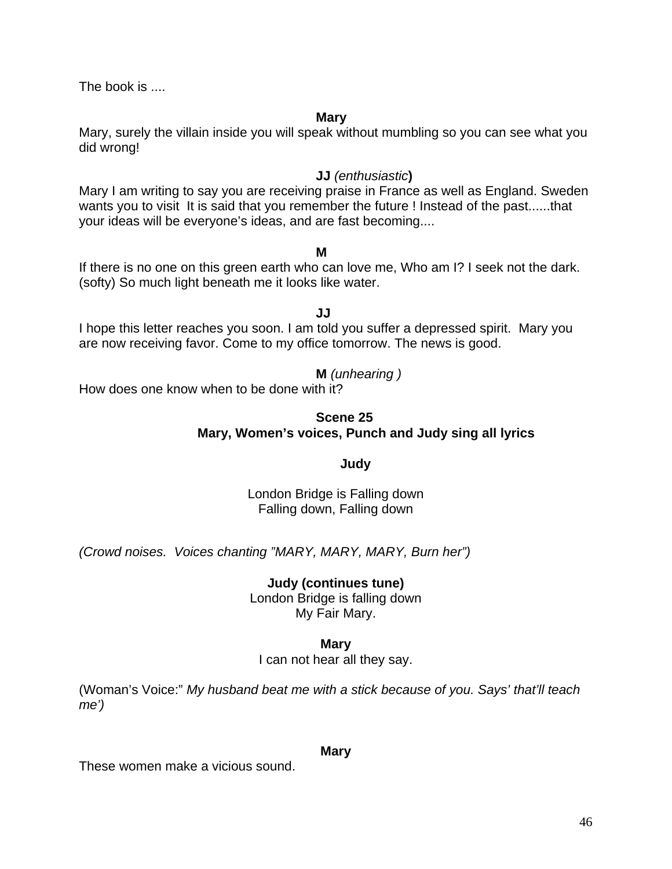The book is ....

## **Mary**

Mary, surely the villain inside you will speak without mumbling so you can see what you did wrong!

## **JJ** *(enthusiastic***)**

Mary I am writing to say you are receiving praise in France as well as England. Sweden wants you to visit It is said that you remember the future ! Instead of the past......that your ideas will be everyone's ideas, and are fast becoming....

#### **M**

If there is no one on this green earth who can love me, Who am I? I seek not the dark. (softy) So much light beneath me it looks like water.

**JJ** 

I hope this letter reaches you soon. I am told you suffer a depressed spirit. Mary you are now receiving favor. Come to my office tomorrow. The news is good.

**M** *(unhearing )*

How does one know when to be done with it?

## **Scene 25**  **Mary, Women's voices, Punch and Judy sing all lyrics**

**Judy** 

London Bridge is Falling down Falling down, Falling down

*(Crowd noises. Voices chanting "MARY, MARY, MARY, Burn her")*

**Judy (continues tune)**  London Bridge is falling down

My Fair Mary.

## **Mary**

I can not hear all they say.

(Woman's Voice:" *My husband beat me with a stick because of you. Says' that'll teach me')*

#### **Mary**

These women make a vicious sound.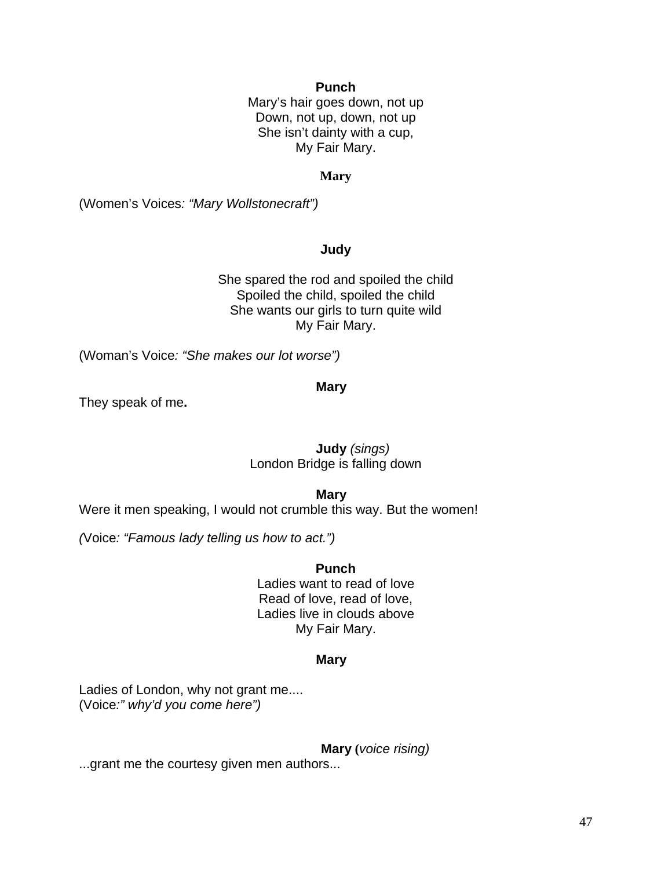#### **Punch**

Mary's hair goes down, not up Down, not up, down, not up She isn't dainty with a cup, My Fair Mary.

#### **Mary**

(Women's Voices*: "Mary Wollstonecraft")*

## **Judy**

She spared the rod and spoiled the child Spoiled the child, spoiled the child She wants our girls to turn quite wild My Fair Mary.

(Woman's Voice*: "She makes our lot worse")* 

#### **Mary**

They speak of me**.** 

#### **Judy** *(sings)* London Bridge is falling down

#### **Mary**

Were it men speaking, I would not crumble this way. But the women!

*(*Voice*: "Famous lady telling us how to act.")* 

## **Punch**

Ladies want to read of love Read of love, read of love, Ladies live in clouds above My Fair Mary.

#### **Mary**

Ladies of London, why not grant me.... (Voice*:" why'd you come here")*

#### **Mary (***voice rising)*

...grant me the courtesy given men authors...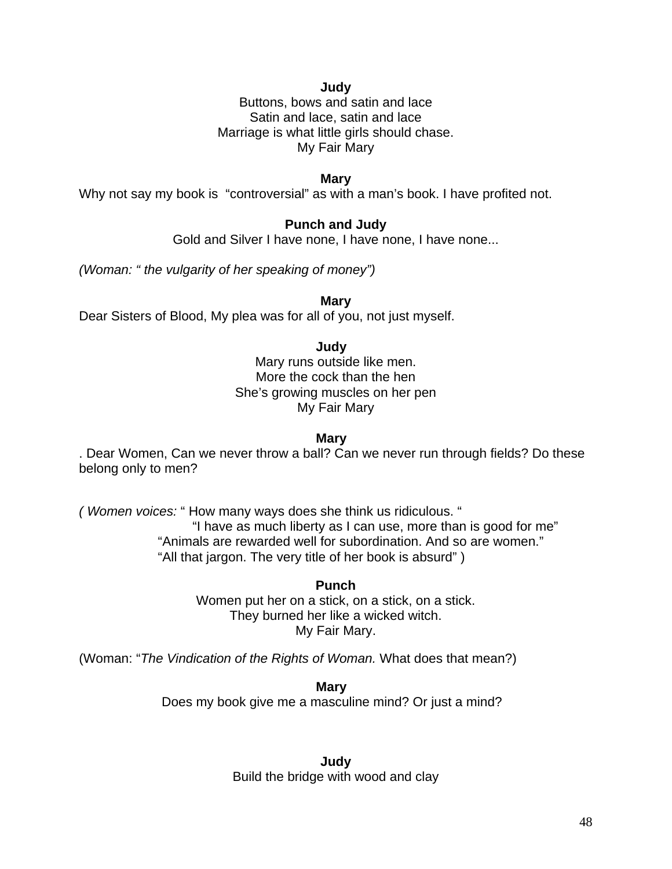#### **Judy**

Buttons, bows and satin and lace Satin and lace, satin and lace Marriage is what little girls should chase. My Fair Mary

#### **Mary**

Why not say my book is "controversial" as with a man's book. I have profited not.

#### **Punch and Judy**

Gold and Silver I have none, I have none, I have none...

*(Woman: " the vulgarity of her speaking of money")*

**Mary**

Dear Sisters of Blood, My plea was for all of you, not just myself.

 **Judy** 

Mary runs outside like men. More the cock than the hen She's growing muscles on her pen My Fair Mary

#### **Mary**

. Dear Women, Can we never throw a ball? Can we never run through fields? Do these belong only to men?

*( Women voices:* " How many ways does she think us ridiculous. " "I have as much liberty as I can use, more than is good for me" "Animals are rewarded well for subordination. And so are women." "All that jargon. The very title of her book is absurd" )

#### **Punch**

Women put her on a stick, on a stick, on a stick. They burned her like a wicked witch. My Fair Mary.

(Woman: "*The Vindication of the Rights of Woman.* What does that mean?)

#### **Mary**

Does my book give me a masculine mind? Or just a mind?

#### **Judy**  Build the bridge with wood and clay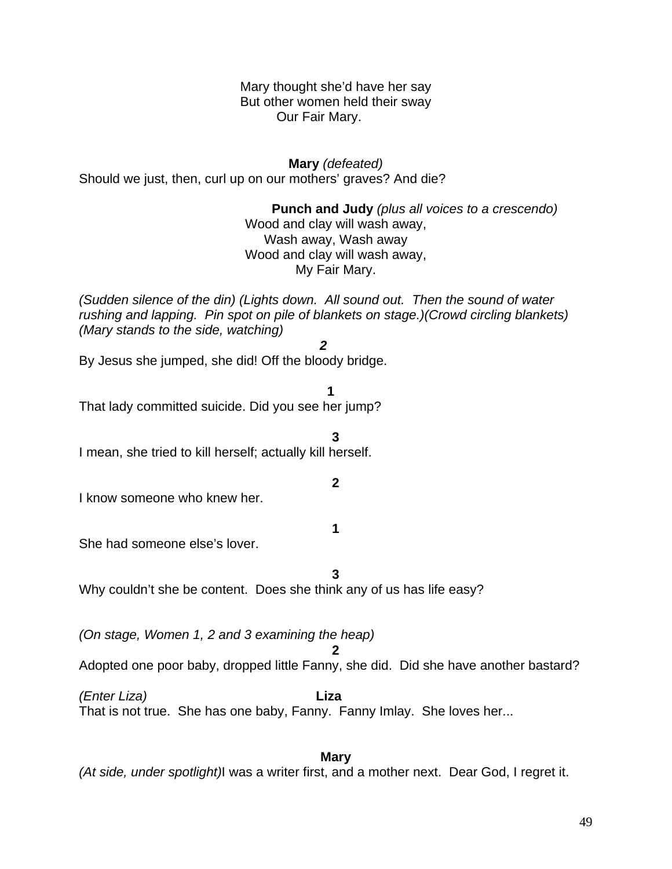Mary thought she'd have her say But other women held their sway Our Fair Mary.

**Mary** *(defeated)* 

Should we just, then, curl up on our mothers' graves? And die?

**Punch and Judy** *(plus all voices to a crescendo)*  Wood and clay will wash away, Wash away, Wash away Wood and clay will wash away, My Fair Mary.

*(Sudden silence of the din) (Lights down. All sound out. Then the sound of water rushing and lapping. Pin spot on pile of blankets on stage.)(Crowd circling blankets) (Mary stands to the side, watching)* 

 *2* 

**3**

**2**

**1** 

By Jesus she jumped, she did! Off the bloody bridge.

**1 1** That lady committed suicide. Did you see her jump?

I mean, she tried to kill herself; actually kill herself.

I know someone who knew her.

She had someone else's lover.

**3**

Why couldn't she be content. Does she think any of us has life easy?

*(On stage, Women 1, 2 and 3 examining the heap)*

**2**

Adopted one poor baby, dropped little Fanny, she did. Did she have another bastard?

*(Enter Liza)* **Liza** That is not true. She has one baby, Fanny. Fanny Imlay. She loves her...

**Mary** *(At side, under spotlight)*I was a writer first, and a mother next. Dear God, I regret it.

#### 49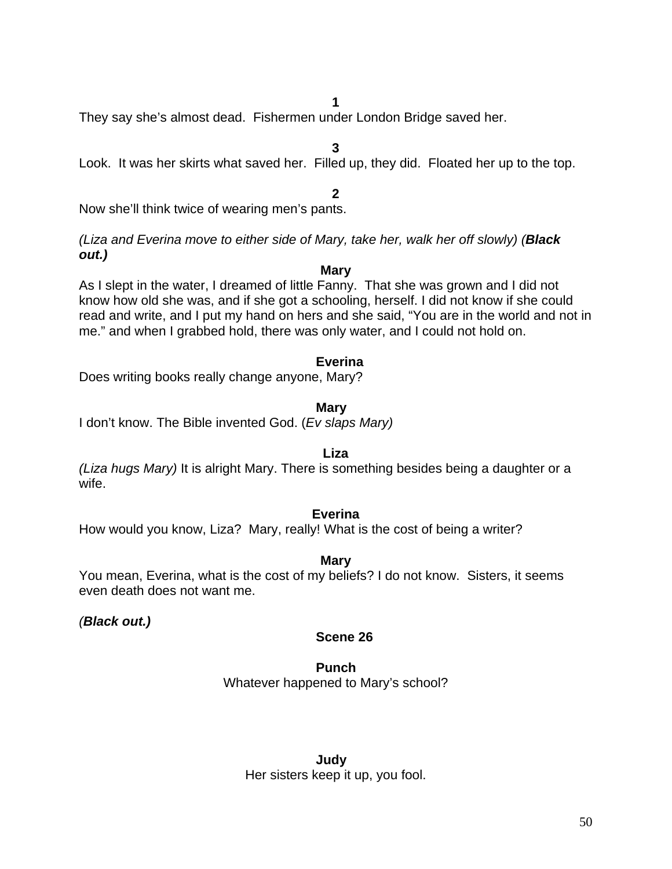**1**

They say she's almost dead. Fishermen under London Bridge saved her.

**3**

Look. It was her skirts what saved her. Filled up, they did. Floated her up to the top.

#### **2**

Now she'll think twice of wearing men's pants.

*(Liza and Everina move to either side of Mary, take her, walk her off slowly) (Black out.)*

#### **Mary**

As I slept in the water, I dreamed of little Fanny. That she was grown and I did not know how old she was, and if she got a schooling, herself. I did not know if she could read and write, and I put my hand on hers and she said, "You are in the world and not in me." and when I grabbed hold, there was only water, and I could not hold on.

## **Everina**

Does writing books really change anyone, Mary?

## **Mary**

I don't know. The Bible invented God. (*Ev slaps Mary)* 

## **Liza**

*(Liza hugs Mary)* It is alright Mary. There is something besides being a daughter or a wife.

## **Everina**

How would you know, Liza? Mary, really! What is the cost of being a writer?

## **Mary**

You mean, Everina, what is the cost of my beliefs? I do not know. Sisters, it seems even death does not want me.

*(Black out.)* 

## **Scene 26**

## **Punch**  Whatever happened to Mary's school?

## **Judy**  Her sisters keep it up, you fool.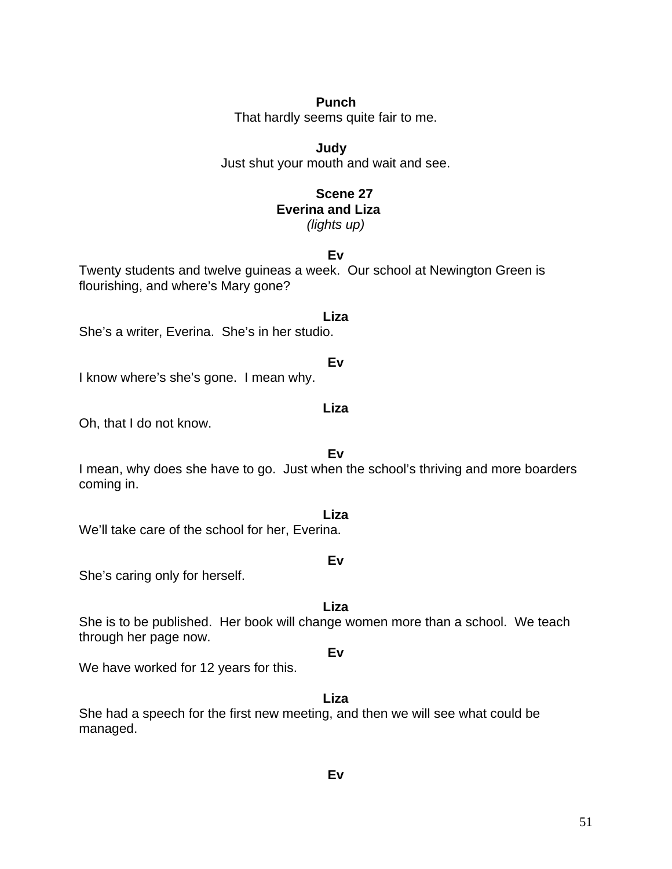## **Punch**

That hardly seems quite fair to me.

## **Judy**

Just shut your mouth and wait and see.

## **Scene 27**

## **Everina and Liza**

*(lights up)* 

## **Ev**

Twenty students and twelve guineas a week. Our school at Newington Green is flourishing, and where's Mary gone?

#### **Liza**

She's a writer, Everina. She's in her studio.

## **Ev**

I know where's she's gone. I mean why.

#### **Liza**

Oh, that I do not know.

## **Ev** I mean, why does she have to go. Just when the school's thriving and more boarders coming in.

**Liza**

We'll take care of the school for her, Everina.

She's caring only for herself.

## She is to be published. Her book will change women more than a school. We teach through her page now.

We have worked for 12 years for this.

**Liza**

**Ev**

She had a speech for the first new meeting, and then we will see what could be managed.

#### **Ev**

# **Liza**

**Ev**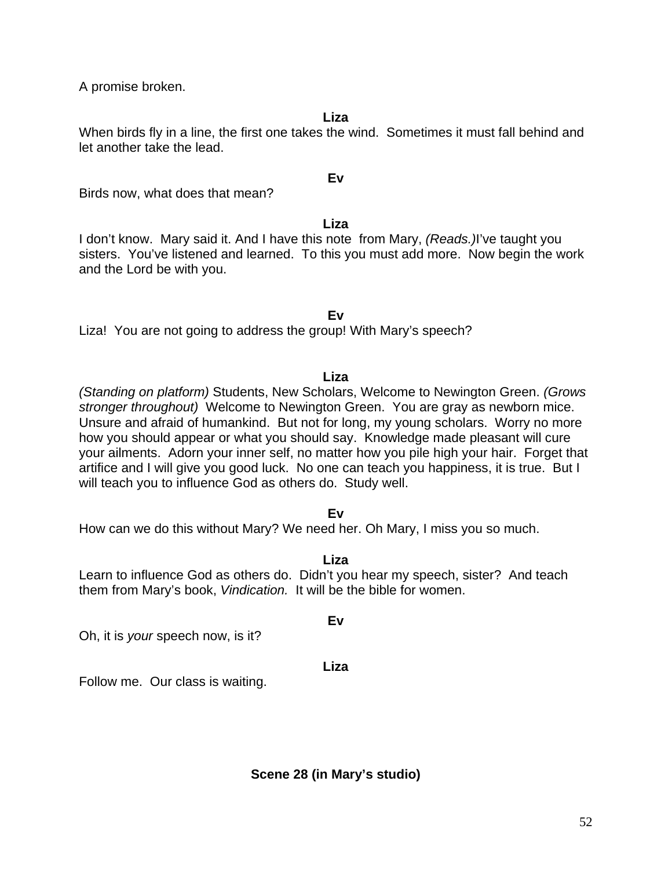A promise broken.

**Liza**

When birds fly in a line, the first one takes the wind. Sometimes it must fall behind and let another take the lead.

Birds now, what does that mean?

**Liza**

**Ev**

I don't know. Mary said it. And I have this note from Mary, *(Reads.)*I've taught you sisters. You've listened and learned. To this you must add more. Now begin the work and the Lord be with you.

**Ev**

Liza! You are not going to address the group! With Mary's speech?

#### **Liza**

*(Standing on platform)* Students, New Scholars, Welcome to Newington Green. *(Grows stronger throughout)* Welcome to Newington Green. You are gray as newborn mice. Unsure and afraid of humankind. But not for long, my young scholars. Worry no more how you should appear or what you should say. Knowledge made pleasant will cure your ailments. Adorn your inner self, no matter how you pile high your hair. Forget that artifice and I will give you good luck. No one can teach you happiness, it is true. But I will teach you to influence God as others do. Study well.

#### **Ev**

How can we do this without Mary? We need her. Oh Mary, I miss you so much.

#### **Liza**

Learn to influence God as others do. Didn't you hear my speech, sister? And teach them from Mary's book, *Vindication.* It will be the bible for women.

Oh, it is *your* speech now, is it?

#### **Liza**

**Ev**

Follow me. Our class is waiting.

## **Scene 28 (in Mary's studio)**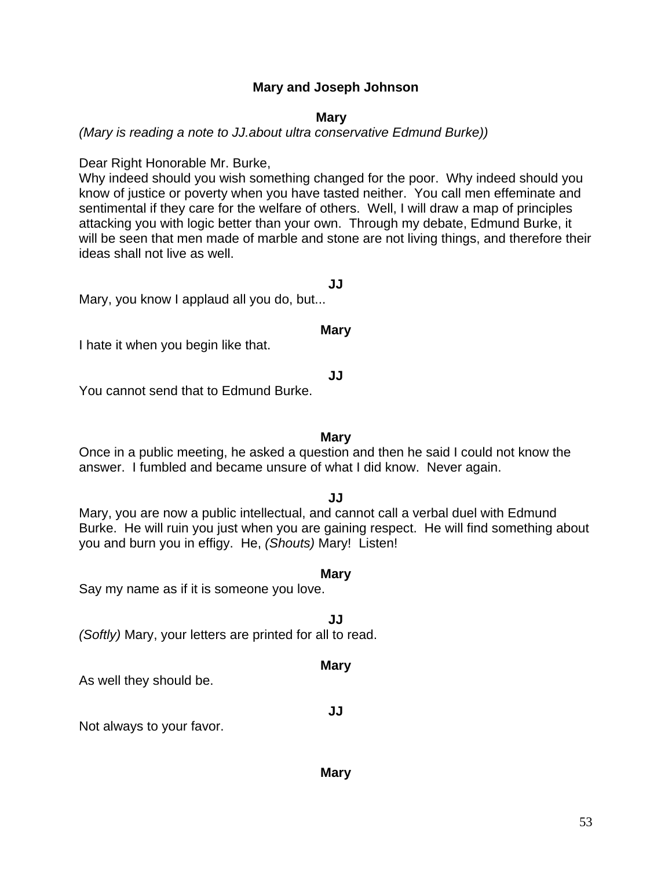## **Mary and Joseph Johnson**

## **Mary**

*(Mary is reading a note to JJ.about ultra conservative Edmund Burke))* 

Dear Right Honorable Mr. Burke,

Why indeed should you wish something changed for the poor. Why indeed should you know of justice or poverty when you have tasted neither. You call men effeminate and sentimental if they care for the welfare of others. Well, I will draw a map of principles attacking you with logic better than your own. Through my debate, Edmund Burke, it will be seen that men made of marble and stone are not living things, and therefore their ideas shall not live as well.

#### **JJ**

Mary, you know I applaud all you do, but...

#### **Mary**

I hate it when you begin like that.

**JJ**

You cannot send that to Edmund Burke.

#### **Mary**

Once in a public meeting, he asked a question and then he said I could not know the answer. I fumbled and became unsure of what I did know. Never again.

**JJ**

Mary, you are now a public intellectual, and cannot call a verbal duel with Edmund Burke. He will ruin you just when you are gaining respect. He will find something about you and burn you in effigy. He, *(Shouts)* Mary! Listen!

#### **Mary**

Say my name as if it is someone you love.

**JJ**

*(Softly)* Mary, your letters are printed for all to read.

**Mary**

**JJ**

As well they should be.

Not always to your favor.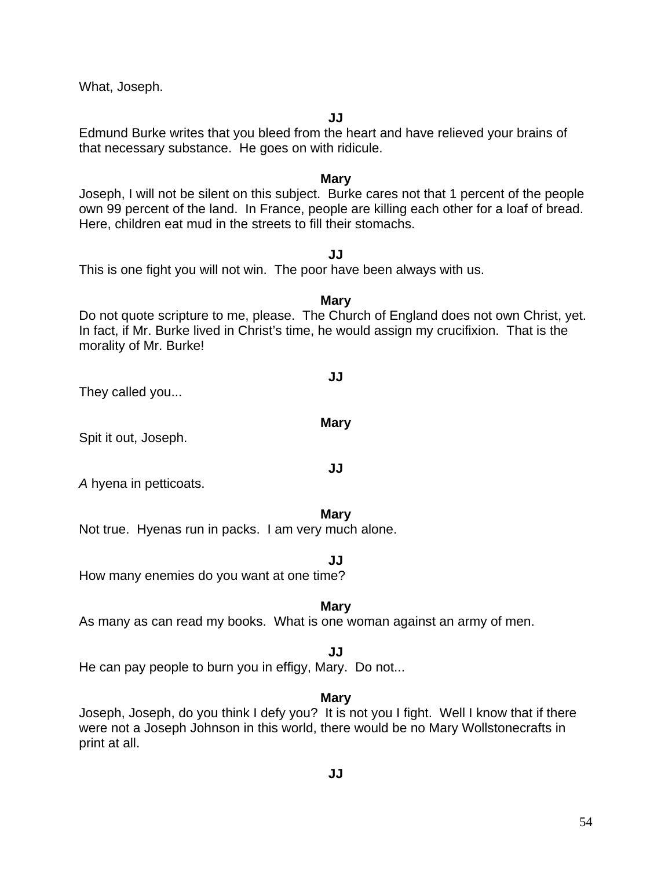What, Joseph.

**JJ**

Edmund Burke writes that you bleed from the heart and have relieved your brains of that necessary substance. He goes on with ridicule.

#### **Mary**

Joseph, I will not be silent on this subject. Burke cares not that 1 percent of the people own 99 percent of the land. In France, people are killing each other for a loaf of bread. Here, children eat mud in the streets to fill their stomachs.

#### **JJ**

This is one fight you will not win. The poor have been always with us.

**Mary** Do not quote scripture to me, please. The Church of England does not own Christ, yet. In fact, if Mr. Burke lived in Christ's time, he would assign my crucifixion. That is the morality of Mr. Burke!

**JJ** 

**Mary**

**JJ**

They called you...

Spit it out, Joseph.

*A* hyena in petticoats.

**Mary**

Not true. Hyenas run in packs. I am very much alone.

**JJ**

How many enemies do you want at one time?

## **Mary**

As many as can read my books. What is one woman against an army of men.

**JJ**

He can pay people to burn you in effigy, Mary. Do not...

## **Mary**

Joseph, Joseph, do you think I defy you? It is not you I fight. Well I know that if there were not a Joseph Johnson in this world, there would be no Mary Wollstonecrafts in print at all.

54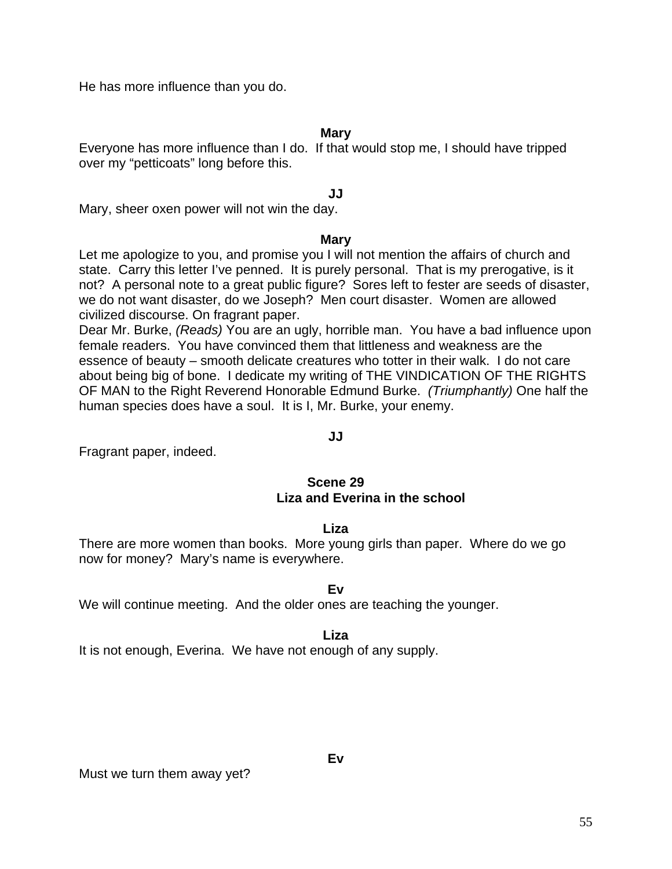He has more influence than you do.

## **Mary**

Everyone has more influence than I do. If that would stop me, I should have tripped over my "petticoats" long before this.

## **JJ**

Mary, sheer oxen power will not win the day.

## **Mary**

Let me apologize to you, and promise you I will not mention the affairs of church and state. Carry this letter I've penned. It is purely personal. That is my prerogative, is it not? A personal note to a great public figure? Sores left to fester are seeds of disaster, we do not want disaster, do we Joseph? Men court disaster. Women are allowed civilized discourse. On fragrant paper.

Dear Mr. Burke, *(Reads)* You are an ugly, horrible man. You have a bad influence upon female readers. You have convinced them that littleness and weakness are the essence of beauty – smooth delicate creatures who totter in their walk. I do not care about being big of bone. I dedicate my writing of THE VINDICATION OF THE RIGHTS OF MAN to the Right Reverend Honorable Edmund Burke. *(Triumphantly)* One half the human species does have a soul. It is I, Mr. Burke, your enemy.

## **JJ**

Fragrant paper, indeed.

## **Scene 29 Liza and Everina in the school**

## **Liza**

There are more women than books. More young girls than paper. Where do we go now for money? Mary's name is everywhere.

## **Ev**

We will continue meeting. And the older ones are teaching the younger.

#### **Liza**

It is not enough, Everina. We have not enough of any supply.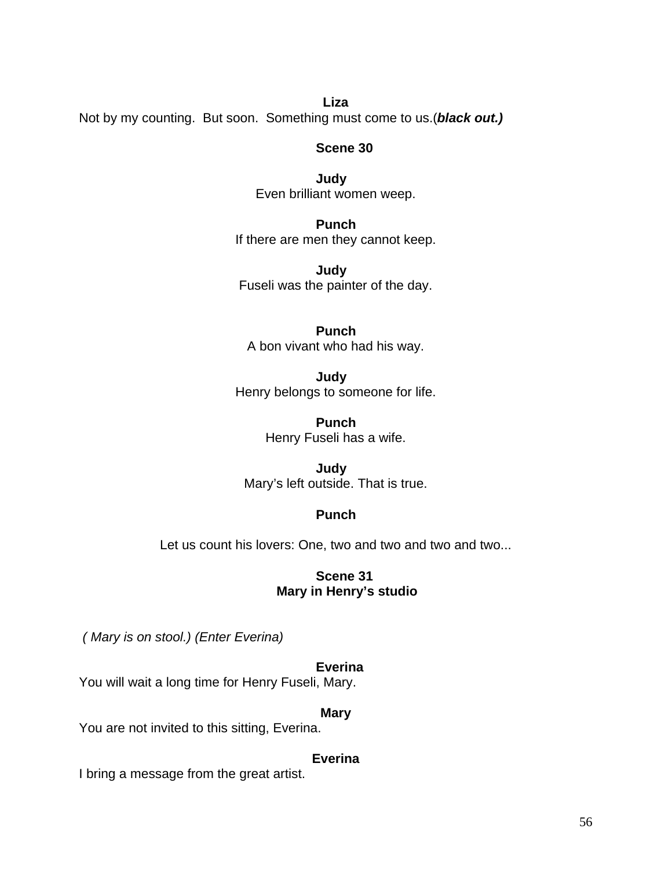**Liza** Not by my counting. But soon. Something must come to us.(*black out.)* 

#### **Scene 30**

**Judy**  Even brilliant women weep.

 **Punch**  If there are men they cannot keep.

**Judy** Fuseli was the painter of the day.

#### **Punch**

A bon vivant who had his way.

 **Judy**  Henry belongs to someone for life.

> **Punch**  Henry Fuseli has a wife.

 **Judy**  Mary's left outside. That is true.

## **Punch**

Let us count his lovers: One, two and two and two and two...

## **Scene 31 Mary in Henry's studio**

 *( Mary is on stool.) (Enter Everina)*

#### **Everina**

You will wait a long time for Henry Fuseli, Mary.

#### **Mary**

You are not invited to this sitting, Everina.

#### **Everina**

I bring a message from the great artist.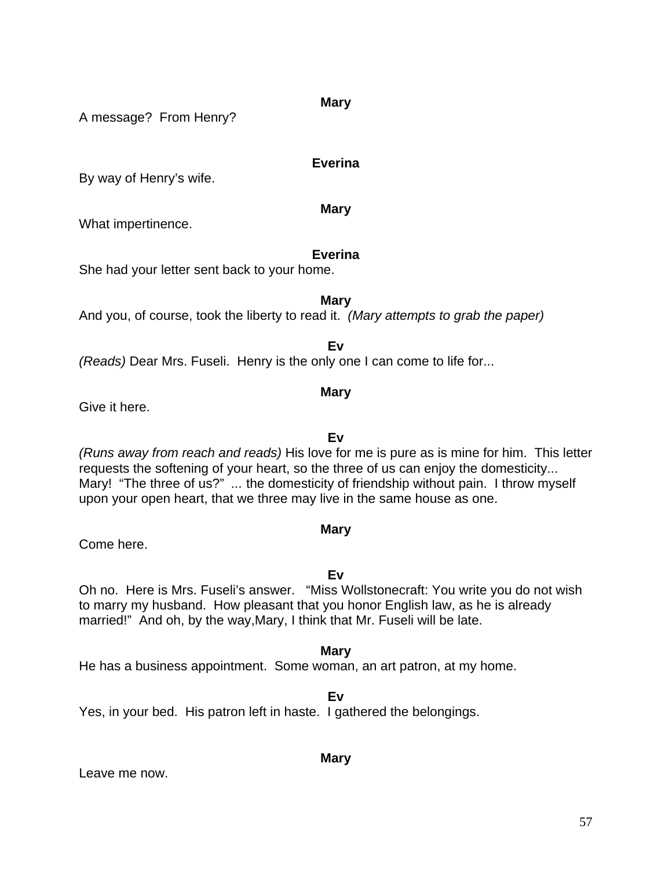#### **Mary**

A message? From Henry?

## **Everina**

By way of Henry's wife.

**Mary**

What impertinence.

## **Everina**

She had your letter sent back to your home.

## **Mary**

And you, of course, took the liberty to read it. *(Mary attempts to grab the paper)*

**Ev**

*(Reads)* Dear Mrs. Fuseli. Henry is the only one I can come to life for...

## Give it here.

*(Runs away from reach and reads)* His love for me is pure as is mine for him. This letter requests the softening of your heart, so the three of us can enjoy the domesticity... Mary! "The three of us?" *...* the domesticity of friendship without pain. I throw myself upon your open heart, that we three may live in the same house as one.

## **Ev**

**Mary**

Oh no. Here is Mrs. Fuseli's answer. "Miss Wollstonecraft: You write you do not wish to marry my husband. How pleasant that you honor English law, as he is already married!" And oh, by the way,Mary, I think that Mr. Fuseli will be late.

## **Mary**

He has a business appointment. Some woman, an art patron, at my home.

**Ev**

**Mary**

Yes, in your bed. His patron left in haste. I gathered the belongings.

Leave me now.

Come here.

## **Ev**

**Mary**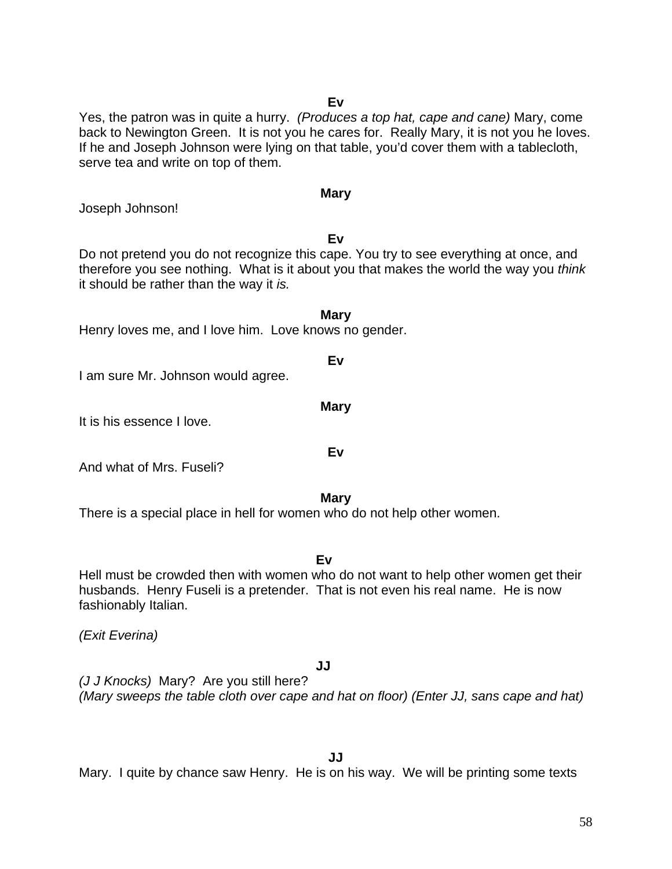**Ev**

Yes, the patron was in quite a hurry. *(Produces a top hat, cape and cane)* Mary, come back to Newington Green. It is not you he cares for. Really Mary, it is not you he loves. If he and Joseph Johnson were lying on that table, you'd cover them with a tablecloth, serve tea and write on top of them.

#### **Mary**

Joseph Johnson!

Do not pretend you do not recognize this cape. You try to see everything at once, and therefore you see nothing. What is it about you that makes the world the way you *think* it should be rather than the way it *is.*

**Mary**

**Ev**

**Mary**

**Ev**

**Ev**

Henry loves me, and I love him. Love knows no gender.

I am sure Mr. Johnson would agree.

It is his essence I love.

And what of Mrs. Fuseli?

#### **Mary**

There is a special place in hell for women who do not help other women.

**Ev**

Hell must be crowded then with women who do not want to help other women get their husbands. Henry Fuseli is a pretender. That is not even his real name. He is now fashionably Italian.

*(Exit Everina)* 

#### **JJ**

*(J J Knocks)* Mary? Are you still here? *(Mary sweeps the table cloth over cape and hat on floor) (Enter JJ, sans cape and hat)*

**JJ** Mary. I quite by chance saw Henry. He is on his way. We will be printing some texts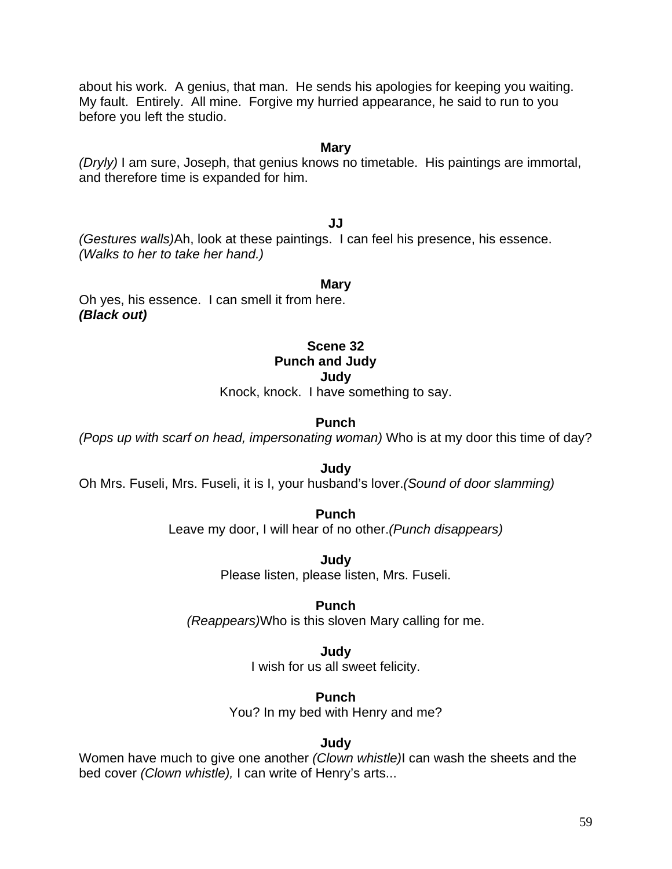about his work. A genius, that man. He sends his apologies for keeping you waiting. My fault. Entirely. All mine. Forgive my hurried appearance, he said to run to you before you left the studio.

#### **Mary**

*(Dryly)* I am sure, Joseph, that genius knows no timetable. His paintings are immortal, and therefore time is expanded for him.

**JJ** *(Gestures walls)*Ah, look at these paintings. I can feel his presence, his essence. *(Walks to her to take her hand.)*

#### **Mary**

Oh yes, his essence. I can smell it from here. *(Black out)*

## **Scene 32 Punch and Judy**

## **Judy**

Knock, knock. I have something to say.

#### **Punch**

*(Pops up with scarf on head, impersonating woman)* Who is at my door this time of day?

#### **Judy**

Oh Mrs. Fuseli, Mrs. Fuseli, it is I, your husband's lover.*(Sound of door slamming)*

#### **Punch**

Leave my door, I will hear of no other.*(Punch disappears)*

**Judy**

Please listen, please listen, Mrs. Fuseli.

#### **Punch**

*(Reappears)*Who is this sloven Mary calling for me.

#### **Judy**

I wish for us all sweet felicity.

#### **Punch**

You? In my bed with Henry and me?

#### **Judy**

Women have much to give one another *(Clown whistle)*I can wash the sheets and the bed cover *(Clown whistle),* I can write of Henry's arts...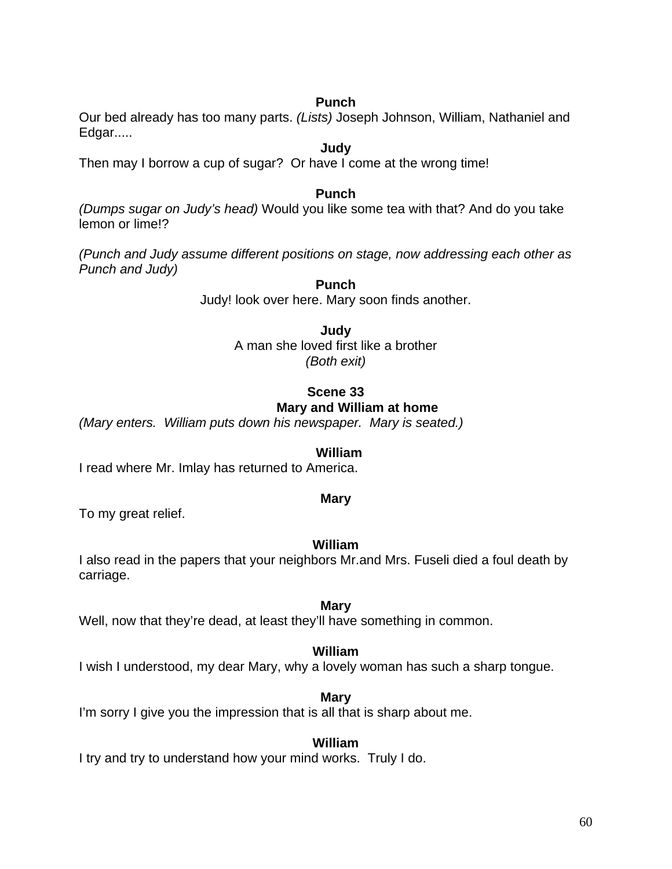## **Punch**

**Judy**

Our bed already has too many parts. *(Lists)* Joseph Johnson, William, Nathaniel and Edgar.....

Then may I borrow a cup of sugar? Or have I come at the wrong time!

## **Punch**

*(Dumps sugar on Judy's head)* Would you like some tea with that? And do you take lemon or lime!?

*(Punch and Judy assume different positions on stage, now addressing each other as Punch and Judy)* 

> **Punch**  Judy! look over here. Mary soon finds another.

> > **Judy**  A man she loved first like a brother *(Both exit)*

## **Scene 33 Mary and William at home**

*(Mary enters. William puts down his newspaper. Mary is seated.)* 

## **William**

I read where Mr. Imlay has returned to America.

#### **Mary**

To my great relief.

#### **William**

I also read in the papers that your neighbors Mr.and Mrs. Fuseli died a foul death by carriage.

#### **Mary**

Well, now that they're dead, at least they'll have something in common.

## **William**

I wish I understood, my dear Mary, why a lovely woman has such a sharp tongue.

#### **Mary**

I'm sorry I give you the impression that is all that is sharp about me.

#### **William**

I try and try to understand how your mind works. Truly I do.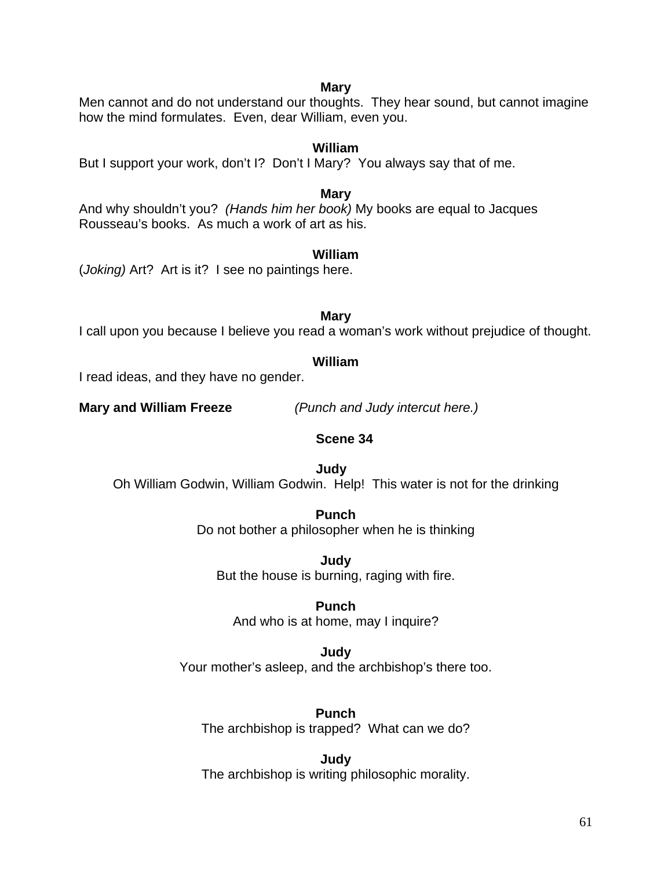## **Mary**

Men cannot and do not understand our thoughts. They hear sound, but cannot imagine how the mind formulates. Even, dear William, even you.

## **William**

But I support your work, don't I? Don't I Mary? You always say that of me.

## **Mary**

And why shouldn't you? *(Hands him her book)* My books are equal to Jacques Rousseau's books. As much a work of art as his.

## **William**

(*Joking)* Art? Art is it? I see no paintings here.

**Mary** I call upon you because I believe you read a woman's work without prejudice of thought.

## **William**

I read ideas, and they have no gender.

**Mary and William Freeze** *(Punch and Judy intercut here.)*

## **Scene 34**

**Judy** Oh William Godwin, William Godwin. Help! This water is not for the drinking

> **Punch** Do not bother a philosopher when he is thinking

**Judy** But the house is burning, raging with fire.

## **Punch**

And who is at home, may I inquire?

## **Judy**

Your mother's asleep, and the archbishop's there too.

**Punch** The archbishop is trapped? What can we do?

**Judy** The archbishop is writing philosophic morality.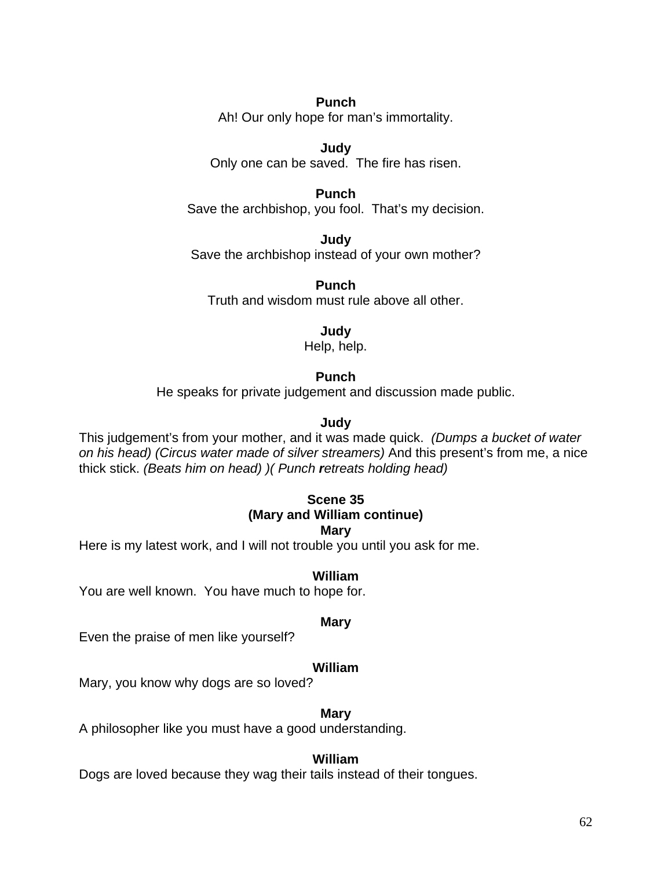## **Punch**

Ah! Our only hope for man's immortality.

**Judy** Only one can be saved. The fire has risen.

**Punch**

Save the archbishop, you fool. That's my decision.

**Judy** Save the archbishop instead of your own mother?

**Punch** Truth and wisdom must rule above all other.

**Judy**

Help, help.

**Punch** 

He speaks for private judgement and discussion made public.

**Judy**

This judgement's from your mother, and it was made quick. *(Dumps a bucket of water on his head) (Circus water made of silver streamers)* And this present's from me, a nice thick stick. *(Beats him on head) )( Punch retreats holding head)* 

> **Scene 35 (Mary and William continue)**

**Mary**

Here is my latest work, and I will not trouble you until you ask for me.

**William**

You are well known. You have much to hope for.

**Mary**

Even the praise of men like yourself?

**William**

Mary, you know why dogs are so loved?

**Mary**

A philosopher like you must have a good understanding.

**William**

Dogs are loved because they wag their tails instead of their tongues.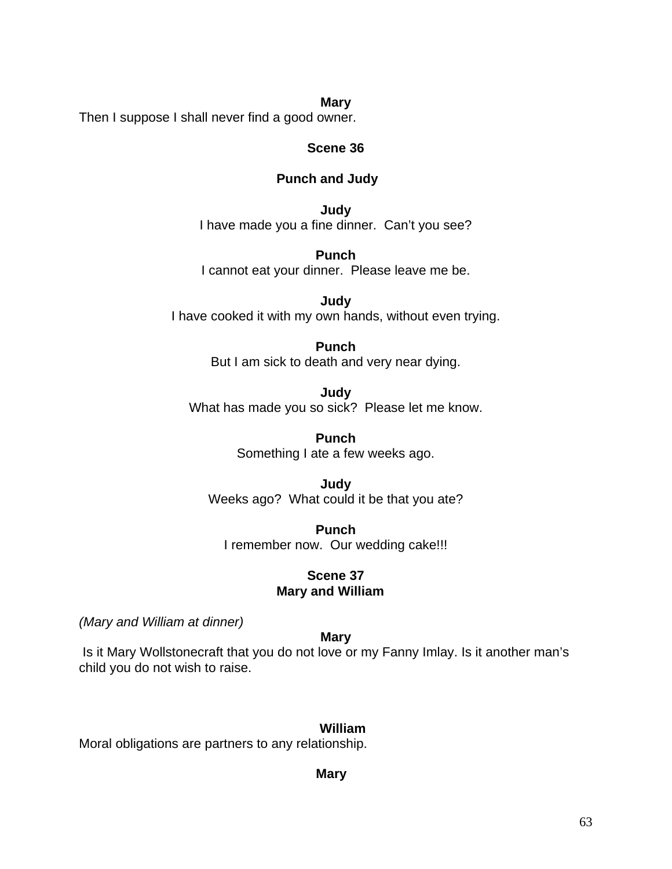#### **Mary**

Then I suppose I shall never find a good owner.

## **Scene 36**

## **Punch and Judy**

**Judy** I have made you a fine dinner. Can't you see?

**Punch** I cannot eat your dinner. Please leave me be.

**Judy** I have cooked it with my own hands, without even trying.

## **Punch**

But I am sick to death and very near dying.

**Judy**  What has made you so sick? Please let me know.

> **Punch** Something I ate a few weeks ago.

**Judy** Weeks ago? What could it be that you ate?

**Punch** I remember now. Our wedding cake!!!

## **Scene 37 Mary and William**

*(Mary and William at dinner)*

#### **Mary**

 Is it Mary Wollstonecraft that you do not love or my Fanny Imlay. Is it another man's child you do not wish to raise.

## **William**

Moral obligations are partners to any relationship.

## **Mary**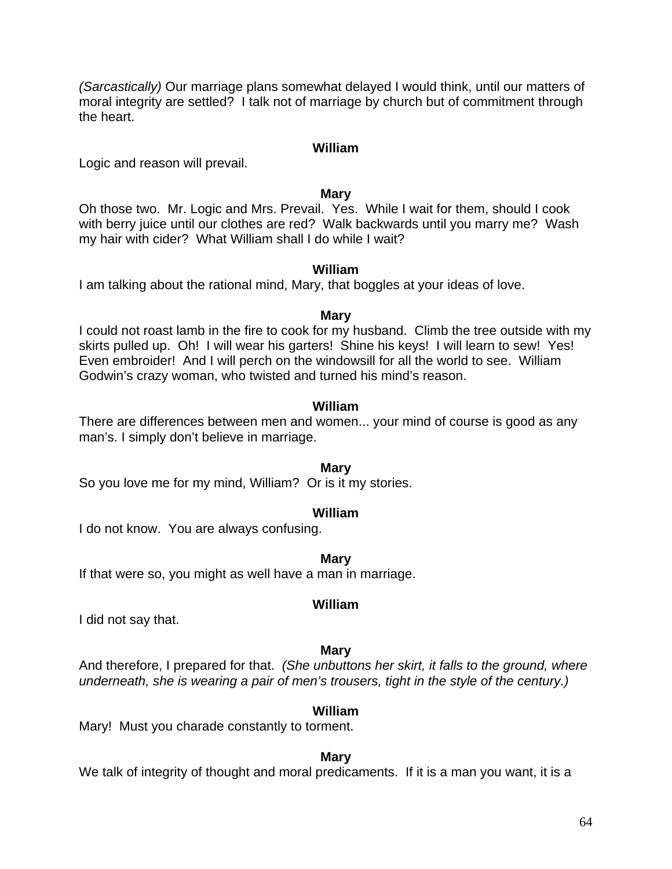*(Sarcastically)* Our marriage plans somewhat delayed I would think, until our matters of moral integrity are settled? I talk not of marriage by church but of commitment through the heart.

#### **William**

Logic and reason will prevail.

#### **Mary**

Oh those two. Mr. Logic and Mrs. Prevail. Yes. While I wait for them, should I cook with berry juice until our clothes are red? Walk backwards until you marry me? Wash my hair with cider? What William shall I do while I wait?

#### **William**

I am talking about the rational mind, Mary, that boggles at your ideas of love.

## **Mary**

I could not roast lamb in the fire to cook for my husband. Climb the tree outside with my skirts pulled up. Oh! I will wear his garters! Shine his keys! I will learn to sew! Yes! Even embroider! And I will perch on the windowsill for all the world to see. William Godwin's crazy woman, who twisted and turned his mind's reason.

## **William**

There are differences between men and women... your mind of course is good as any man's. I simply don't believe in marriage.

## **Mary**

So you love me for my mind, William? Or is it my stories.

## **William**

I do not know. You are always confusing.

## **Mary**

If that were so, you might as well have a man in marriage.

## **William**

I did not say that.

## **Mary**

And therefore, I prepared for that. *(She unbuttons her skirt, it falls to the ground, where underneath, she is wearing a pair of men's trousers, tight in the style of the century.)*

## **William**

Mary! Must you charade constantly to torment.

## **Mary**

We talk of integrity of thought and moral predicaments. If it is a man you want, it is a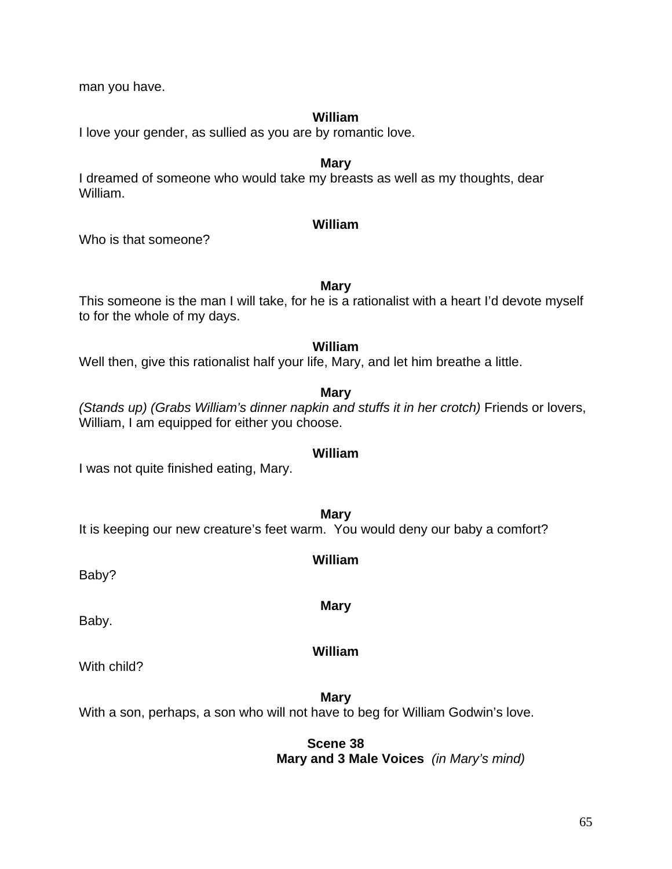man you have.

## **William**

I love your gender, as sullied as you are by romantic love.

#### **Mary**

I dreamed of someone who would take my breasts as well as my thoughts, dear William.

#### **William**

Who is that someone?

#### **Mary**

## This someone is the man I will take, for he is a rationalist with a heart I'd devote myself to for the whole of my days.

## **William**

Well then, give this rationalist half your life, Mary, and let him breathe a little.

#### **Mary**

*(Stands up) (Grabs William's dinner napkin and stuffs it in her crotch)* Friends or lovers, William, I am equipped for either you choose.

#### **William**

I was not quite finished eating, Mary.

**Mary** It is keeping our new creature's feet warm. You would deny our baby a comfort?

Baby?

Baby.

**Mary**

**William**

**William**

#### With child?

**Mary** With a son, perhaps, a son who will not have to beg for William Godwin's love.

## **Scene 38 Mary and 3 Male Voices** *(in Mary's mind)*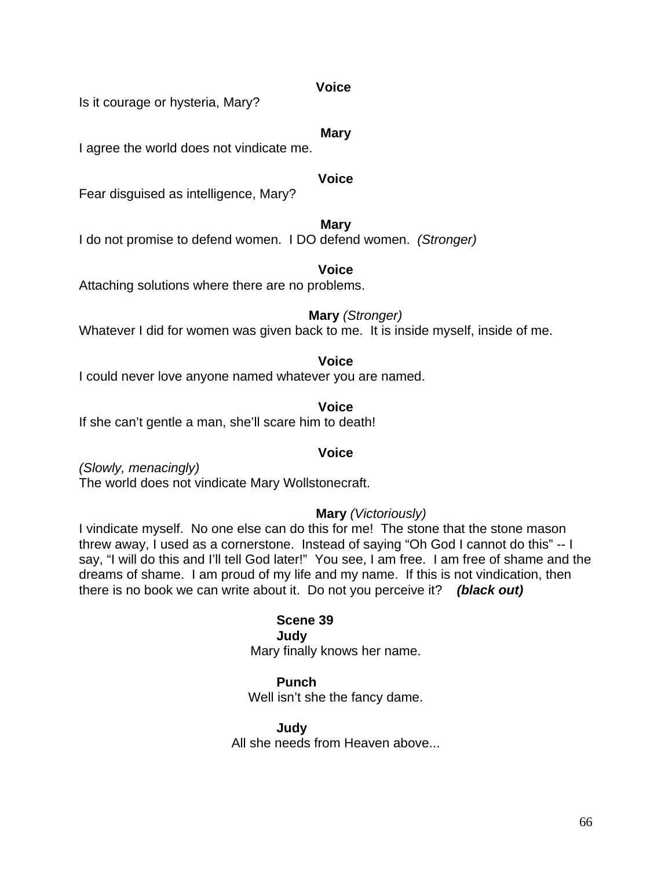#### **Voice**

Is it courage or hysteria, Mary?

## **Mary**

I agree the world does not vindicate me.

## **Voice**

Fear disguised as intelligence, Mary?

## **Mary**

I do not promise to defend women. I DO defend women. *(Stronger)* 

## **Voice**

Attaching solutions where there are no problems.

## **Mary** *(Stronger)*

Whatever I did for women was given back to me. It is inside myself, inside of me.

## **Voice**

**Voice**

I could never love anyone named whatever you are named.

**Voice** If she can't gentle a man, she'll scare him to death!

# *(Slowly, menacingly)*

The world does not vindicate Mary Wollstonecraft.

## **Mary** *(Victoriously)*

I vindicate myself. No one else can do this for me! The stone that the stone mason threw away, I used as a cornerstone. Instead of saying "Oh God I cannot do this" -- I say, "I will do this and I'll tell God later!" You see, I am free. I am free of shame and the dreams of shame. I am proud of my life and my name. If this is not vindication, then there is no book we can write about it. Do not you perceive it? *(black out)*

## **Scene 39**

#### **Judy**

Mary finally knows her name.

## **Punch**

Well isn't she the fancy dame.

## **Judy**

All she needs from Heaven above...

#### 66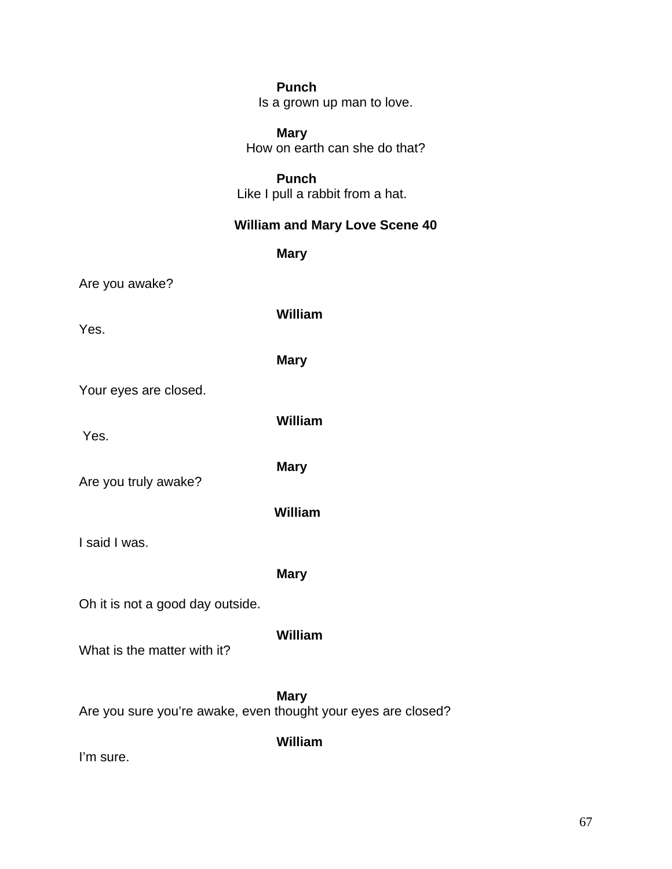## **Punch**

Is a grown up man to love.

 **Mary**  How on earth can she do that?

 **Punch**  Like I pull a rabbit from a hat.

## **William and Mary Love Scene 40**

**Mary** 

Are you awake?

Yes.

**William** 

**Mary** 

**William** 

Your eyes are closed.

Yes.

Are you truly awake?

**William** 

**Mary** 

I said I was.

**Mary** 

Oh it is not a good day outside.

What is the matter with it?

**William**

**Mary** 

Are you sure you're awake, even thought your eyes are closed?

**William** 

I'm sure.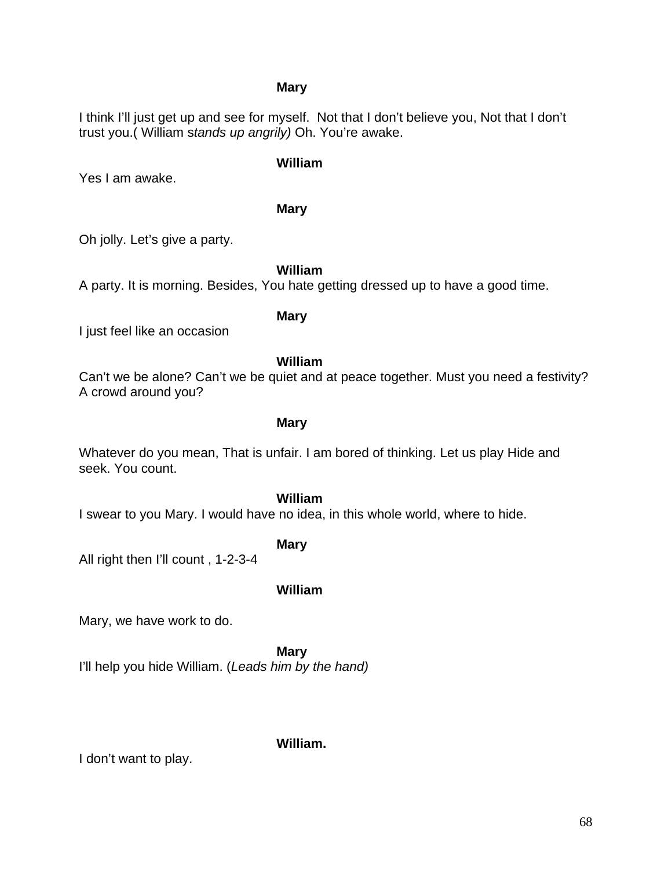## **Mary**

I think I'll just get up and see for myself. Not that I don't believe you, Not that I don't trust you.( William s*tands up angrily)* Oh. You're awake.

#### **William**

Yes I am awake.

#### **Mary**

Oh jolly. Let's give a party.

**William** 

A party. It is morning. Besides, You hate getting dressed up to have a good time.

#### **Mary**

I just feel like an occasion

#### **William**

Can't we be alone? Can't we be quiet and at peace together. Must you need a festivity? A crowd around you?

#### **Mary**

Whatever do you mean, That is unfair. I am bored of thinking. Let us play Hide and seek. You count.

**William** 

I swear to you Mary. I would have no idea, in this whole world, where to hide.

#### **Mary**

All right then I'll count , 1-2-3-4

#### **William**

Mary, we have work to do.

**Mary** 

**William.** 

I'll help you hide William. (*Leads him by the hand)* 

I don't want to play.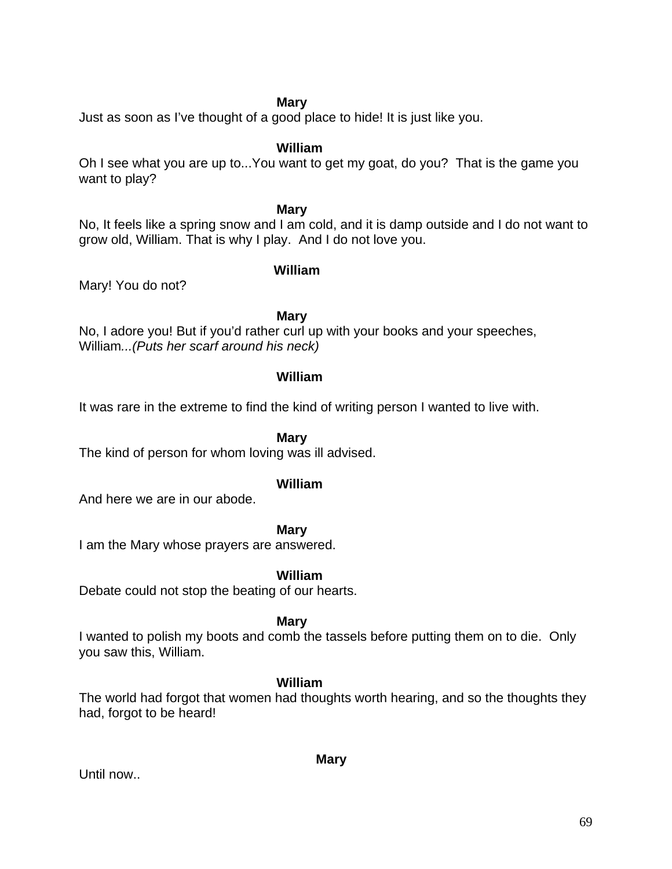## **Mary**

Just as soon as I've thought of a good place to hide! It is just like you.

## **William**

Oh I see what you are up to...You want to get my goat, do you? That is the game you want to play?

#### **Mary**

No, It feels like a spring snow and I am cold, and it is damp outside and I do not want to grow old, William. That is why I play. And I do not love you.

## **William**

Mary! You do not?

## **Mary**

No, I adore you! But if you'd rather curl up with your books and your speeches, William*...(Puts her scarf around his neck)* 

## **William**

It was rare in the extreme to find the kind of writing person I wanted to live with.

**Mary**

The kind of person for whom loving was ill advised.

## **William**

And here we are in our abode.

## **Mary**

I am the Mary whose prayers are answered.

**William**

Debate could not stop the beating of our hearts.

## **Mary**

I wanted to polish my boots and comb the tassels before putting them on to die. Only you saw this, William.

## **William**

The world had forgot that women had thoughts worth hearing, and so the thoughts they had, forgot to be heard!

Until now..

**Mary**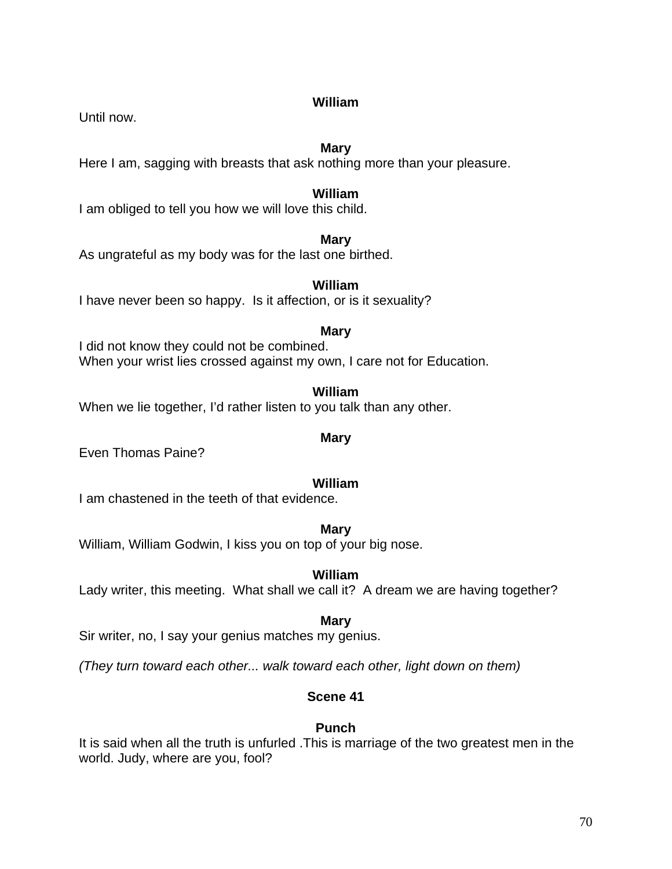## **William**

Until now.

## **Mary**

Here I am, sagging with breasts that ask nothing more than your pleasure.

## **William**

I am obliged to tell you how we will love this child.

**Mary**

As ungrateful as my body was for the last one birthed.

## **William**

I have never been so happy. Is it affection, or is it sexuality?

## **Mary**

I did not know they could not be combined. When your wrist lies crossed against my own, I care not for Education.

## **William**

When we lie together, I'd rather listen to you talk than any other.

## **Mary**

Even Thomas Paine?

## **William**

I am chastened in the teeth of that evidence.

**Mary**

William, William Godwin, I kiss you on top of your big nose.

## **William**

Lady writer, this meeting. What shall we call it? A dream we are having together?

## **Mary**

Sir writer, no, I say your genius matches my genius.

*(They turn toward each other... walk toward each other, light down on them)*

## **Scene 41**

## **Punch**

It is said when all the truth is unfurled .This is marriage of the two greatest men in the world. Judy, where are you, fool?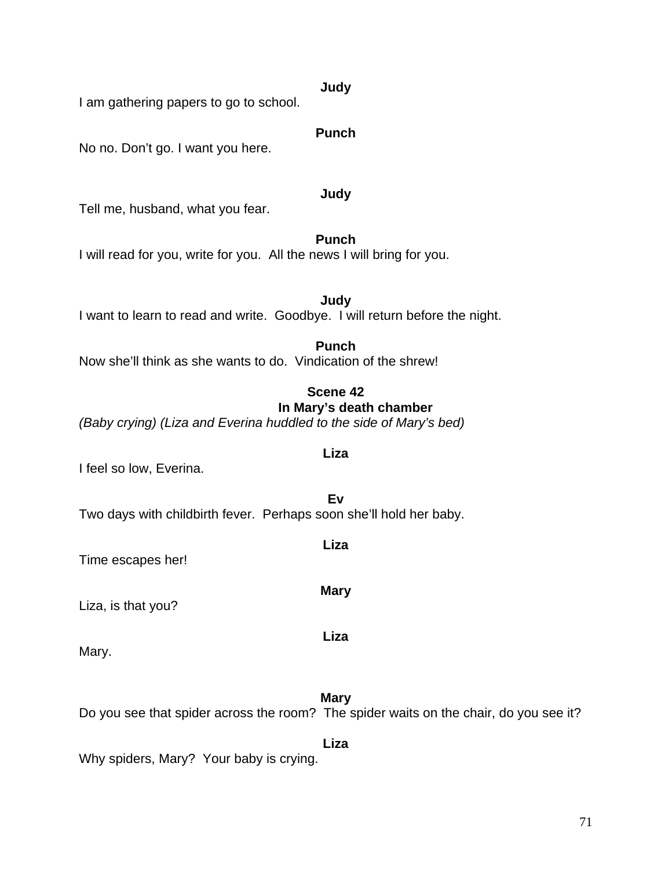#### **Judy**

I am gathering papers to go to school.

#### **Punch**

No no. Don't go. I want you here.

## **Judy**

Tell me, husband, what you fear.

## **Punch**

I will read for you, write for you. All the news I will bring for you.

**Judy** I want to learn to read and write. Goodbye. I will return before the night.

## **Punch**

Now she'll think as she wants to do. Vindication of the shrew!

## **Scene 42 In Mary's death chamber**

*(Baby crying) (Liza and Everina huddled to the side of Mary's bed)*

I feel so low, Everina.

**Ev**  Two days with childbirth fever. Perhaps soon she'll hold her baby.

Time escapes her!

Liza, is that you?

Mary.

**Mary** Do you see that spider across the room? The spider waits on the chair, do you see it?

**Liza** Why spiders, Mary? Your baby is crying.

**Liza**

**Liza**

**Liza**

**Mary**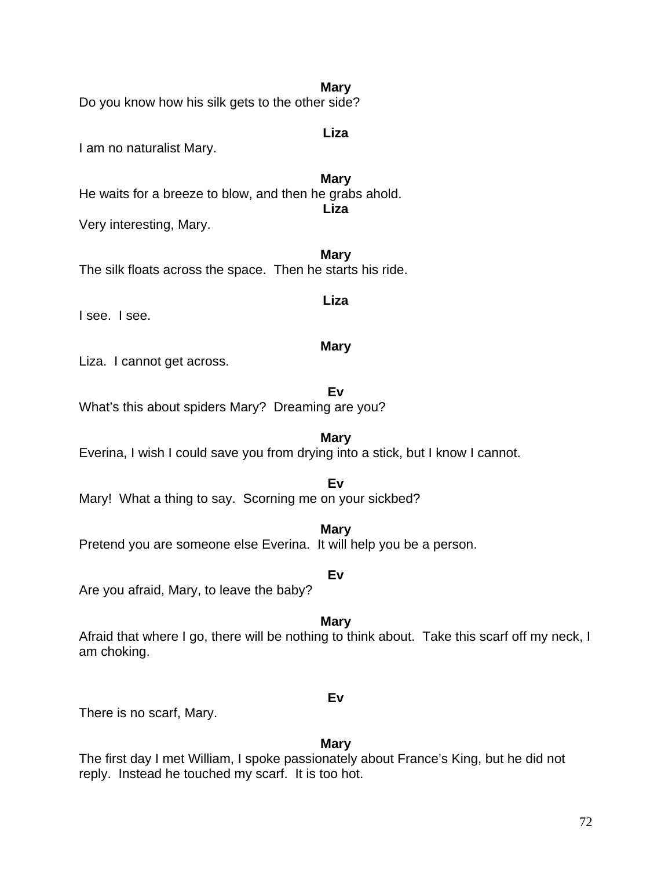# **Liza Mary Liza Mary** Liza. I cannot get across. **Ev** What's this about spiders Mary? Dreaming are you? **Mary Ev** Mary! What a thing to say. Scorning me on your sickbed? **Mary** Pretend you are someone else Everina. It will help you be a person. **Ev**

Are you afraid, Mary, to leave the baby?

**Mary**

Afraid that where I go, there will be nothing to think about. Take this scarf off my neck, I am choking.

There is no scarf, Mary.

**Mary**

**Ev**

The first day I met William, I spoke passionately about France's King, but he did not reply. Instead he touched my scarf. It is too hot.

# **Mary**

**Liza**

Do you know how his silk gets to the other side?

I am no naturalist Mary.

**Mary** He waits for a breeze to blow, and then he grabs ahold.

Very interesting, Mary.

The silk floats across the space. Then he starts his ride.

I see. I see.

Everina, I wish I could save you from drying into a stick, but I know I cannot.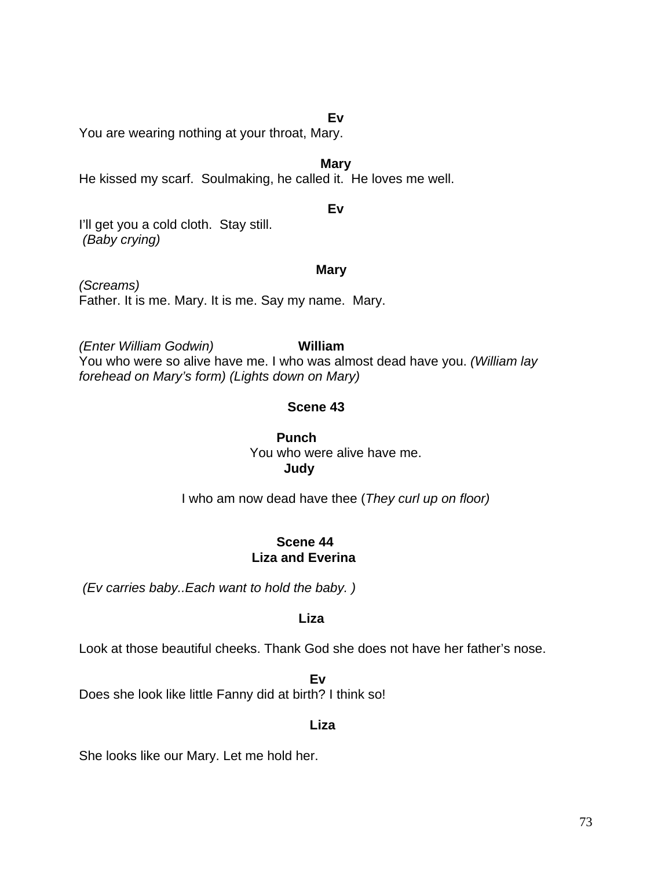#### **Ev**

You are wearing nothing at your throat, Mary.

**Mary**

He kissed my scarf. Soulmaking, he called it. He loves me well.

**Ev**

I'll get you a cold cloth. Stay still.  *(Baby crying)*

#### **Mary**

*(Screams)* Father. It is me. Mary. It is me. Say my name. Mary.

*(Enter William Godwin)* **William**  You who were so alive have me. I who was almost dead have you. *(William lay forehead on Mary's form) (Lights down on Mary)*

### **Scene 43**

**Punch**  You who were alive have me. **Judy** 

I who am now dead have thee (*They curl up on floor)*

### **Scene 44** **Liza and Everina**

 *(Ev carries baby..Each want to hold the baby. )*

#### **Liza**

Look at those beautiful cheeks. Thank God she does not have her father's nose.

**Eventually and Eventual Eventual** 

Does she look like little Fanny did at birth? I think so!

#### **Liza**

She looks like our Mary. Let me hold her.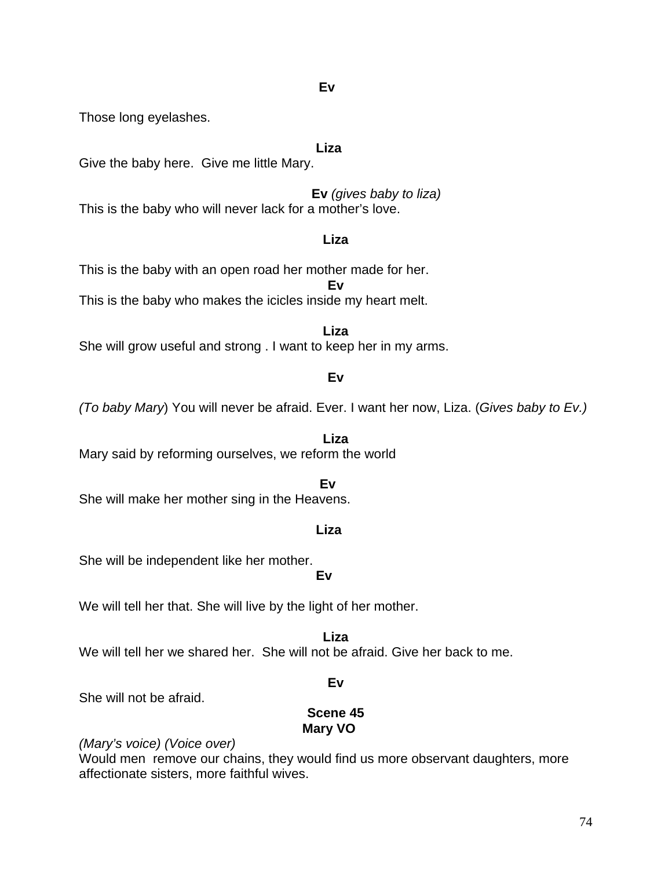### **Ev**

Those long eyelashes.

### **Liza**

Give the baby here. Give me little Mary.

 **Ev** *(gives baby to liza)* This is the baby who will never lack for a mother's love.

### **Liza**

This is the baby with an open road her mother made for her. **Ev**

This is the baby who makes the icicles inside my heart melt.

**Liza** She will grow useful and strong . I want to keep her in my arms.

### **Ev**

*(To baby Mary*) You will never be afraid. Ever. I want her now, Liza. (*Gives baby to Ev.)*

**Liza** Mary said by reforming ourselves, we reform the world

 **Ev** 

She will make her mother sing in the Heavens.

### **Liza**

She will be independent like her mother.

**Ev**

We will tell her that. She will live by the light of her mother.

**Liza** We will tell her we shared her. She will not be afraid. Give her back to me.

### **Ev**

She will not be afraid.

## **Scene 45 Mary VO**

*(Mary's voice) (Voice over)* 

Would men remove our chains, they would find us more observant daughters, more affectionate sisters, more faithful wives.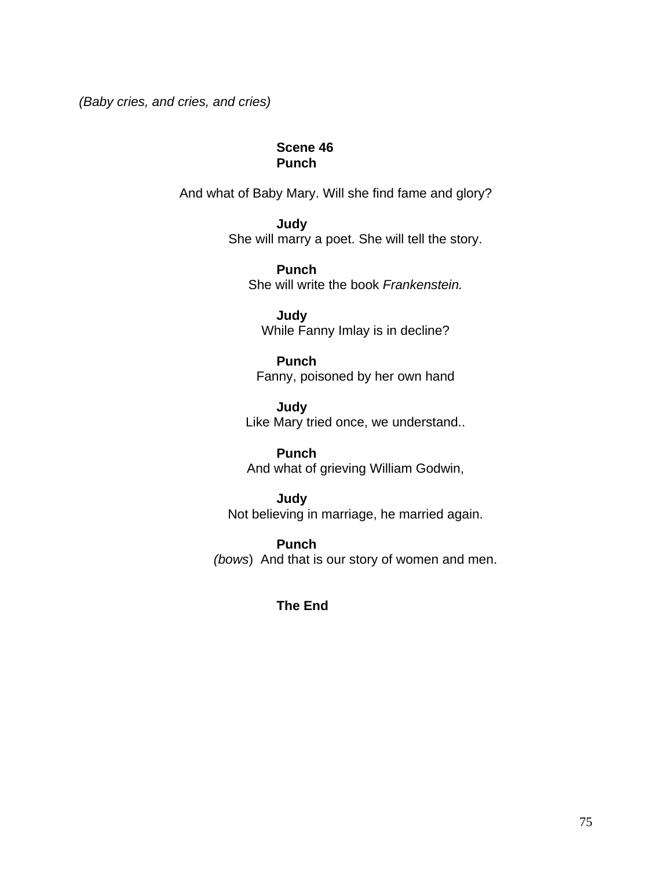*(Baby cries, and cries, and cries)* 

### **Scene 46 Punch**

And what of Baby Mary. Will she find fame and glory?

## **Judy**

She will marry a poet. She will tell the story.

## **Punch**

She will write the book *Frankenstein.*

 **Judy**  While Fanny Imlay is in decline?

# **Punch**

Fanny, poisoned by her own hand

**Judy**  Like Mary tried once, we understand..

## **Punch**

And what of grieving William Godwin,

## **Judy**

Not believing in marriage, he married again.

## **Punch**

*(bows*) And that is our story of women and men.

# **The End**